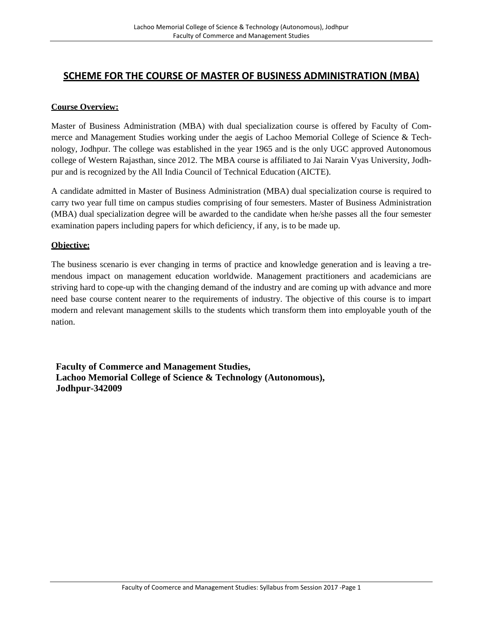# **SCHEME FOR THE COURSE OF MASTER OF BUSINESS ADMINISTRATION (MBA)**

# **Course Overview:**

Master of Business Administration (MBA) with dual specialization course is offered by Faculty of Commerce and Management Studies working under the aegis of Lachoo Memorial College of Science & Technology, Jodhpur. The college was established in the year 1965 and is the only UGC approved Autonomous college of Western Rajasthan, since 2012. The MBA course is affiliated to Jai Narain Vyas University, Jodhpur and is recognized by the All India Council of Technical Education (AICTE).

A candidate admitted in Master of Business Administration (MBA) dual specialization course is required to carry two year full time on campus studies comprising of four semesters. Master of Business Administration (MBA) dual specialization degree will be awarded to the candidate when he/she passes all the four semester examination papers including papers for which deficiency, if any, is to be made up.

# **Objective:**

The business scenario is ever changing in terms of practice and knowledge generation and is leaving a tremendous impact on management education worldwide. Management practitioners and academicians are striving hard to cope-up with the changing demand of the industry and are coming up with advance and more need base course content nearer to the requirements of industry. The objective of this course is to impart modern and relevant management skills to the students which transform them into employable youth of the nation.

**Faculty of Commerce and Management Studies, Lachoo Memorial College of Science & Technology (Autonomous), Jodhpur-342009**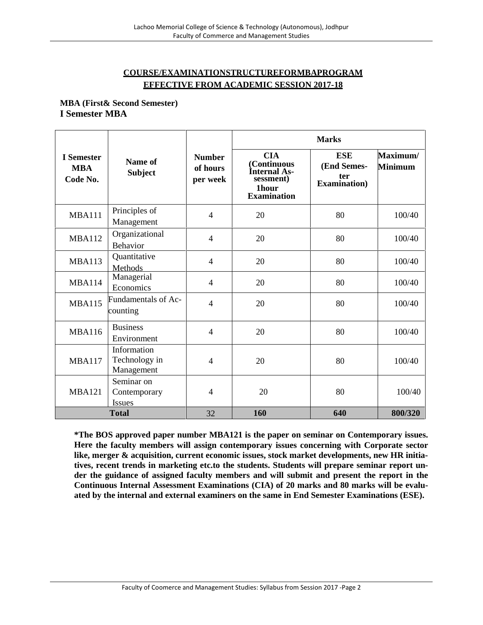# **COURSE/EXAMINATIONSTRUCTUREFORMBAPROGRAM EFFECTIVE FROM ACADEMIC SESSION 2017-18**

**MBA (First& Second Semester) I Semester MBA**

|                                      |                                            |                                       |                                                                                              | <b>Marks</b>                                             |                            |
|--------------------------------------|--------------------------------------------|---------------------------------------|----------------------------------------------------------------------------------------------|----------------------------------------------------------|----------------------------|
| I Semester<br><b>MBA</b><br>Code No. | Name of<br><b>Subject</b>                  | <b>Number</b><br>of hours<br>per week | <b>CIA</b><br>(Continuous<br>Internal As-<br>sessment)<br><b>1hour</b><br><b>Examination</b> | <b>ESE</b><br>(End Semes-<br>ter<br><b>Examination</b> ) | Maximum/<br><b>Minimum</b> |
| <b>MBA111</b>                        | Principles of<br>Management                | $\overline{4}$                        | 20                                                                                           | 80                                                       | 100/40                     |
| <b>MBA112</b>                        | Organizational<br><b>Behavior</b>          | $\overline{4}$                        | 20                                                                                           | 80                                                       | 100/40                     |
| <b>MBA113</b>                        | Quantitative<br>Methods                    | $\overline{4}$                        | 20                                                                                           | 80                                                       | 100/40                     |
| <b>MBA114</b>                        | Managerial<br>Economics                    | $\overline{4}$                        | 20                                                                                           | 80                                                       | 100/40                     |
| <b>MBA115</b>                        | Fundamentals of Ac-<br>counting            | $\overline{4}$                        | 20                                                                                           | 80                                                       | 100/40                     |
| <b>MBA116</b>                        | <b>Business</b><br>Environment             | $\overline{4}$                        | 20                                                                                           | 80                                                       | 100/40                     |
| <b>MBA117</b>                        | Information<br>Technology in<br>Management | $\overline{4}$                        | 20                                                                                           | 80                                                       | 100/40                     |
| <b>MBA121</b>                        | Seminar on<br>Contemporary<br>Issues       | $\overline{4}$                        | 20                                                                                           | 80                                                       | 100/40                     |
|                                      | <b>Total</b>                               | 32                                    | 160                                                                                          | 640                                                      | 800/320                    |

**\*The BOS approved paper number MBA121 is the paper on seminar on Contemporary issues. Here the faculty members will assign contemporary issues concerning with Corporate sector like, merger & acquisition, current economic issues, stock market developments, new HR initiatives, recent trends in marketing etc.to the students. Students will prepare seminar report under the guidance of assigned faculty members and will submit and present the report in the Continuous Internal Assessment Examinations (CIA) of 20 marks and 80 marks will be evaluated by the internal and external examiners on the same in End Semester Examinations (ESE).**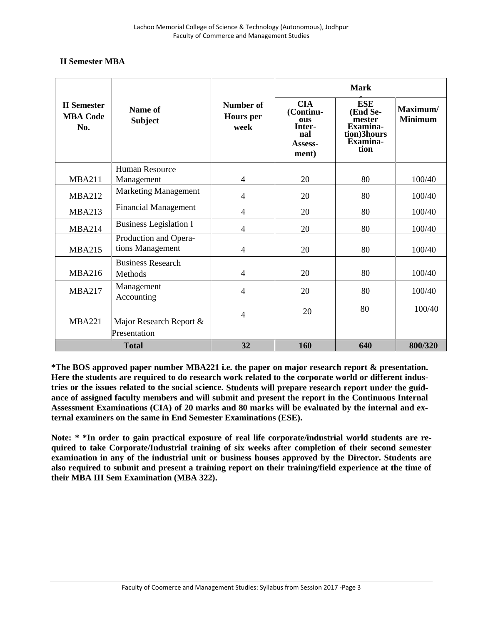# **II Semester MBA**

|                                              |                                           |                                       |                                                                            | <b>Mark</b>                                                                            |                            |
|----------------------------------------------|-------------------------------------------|---------------------------------------|----------------------------------------------------------------------------|----------------------------------------------------------------------------------------|----------------------------|
| <b>II</b> Semester<br><b>MBA Code</b><br>No. | Name of<br><b>Subject</b>                 | Number of<br><b>Hours</b> per<br>week | <b>CIA</b><br>(Continu-<br><b>OUS</b><br>Inter-<br>nal<br>Assess-<br>ment) | <b>ESE</b><br>(End Se-<br>mester<br><b>Examina-</b><br>tion)3hours<br>Examina-<br>tion | Maximum/<br><b>Minimum</b> |
|                                              | <b>Human Resource</b>                     |                                       |                                                                            |                                                                                        |                            |
| <b>MBA211</b>                                | Management                                | $\overline{4}$                        | 20                                                                         | 80                                                                                     | 100/40                     |
| <b>MBA212</b>                                | <b>Marketing Management</b>               | $\overline{4}$                        | 20                                                                         | 80                                                                                     | 100/40                     |
| <b>MBA213</b>                                | <b>Financial Management</b>               | $\overline{4}$                        | 20                                                                         | 80                                                                                     | 100/40                     |
| <b>MBA214</b>                                | <b>Business Legislation I</b>             | $\overline{\mathcal{L}}$              | 20                                                                         | 80                                                                                     | 100/40                     |
| <b>MBA215</b>                                | Production and Opera-<br>tions Management | $\overline{4}$                        | 20                                                                         | 80                                                                                     | 100/40                     |
| <b>MBA216</b>                                | <b>Business Research</b><br>Methods       | 4                                     | 20                                                                         | 80                                                                                     | 100/40                     |
| <b>MBA217</b>                                | Management<br>Accounting                  | $\overline{4}$                        | 20                                                                         | 80                                                                                     | 100/40                     |
| <b>MBA221</b>                                | Major Research Report &                   | $\overline{4}$                        | 20                                                                         | 80                                                                                     | 100/40                     |
|                                              | Presentation                              |                                       |                                                                            |                                                                                        |                            |
|                                              | <b>Total</b>                              | 32                                    | 160                                                                        | 640                                                                                    | 800/320                    |

**\*The BOS approved paper number MBA221 i.e. the paper on major research report & presentation. Here the students are required to do research work related to the corporate world or different industries or the issues related to the social science. Students will prepare research report under the guidance of assigned faculty members and will submit and present the report in the Continuous Internal Assessment Examinations (CIA) of 20 marks and 80 marks will be evaluated by the internal and external examiners on the same in End Semester Examinations (ESE).**

**Note: \* \*In order to gain practical exposure of real life corporate/industrial world students are required to take Corporate/Industrial training of six weeks after completion of their second semester examination in any of the industrial unit or business houses approved by the Director. Students are also required to submit and present a training report on their training/field experience at the time of their MBA III Sem Examination (MBA 322).**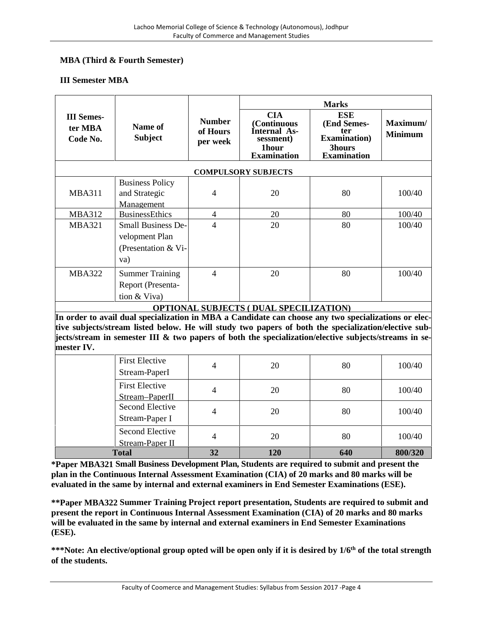# **MBA (Third & Fourth Semester)**

#### **III Semester MBA**

|                                          | Name of<br><b>Subject</b>                                                                            | <b>Number</b><br>of Hours<br>per week | <b>Marks</b>                                                                                       |                                                                                          |                            |  |
|------------------------------------------|------------------------------------------------------------------------------------------------------|---------------------------------------|----------------------------------------------------------------------------------------------------|------------------------------------------------------------------------------------------|----------------------------|--|
| <b>III</b> Semes-<br>ter MBA<br>Code No. |                                                                                                      |                                       | <b>CIA</b><br><b>Continuous</b><br>Internal As-<br>sessment)<br><b>1hour</b><br><b>Examination</b> | <b>ESE</b><br>(End Semes-<br>ter<br><b>Examination</b> )<br>3hours<br><b>Examination</b> | Maximum/<br><b>Minimum</b> |  |
|                                          |                                                                                                      |                                       | <b>COMPULSORY SUBJECTS</b>                                                                         |                                                                                          |                            |  |
|                                          | <b>Business Policy</b>                                                                               |                                       |                                                                                                    |                                                                                          |                            |  |
| <b>MBA311</b>                            | and Strategic                                                                                        | $\overline{4}$                        | 20                                                                                                 | 80                                                                                       | 100/40                     |  |
|                                          | Management                                                                                           |                                       |                                                                                                    |                                                                                          |                            |  |
| <b>MBA312</b>                            | <b>BusinessEthics</b>                                                                                | $\overline{4}$                        | 20                                                                                                 | 80                                                                                       | 100/40                     |  |
| <b>MBA321</b>                            | <b>Small Business De-</b>                                                                            | 4                                     | 20                                                                                                 | 80                                                                                       | 100/40                     |  |
|                                          | velopment Plan                                                                                       |                                       |                                                                                                    |                                                                                          |                            |  |
|                                          | (Presentation & Vi-                                                                                  |                                       |                                                                                                    |                                                                                          |                            |  |
|                                          | va)                                                                                                  |                                       |                                                                                                    |                                                                                          |                            |  |
| <b>MBA322</b>                            | <b>Summer Training</b>                                                                               | $\overline{4}$                        | 20                                                                                                 | 80                                                                                       | 100/40                     |  |
|                                          | Report (Presenta-                                                                                    |                                       |                                                                                                    |                                                                                          |                            |  |
|                                          | tion $&$ Viva)                                                                                       |                                       |                                                                                                    |                                                                                          |                            |  |
|                                          |                                                                                                      |                                       | <b>OPTIONAL SUBJECTS (DUAL SPECILIZATION)</b>                                                      |                                                                                          |                            |  |
|                                          | In order to avail dual specialization in MBA a Candidate can choose any two specializations or elec- |                                       |                                                                                                    |                                                                                          |                            |  |

**mester IV.**

| Second Elective<br>Stream-Paper II<br><b>Total</b> | 4<br>32 | 20<br><b>120</b> | 80<br>640 | 100/40<br>800/320 |
|----------------------------------------------------|---------|------------------|-----------|-------------------|
| Stream-Paper I                                     | 4       | 20               | 80        | 100/40            |
| Second Elective                                    |         |                  |           |                   |
| <b>First Elective</b><br>Stream-PaperII            | 4       | 20               | 80        | 100/40            |
| <b>First Elective</b><br>Stream-PaperI             | 4       | 20               | 80        | 100/40            |

**\*Paper MBA321 Small Business Development Plan, Students are required to submit and present the plan in the Continuous Internal Assessment Examination (CIA) of 20 marks and 80 marks will be evaluated in the same by internal and external examiners in End Semester Examinations (ESE).**

**\*\*Paper MBA322 Summer Training Project report presentation, Students are required to submit and present the report in Continuous Internal Assessment Examination (CIA) of 20 marks and 80 marks will be evaluated in the same by internal and external examiners in End Semester Examinations (ESE).**

**\*\*\*Note: An elective/optional group opted will be open only if it is desired by 1/6th of the total strength of the students.**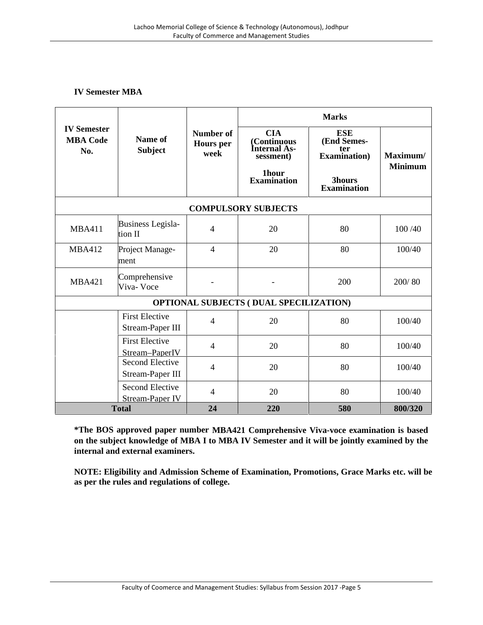# **IV Semester MBA**

|                                              | Name of<br><b>Subject</b>                  | <b>Number of</b><br><b>Hours</b> per<br>week | <b>Marks</b>                                                                          |                                                                                          |                            |  |
|----------------------------------------------|--------------------------------------------|----------------------------------------------|---------------------------------------------------------------------------------------|------------------------------------------------------------------------------------------|----------------------------|--|
| <b>IV Semester</b><br><b>MBA Code</b><br>No. |                                            |                                              | <b>CIA</b><br>(Continuous<br>Internal As-<br>sessment)<br>1hour<br><b>Examination</b> | <b>ESE</b><br>(End Semes-<br>ter<br><b>Examination</b> )<br>3hours<br><b>Examination</b> | Maximum/<br><b>Minimum</b> |  |
|                                              |                                            |                                              | <b>COMPULSORY SUBJECTS</b>                                                            |                                                                                          |                            |  |
| <b>MBA411</b>                                | <b>Business Legisla-</b><br>tion II        | $\overline{4}$                               | 20                                                                                    | 80                                                                                       | 100 /40                    |  |
| <b>MBA412</b>                                | Project Manage-<br>ment                    | $\overline{4}$                               | 20                                                                                    | 80                                                                                       | 100/40                     |  |
| <b>MBA421</b>                                | Comprehensive<br>Viva-Voce                 |                                              |                                                                                       | 200                                                                                      | 200/80                     |  |
|                                              |                                            |                                              | <b>OPTIONAL SUBJECTS (DUAL SPECILIZATION)</b>                                         |                                                                                          |                            |  |
|                                              | <b>First Elective</b><br>Stream-Paper III  | $\overline{4}$                               | 20                                                                                    | 80                                                                                       | 100/40                     |  |
|                                              | <b>First Elective</b><br>Stream-PaperIV    | $\overline{4}$                               | 20                                                                                    | 80                                                                                       | 100/40                     |  |
|                                              | <b>Second Elective</b><br>Stream-Paper III | 4                                            | 20                                                                                    | 80                                                                                       | 100/40                     |  |
|                                              | <b>Second Elective</b><br>Stream-Paper IV  | 4                                            | 20                                                                                    | 80                                                                                       | 100/40                     |  |
|                                              | <b>Total</b>                               | 24                                           | 220                                                                                   | 580                                                                                      | 800/320                    |  |

**\*The BOS approved paper number MBA421 Comprehensive Viva-voce examination is based on the subject knowledge of MBA I to MBA IV Semester and it will be jointly examined by the internal and external examiners.**

**NOTE: Eligibility and Admission Scheme of Examination, Promotions, Grace Marks etc. will be as per the rules and regulations of college.**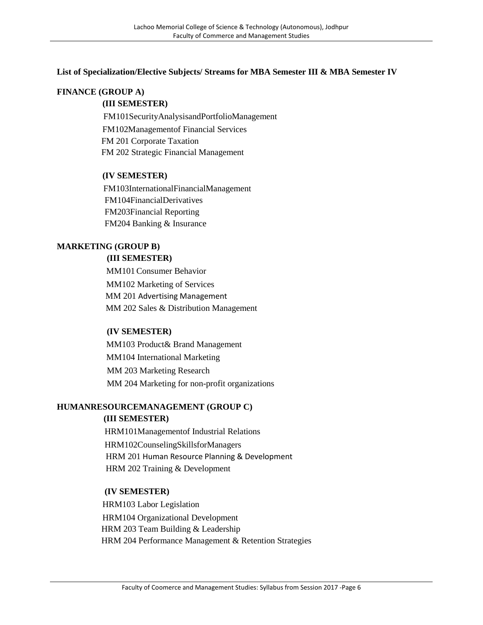#### **List of Specialization/Elective Subjects/ Streams for MBA Semester III & MBA Semester IV**

# **FINANCE (GROUP A)**

#### **(III SEMESTER)**

FM101SecurityAnalysisandPortfolioManagement FM102Managementof Financial Services FM 201 Corporate Taxation FM 202 Strategic Financial Management

#### **(IV SEMESTER)**

FM103InternationalFinancialManagement FM104FinancialDerivatives FM203Financial Reporting FM204 Banking & Insurance

# **MARKETING (GROUP B)**

#### **(III SEMESTER)**

MM101Consumer Behavior MM102 Marketing of Services MM 201 Advertising Management MM 202 Sales & Distribution Management

#### **(IV SEMESTER)**

MM103 Product& Brand Management MM104 International Marketing MM 203 Marketing Research MM 204 Marketing for non-profit organizations

# **HUMANRESOURCEMANAGEMENT (GROUP C) (III SEMESTER)**

HRM101Managementof Industrial Relations HRM102CounselingSkillsforManagers HRM 201 Human Resource Planning & Development HRM 202 Training & Development

#### **(IV SEMESTER)**

HRM103 Labor Legislation HRM104 Organizational Development HRM 203 Team Building & Leadership HRM 204 Performance Management & Retention Strategies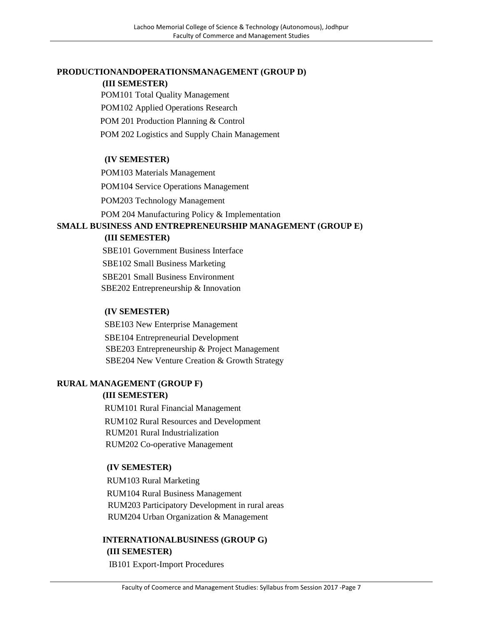# **PRODUCTIONANDOPERATIONSMANAGEMENT (GROUP D)**

#### **(III SEMESTER)**

POM101 Total Quality Management

POM102 Applied Operations Research

POM 201 Production Planning & Control

POM 202 Logistics and Supply Chain Management

# **(IV SEMESTER)**

POM103 Materials Management

POM104 Service Operations Management

POM203 Technology Management

POM 204 Manufacturing Policy & Implementation

# **SMALL BUSINESS AND ENTREPRENEURSHIP MANAGEMENT (GROUP E) (III SEMESTER)**

SBE101 Government Business Interface SBE102 Small Business Marketing SBE201 Small Business Environment SBE202 Entrepreneurship & Innovation

# **(IV SEMESTER)**

SBE103 New Enterprise Management SBE104 Entrepreneurial Development SBE203 Entrepreneurship & Project Management SBE204 New Venture Creation & Growth Strategy

# **RURAL MANAGEMENT (GROUP F)**

# **(III SEMESTER)**

RUM101 Rural Financial Management RUM102 Rural Resources and Development RUM201 Rural Industrialization RUM202 Co-operative Management

# **(IV SEMESTER)**

RUM103 Rural Marketing RUM104 Rural Business Management RUM203 Participatory Development in rural areas RUM204 Urban Organization & Management

# **INTERNATIONALBUSINESS (GROUP G) (III SEMESTER)**

IB101 Export-Import Procedures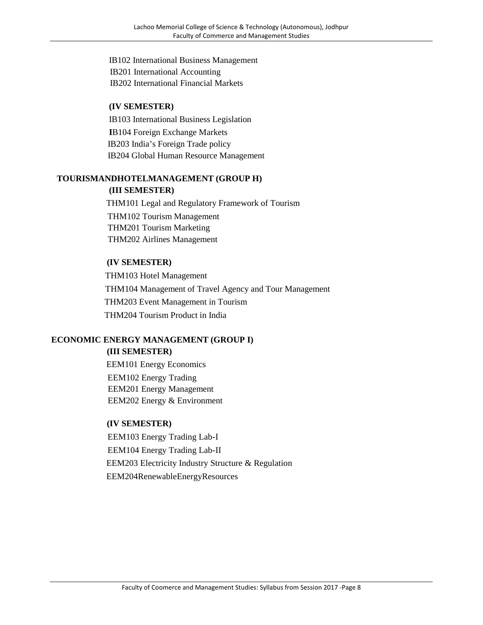IB102 International Business Management IB201 International Accounting IB202 International Financial Markets

### **(IV SEMESTER)**

IB103 International Business Legislation **I**B104 Foreign Exchange Markets IB203 India's Foreign Trade policy IB204 Global Human Resource Management

#### **TOURISMANDHOTELMANAGEMENT (GROUP H) (III SEMESTER)**

THM101 Legal and Regulatory Framework of Tourism THM102 Tourism Management THM201 Tourism Marketing THM202 Airlines Management

### **(IV SEMESTER)**

THM103 Hotel Management THM104 Management of Travel Agency and Tour Management THM203 Event Management in Tourism THM204 Tourism Product in India

# **ECONOMIC ENERGY MANAGEMENT (GROUP I)**

# **(III SEMESTER)**

EEM101 Energy Economics EEM102 Energy Trading EEM201 Energy Management EEM202 Energy & Environment

#### **(IV SEMESTER)**

EEM103 Energy Trading Lab-I EEM104 Energy Trading Lab-II EEM203 Electricity Industry Structure & Regulation EEM204RenewableEnergyResources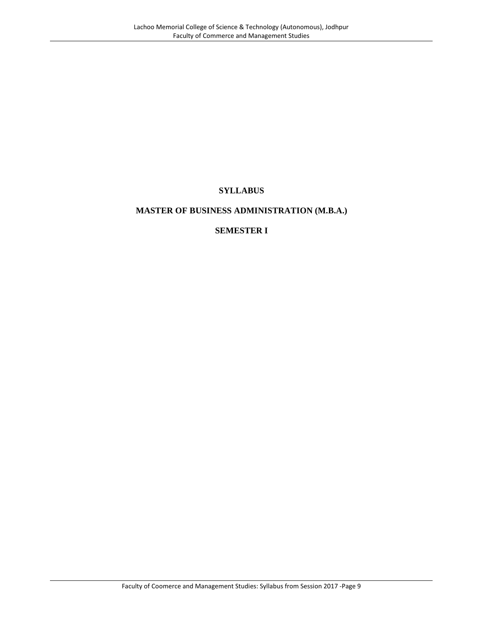# **SYLLABUS**

# **MASTER OF BUSINESS ADMINISTRATION (M.B.A.)**

# **SEMESTER I**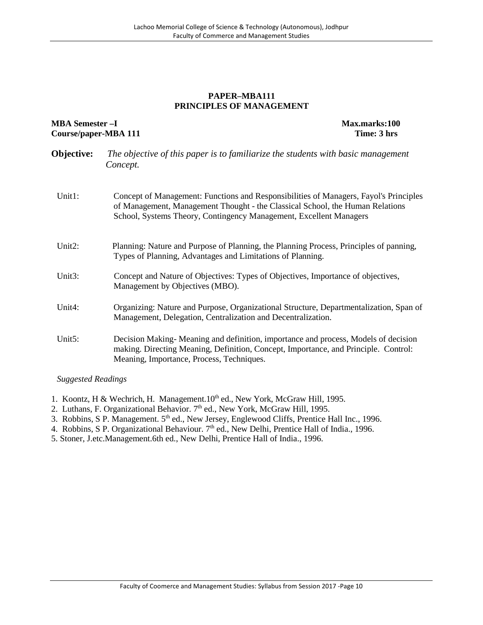#### **PAPER–MBA111 PRINCIPLES OF MANAGEMENT**

### **MBA Semester –I Max.marks:100 Course/paper-MBA 111 Time: 3 hrs**

- **Objective:** *The objective of this paper is to familiarize the students with basic management Concept.*
- Unit1: Concept of Management: Functions and Responsibilities of Managers, Fayol's Principles of Management, Management Thought - the Classical School, the Human Relations School, Systems Theory, Contingency Management, Excellent Managers
- Unit2: Planning: Nature and Purpose of Planning, the Planning Process, Principles of panning, Types of Planning, Advantages and Limitations of Planning.
- Unit3: Concept and Nature of Objectives: Types of Objectives, Importance of objectives, Management by Objectives (MBO).
- Unit4: Organizing: Nature and Purpose, Organizational Structure, Departmentalization, Span of Management, Delegation, Centralization and Decentralization.
- Unit5: Decision Making- Meaning and definition, importance and process, Models of decision making. Directing Meaning, Definition, Concept, Importance, and Principle. Control: Meaning, Importance, Process, Techniques.

- 1. Koontz, H & Wechrich, H. Management.10<sup>th</sup> ed., New York, McGraw Hill, 1995.
- 2. Luthans, F. Organizational Behavior. 7<sup>th</sup> ed., New York, McGraw Hill, 1995.
- 3. Robbins, S P. Management. 5th ed., New Jersey, Englewood Cliffs, Prentice Hall Inc., 1996.
- 4. Robbins, S P. Organizational Behaviour. 7<sup>th</sup> ed., New Delhi, Prentice Hall of India., 1996.
- 5. Stoner, J.etc.Management.6th ed., New Delhi, Prentice Hall of India., 1996.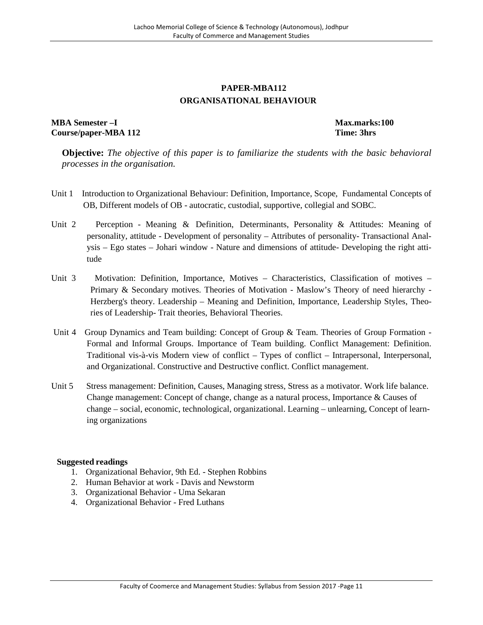# **PAPER-MBA112 ORGANISATIONAL BEHAVIOUR**

# **MBA Semester –I Max.marks:100 Course/paper-MBA 112 Time: 3hrs**

**Objective:** *The objective of this paper is to familiarize the students with the basic behavioral processes in the organisation.*

- Unit 1 Introduction to Organizational Behaviour: Definition, Importance, Scope, Fundamental Concepts of OB, Different models of OB - autocratic, custodial, supportive, collegial and SOBC.
- Unit 2 Perception Meaning & Definition, Determinants, Personality & Attitudes: Meaning of personality, attitude - Development of personality – Attributes of personality- Transactional Analysis – Ego states – Johari window - Nature and dimensions of attitude- Developing the right attitude
- Unit 3 Motivation: Definition, Importance, Motives Characteristics, Classification of motives Primary & Secondary motives. Theories of Motivation - Maslow's Theory of need hierarchy - Herzberg's theory. Leadership – Meaning and Definition, Importance, Leadership Styles, Theories of Leadership- Trait theories, Behavioral Theories.
- Unit 4 Group Dynamics and Team building: Concept of Group & Team. Theories of Group Formation -Formal and Informal Groups. Importance of Team building. Conflict Management: Definition. Traditional vis-à-vis Modern view of conflict – Types of conflict – Intrapersonal, Interpersonal, and Organizational. Constructive and Destructive conflict. Conflict management.
- Unit 5 Stress management: Definition, Causes, Managing stress, Stress as a motivator. Work life balance. Change management: Concept of change, change as a natural process, Importance & Causes of change – social, economic, technological, organizational. Learning – unlearning, Concept of learning organizations

- 1. Organizational Behavior, 9th Ed. Stephen Robbins
- 2. Human Behavior at work Davis and Newstorm
- 3. Organizational Behavior Uma Sekaran
- 4. Organizational Behavior Fred Luthans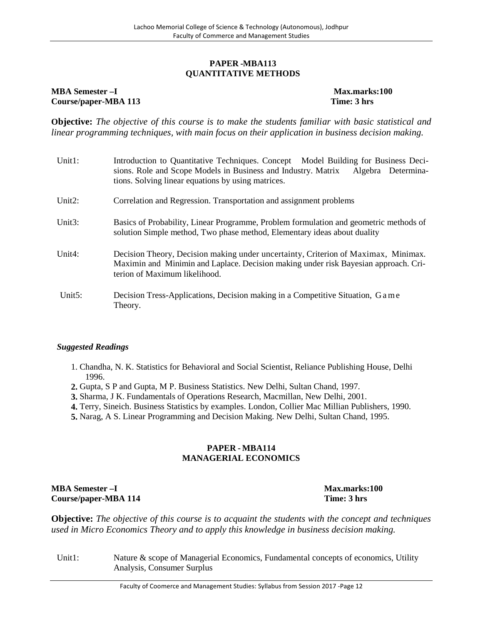#### **PAPER -MBA113 QUANTITATIVE METHODS**

#### **MBA Semester –I Max.marks:100 Course/paper-MBA 113 Time: 3 hrs**

**Objective:** *The objective of this course is to make the students familiar with basic statistical and linear programming techniques, with main focus on their application in business decision making.*

| Unit1:     | Introduction to Quantitative Techniques. Concept Model Building for Business Deci-<br>sions. Role and Scope Models in Business and Industry. Matrix<br>Algebra Determina-<br>tions. Solving linear equations by using matrices. |
|------------|---------------------------------------------------------------------------------------------------------------------------------------------------------------------------------------------------------------------------------|
| Unit $2$ : | Correlation and Regression. Transportation and assignment problems                                                                                                                                                              |
| Unit3:     | Basics of Probability, Linear Programme, Problem formulation and geometric methods of<br>solution Simple method, Two phase method, Elementary ideas about duality                                                               |
| Unit4:     | Decision Theory, Decision making under uncertainty, Criterion of Maximax, Minimax.<br>Maximin and Minimin and Laplace. Decision making under risk Bayesian approach. Cri-<br>terion of Maximum likelihood.                      |
| Unit5:     | Decision Tress-Applications, Decision making in a Competitive Situation, G a me<br>Theory.                                                                                                                                      |

#### *Suggested Readings*

- 1. Chandha, N. K. Statistics for Behavioral and Social Scientist, Reliance Publishing House, Delhi 1996.
- **2.** Gupta, S P and Gupta, M P. Business Statistics. New Delhi, Sultan Chand, 1997.
- **3.** Sharma, J K. Fundamentals of Operations Research, Macmillan, New Delhi, 2001.
- **4.** Terry, Sineich. Business Statistics by examples. London, Collier Mac Millian Publishers, 1990.
- **5.** Narag, A S. Linear Programming and Decision Making. New Delhi, Sultan Chand, 1995.

### **PAPER - MBA114 MANAGERIAL ECONOMICS**

# **MBA Semester –I Max.marks:100 Course/paper-MBA 114 Time: 3 hrs**

**Objective:** *The objective of this course is to acquaint the students with the concept and techniques used in Micro Economics Theory and to apply this knowledge in business decision making.*

Unit1: Nature & scope of Managerial Economics, Fundamental concepts of economics, Utility Analysis, Consumer Surplus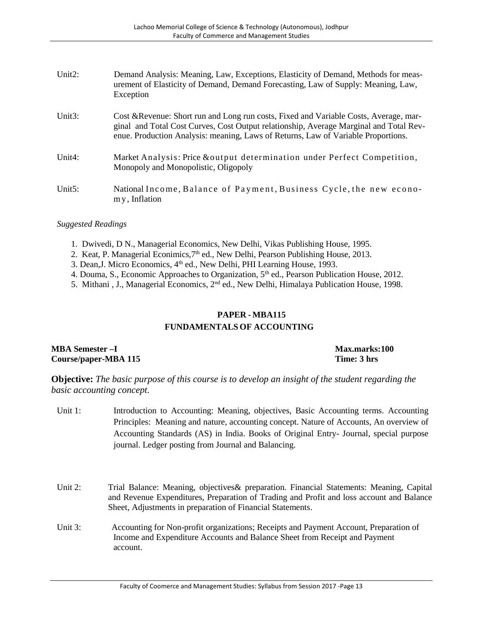| Unit2: | Demand Analysis: Meaning, Law, Exceptions, Elasticity of Demand, Methods for meas-<br>urement of Elasticity of Demand, Demand Forecasting, Law of Supply: Meaning, Law,<br>Exception                                                                                 |
|--------|----------------------------------------------------------------------------------------------------------------------------------------------------------------------------------------------------------------------------------------------------------------------|
| Unit3: | Cost & Revenue: Short run and Long run costs, Fixed and Variable Costs, Average, mar-<br>ginal and Total Cost Curves, Cost Output relationship, Average Marginal and Total Rev-<br>enue. Production Analysis: meaning, Laws of Returns, Law of Variable Proportions. |
| Unit4: | Market Analysis: Price & output determination under Perfect Competition,<br>Monopoly and Monopolistic, Oligopoly                                                                                                                                                     |
| Unit5: | National Income, Balance of Payment, Business Cycle, the new econo-<br>my, Inflation                                                                                                                                                                                 |

#### *Suggested Readings*

- 1. Dwivedi, D N., Managerial Economics, New Delhi, Vikas Publishing House, 1995.
- 2. Keat, P. Managerial Econimics,  $7<sup>th</sup>$  ed., New Delhi, Pearson Publishing House, 2013.
- 3. Dean, J. Micro Economics, 4<sup>th</sup> ed., New Delhi, PHI Learning House, 1993.
- 4. Douma, S., Economic Approaches to Organization, 5<sup>th</sup> ed., Pearson Publication House, 2012.
- 5. Mithani , J., Managerial Economics, 2nd ed., New Delhi, Himalaya Publication House, 1998.

# **PAPER - MBA115 FUNDAMENTALS OF ACCOUNTING**

**MBA Semester –I Max.marks:100 Course/paper-MBA 115 Time: 3 hrs**

**Objective:** *The basic purpose of this course is to develop an insight of the student regarding the basic accounting concept.*

- Unit 1: Introduction to Accounting: Meaning, objectives, Basic Accounting terms. Accounting Principles: Meaning and nature, accounting concept. Nature of Accounts, An overview of Accounting Standards (AS) in India. Books of Original Entry- Journal, special purpose journal. Ledger posting from Journal and Balancing.
- Unit 2: Trial Balance: Meaning, objectives& preparation. Financial Statements: Meaning, Capital and Revenue Expenditures, Preparation of Trading and Profit and loss account and Balance Sheet, Adjustments in preparation of Financial Statements.
- Unit 3: Accounting for Non-profit organizations; Receipts and Payment Account, Preparation of Income and Expenditure Accounts and Balance Sheet from Receipt and Payment account.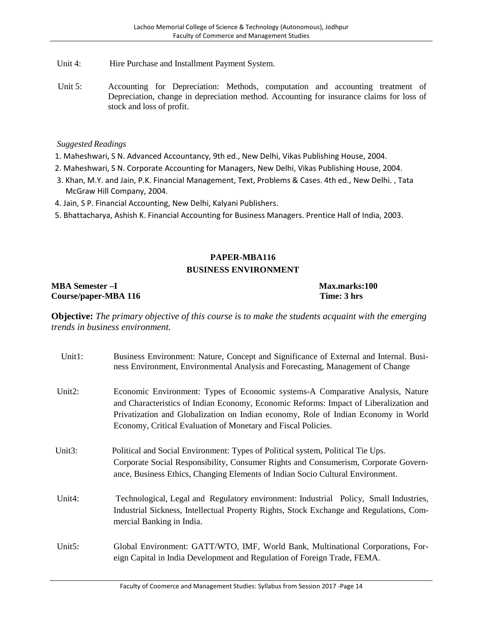- Unit 4: Hire Purchase and Installment Payment System.
- Unit 5: Accounting for Depreciation: Methods, computation and accounting treatment of Depreciation, change in depreciation method. Accounting for insurance claims for loss of stock and loss of profit.

#### *Suggested Readings*

- 1. Maheshwari, S N. Advanced Accountancy, 9th ed., New Delhi, Vikas Publishing House, 2004.
- 2. Maheshwari, S N. Corporate Accounting for Managers, New Delhi, Vikas Publishing House, 2004.
- 3. Khan, M.Y. and Jain, P.K. Financial Management, Text, Problems & Cases. 4th ed., New Delhi. , Tata McGraw Hill Company, 2004.
- 4. Jain, S P. Financial Accounting, New Delhi, Kalyani Publishers.
- 5. Bhattacharya, Ashish K. Financial Accounting for Business Managers. Prentice Hall of India, 2003.

# **PAPER-MBA116 BUSINESS ENVIRONMENT**

#### **MBA Semester –I Max.marks:100 Course/paper-MBA 116 Time: 3 hrs**

**Objective:** *The primary objective of this course is to make the students acquaint with the emerging trends in business environment.*

| Unit1: | Business Environment: Nature, Concept and Significance of External and Internal. Busi-<br>ness Environment, Environmental Analysis and Forecasting, Management of Change                                                                                                                                                       |
|--------|--------------------------------------------------------------------------------------------------------------------------------------------------------------------------------------------------------------------------------------------------------------------------------------------------------------------------------|
| Unit2: | Economic Environment: Types of Economic systems-A Comparative Analysis, Nature<br>and Characteristics of Indian Economy, Economic Reforms: Impact of Liberalization and<br>Privatization and Globalization on Indian economy, Role of Indian Economy in World<br>Economy, Critical Evaluation of Monetary and Fiscal Policies. |
| Unit3: | Political and Social Environment: Types of Political system, Political Tie Ups.<br>Corporate Social Responsibility, Consumer Rights and Consumerism, Corporate Govern-<br>ance, Business Ethics, Changing Elements of Indian Socio Cultural Environment.                                                                       |
| Unit4: | Technological, Legal and Regulatory environment: Industrial Policy, Small Industries,<br>Industrial Sickness, Intellectual Property Rights, Stock Exchange and Regulations, Com-<br>mercial Banking in India.                                                                                                                  |
| Unit5: | Global Environment: GATT/WTO, IMF, World Bank, Multinational Corporations, For-<br>eign Capital in India Development and Regulation of Foreign Trade, FEMA.                                                                                                                                                                    |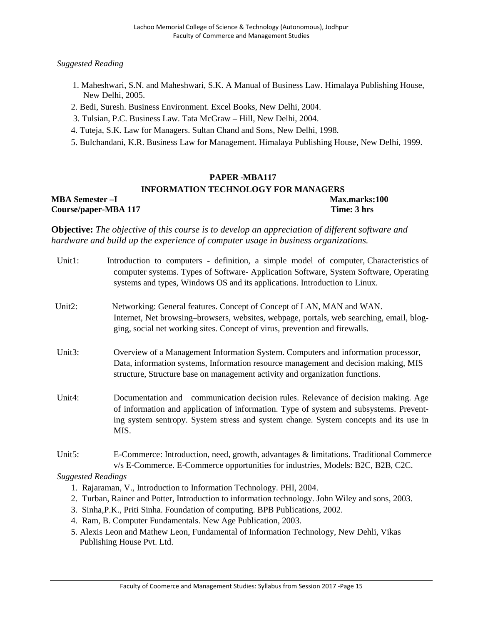#### *Suggested Reading*

- 1. Maheshwari, S.N. and Maheshwari, S.K. A Manual of Business Law. Himalaya Publishing House, New Delhi, 2005.
- 2. Bedi, Suresh. Business Environment. Excel Books, New Delhi, 2004.
- 3. Tulsian, P.C. Business Law. Tata McGraw Hill, New Delhi, 2004.
- 4. Tuteja, S.K. Law for Managers. Sultan Chand and Sons, New Delhi, 1998.
- 5. Bulchandani, K.R. Business Law for Management. Himalaya Publishing House, New Delhi, 1999.

#### **PAPER -MBA117**

#### **INFORMATION TECHNOLOGY FOR MANAGERS MBA Semester –I Max.marks:100 Course/paper-MBA 117 Time: 3 hrs**

**Objective:** *The objective of this course is to develop an appreciation of different software and hardware and build up the experience of computer usage in business organizations.*

| Unit1:                    | Introduction to computers - definition, a simple model of computer, Characteristics of<br>computer systems. Types of Software-Application Software, System Software, Operating<br>systems and types, Windows OS and its applications. Introduction to Linux.                |
|---------------------------|-----------------------------------------------------------------------------------------------------------------------------------------------------------------------------------------------------------------------------------------------------------------------------|
| Unit <sub>2</sub> :       | Networking: General features. Concept of Concept of LAN, MAN and WAN.<br>Internet, Net browsing–browsers, websites, webpage, portals, web searching, email, blog-<br>ging, social net working sites. Concept of virus, prevention and firewalls.                            |
| Unit3:                    | Overview of a Management Information System. Computers and information processor,<br>Data, information systems, Information resource management and decision making, MIS<br>structure, Structure base on management activity and organization functions.                    |
| Unit4:                    | Documentation and communication decision rules. Relevance of decision making. Age<br>of information and application of information. Type of system and subsystems. Prevent-<br>ing system sentropy. System stress and system change. System concepts and its use in<br>MIS. |
| Unit5:                    | E-Commerce: Introduction, need, growth, advantages & limitations. Traditional Commerce<br>v/s E-Commerce. E-Commerce opportunities for industries, Models: B2C, B2B, C2C.                                                                                                   |
| <b>Suggested Readings</b> |                                                                                                                                                                                                                                                                             |
|                           | 1. Rajaraman, V., Introduction to Information Technology. PHI, 2004.                                                                                                                                                                                                        |

- 2. Turban, Rainer and Potter, Introduction to information technology. John Wiley and sons, 2003.
- 3. Sinha,P.K., Priti Sinha. Foundation of computing. BPB Publications, 2002.
- 4. Ram, B. Computer Fundamentals. New Age Publication, 2003.
- 5. Alexis Leon and Mathew Leon, Fundamental of Information Technology, New Dehli, Vikas Publishing House Pvt. Ltd.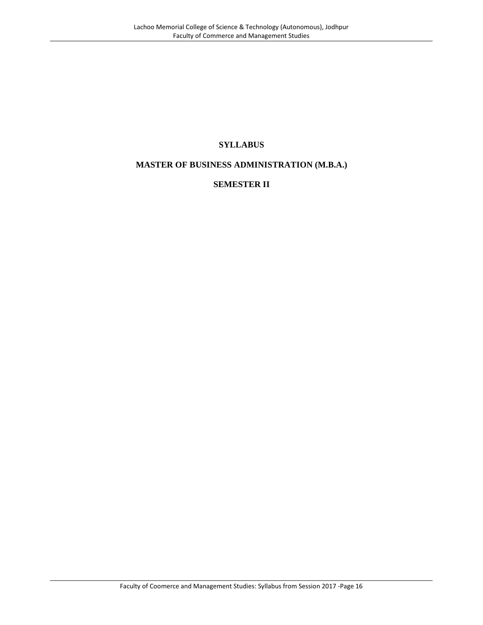# **SYLLABUS**

# **MASTER OF BUSINESS ADMINISTRATION (M.B.A.)**

# **SEMESTER II**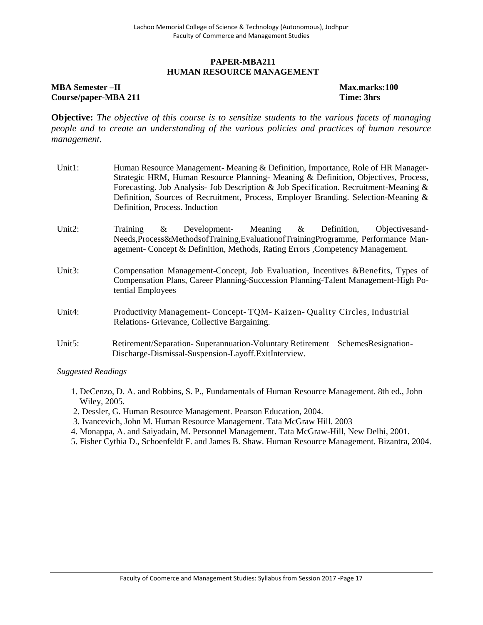#### **PAPER-MBA211 HUMAN RESOURCE MANAGEMENT**

#### **MBA Semester –II Max.marks:100 Course/paper-MBA 211 Time: 3hrs**

**Objective:** *The objective of this course is to sensitize students to the various facets of managing people and to create an understanding of the various policies and practices of human resource management.*

| Unit1: | Human Resource Management-Meaning & Definition, Importance, Role of HR Manager-<br>Strategic HRM, Human Resource Planning-Meaning & Definition, Objectives, Process,<br>Forecasting. Job Analysis- Job Description & Job Specification. Recruitment-Meaning &<br>Definition, Sources of Recruitment, Process, Employer Branding. Selection-Meaning &<br>Definition, Process. Induction |
|--------|----------------------------------------------------------------------------------------------------------------------------------------------------------------------------------------------------------------------------------------------------------------------------------------------------------------------------------------------------------------------------------------|
| Unit2: | Meaning $\&$<br>Definition,<br>Training<br>Development-<br>Objectives and-<br>&<br>Needs, Process&MethodsofTraining, Evaluation of Training Programme, Performance Man-<br>agement- Concept & Definition, Methods, Rating Errors, Competency Management.                                                                                                                               |
| Unit3: | Compensation Management-Concept, Job Evaluation, Incentives & Benefits, Types of<br>Compensation Plans, Career Planning-Succession Planning-Talent Management-High Po-<br>tential Employees                                                                                                                                                                                            |
| Unit4: | Productivity Management-Concept-TQM-Kaizen-Quality Circles, Industrial<br>Relations- Grievance, Collective Bargaining.                                                                                                                                                                                                                                                                 |
| Unit5: | Retirement/Separation-Superannuation-Voluntary Retirement<br>SchemesResignation-<br>Discharge-Dismissal-Suspension-Layoff.ExitInterview.                                                                                                                                                                                                                                               |

- 1. DeCenzo, D. A. and Robbins, S. P., Fundamentals of Human Resource Management. 8th ed., John Wiley, 2005.
- 2. Dessler, G. Human Resource Management. Pearson Education, 2004.
- 3. Ivancevich, John M. Human Resource Management. Tata McGraw Hill. 2003
- 4. Monappa, A. and Saiyadain, M. Personnel Management. Tata McGraw-Hill, New Delhi, 2001.
- 5. Fisher Cythia D., Schoenfeldt F. and James B. Shaw. Human Resource Management. Bizantra, 2004.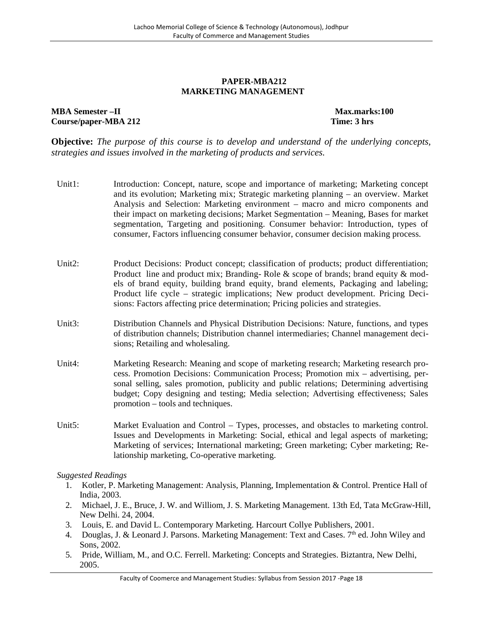#### **PAPER-MBA212 MARKETING MANAGEMENT**

#### **MBA Semester –II Max.marks:100 Course/paper-MBA 212 Time: 3 hrs**

**Objective:** *The purpose of this course is to develop and understand of the underlying concepts, strategies and issues involved in the marketing of products and services.*

- Unit1: Introduction: Concept, nature, scope and importance of marketing; Marketing concept and its evolution; Marketing mix; Strategic marketing planning – an overview. Market Analysis and Selection: Marketing environment – macro and micro components and their impact on marketing decisions; Market Segmentation – Meaning, Bases for market segmentation, Targeting and positioning. Consumer behavior: Introduction, types of consumer, Factors influencing consumer behavior, consumer decision making process.
- Unit2: Product Decisions: Product concept; classification of products; product differentiation; Product line and product mix; Branding- Role & scope of brands; brand equity & models of brand equity, building brand equity, brand elements, Packaging and labeling; Product life cycle – strategic implications; New product development. Pricing Decisions: Factors affecting price determination; Pricing policies and strategies.
- Unit3: Distribution Channels and Physical Distribution Decisions: Nature, functions, and types of distribution channels; Distribution channel intermediaries; Channel management decisions; Retailing and wholesaling.
- Unit4: Marketing Research: Meaning and scope of marketing research; Marketing research process. Promotion Decisions: Communication Process; Promotion mix – advertising, personal selling, sales promotion, publicity and public relations; Determining advertising budget; Copy designing and testing; Media selection; Advertising effectiveness; Sales promotion – tools and techniques.
- Unit5: Market Evaluation and Control Types, processes, and obstacles to marketing control. Issues and Developments in Marketing: Social, ethical and legal aspects of marketing; Marketing of services; International marketing; Green marketing; Cyber marketing; Relationship marketing, Co-operative marketing.

- 1. Kotler, P. Marketing Management: Analysis, Planning, Implementation & Control. Prentice Hall of India, 2003.
- 2. Michael, J. E., Bruce, J. W. and Williom, J. S. Marketing Management. 13th Ed, Tata McGraw-Hill, New Delhi. 24, 2004.
- 3. Louis, E. and David L. Contemporary Marketing. Harcourt Collye Publishers, 2001.
- 4. Douglas, J. & Leonard J. Parsons. Marketing Management: Text and Cases.  $7<sup>th</sup>$  ed. John Wiley and Sons, 2002.
- 5. Pride, William, M., and O.C. Ferrell. Marketing: Concepts and Strategies. Biztantra, New Delhi, 2005.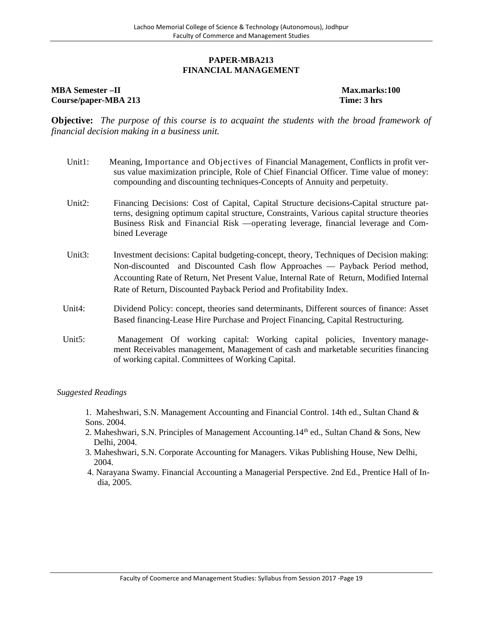#### **PAPER-MBA213 FINANCIAL MANAGEMENT**

#### **MBA Semester –II Max.marks:100 Course/paper-MBA 213 Time: 3 hrs**

**Objective:** *The purpose of this course is to acquaint the students with the broad framework of financial decision making in a business unit.*

- Unit1: Meaning, Importance and Objectives of Financial Management, Conflicts in profit versus value maximization principle, Role of Chief Financial Officer. Time value of money: compounding and discounting techniques-Concepts of Annuity and perpetuity.
- Unit2: Financing Decisions: Cost of Capital, Capital Structure decisions-Capital structure patterns, designing optimum capital structure, Constraints, Various capital structure theories Business Risk and Financial Risk —operating leverage, financial leverage and Combined Leverage
- Unit3: Investment decisions: Capital budgeting-concept, theory, Techniques of Decision making: Non-discounted and Discounted Cash flow Approaches — Payback Period method, Accounting Rate of Return, Net Present Value, Internal Rate of Return, Modified Internal Rate of Return, Discounted Payback Period and Profitability Index.
- Unit4: Dividend Policy: concept, theories sand determinants, Different sources of finance: Asset Based financing-Lease Hire Purchase and Project Financing, Capital Restructuring.
- Unit5: Management Of working capital: Working capital policies, Inventory management Receivables management, Management of cash and marketable securities financing of working capital. Committees of Working Capital.

- 1. Maheshwari, S.N. Management Accounting and Financial Control. 14th ed., Sultan Chand & Sons. 2004.
- 2. Maheshwari, S.N. Principles of Management Accounting.  $14<sup>th</sup>$  ed., Sultan Chand & Sons, New Delhi, 2004.
- 3. Maheshwari, S.N. Corporate Accounting for Managers. Vikas Publishing House, New Delhi, 2004.
- 4. Narayana Swamy. Financial Accounting a Managerial Perspective. 2nd Ed., Prentice Hall of India, 2005.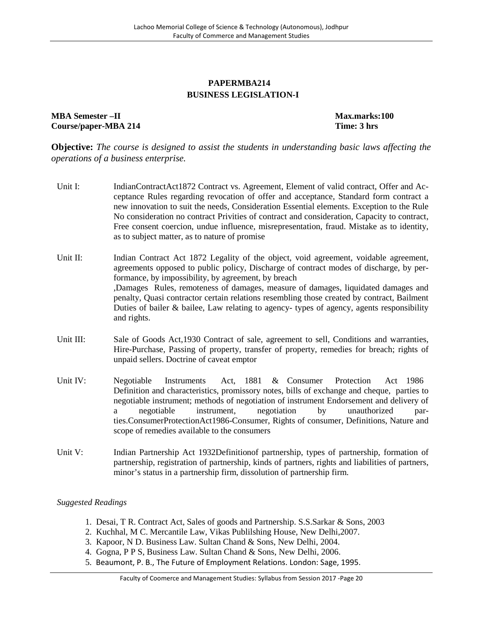### **PAPERMBA214 BUSINESS LEGISLATION-I**

### **MBA Semester –II Max.marks:100 Course/paper-MBA 214 Time: 3 hrs**

**Objective:** *The course is designed to assist the students in understanding basic laws affecting the operations of a business enterprise.*

- Unit I: IndianContractAct1872 Contract vs. Agreement, Element of valid contract, Offer and Acceptance Rules regarding revocation of offer and acceptance, Standard form contract a new innovation to suit the needs, Consideration Essential elements. Exception to the Rule No consideration no contract Privities of contract and consideration, Capacity to contract, Free consent coercion, undue influence, misrepresentation, fraud. Mistake as to identity, as to subject matter, as to nature of promise
- Unit II: Indian Contract Act 1872 Legality of the object, void agreement, voidable agreement, agreements opposed to public policy, Discharge of contract modes of discharge, by performance, by impossibility, by agreement, by breach ,Damages Rules, remoteness of damages, measure of damages, liquidated damages and penalty, Quasi contractor certain relations resembling those created by contract, Bailment Duties of bailer & bailee, Law relating to agency- types of agency, agents responsibility and rights.
- Unit III: Sale of Goods Act, 1930 Contract of sale, agreement to sell, Conditions and warranties, Hire-Purchase, Passing of property, transfer of property, remedies for breach; rights of unpaid sellers. Doctrine of caveat emptor
- Unit IV: Negotiable Instruments Act, 1881 & Consumer Protection Act 1986 Definition and characteristics, promissory notes, bills of exchange and cheque, parties to negotiable instrument; methods of negotiation of instrument Endorsement and delivery of a negotiable instrument, negotiation by unauthorized parties.ConsumerProtectionAct1986-Consumer, Rights of consumer, Definitions, Nature and scope of remedies available to the consumers
- Unit V: Indian Partnership Act 1932Definition of partnership, types of partnership, formation of partnership, registration of partnership, kinds of partners, rights and liabilities of partners, minor's status in a partnership firm, dissolution of partnership firm.

- 1. Desai, T R. Contract Act, Sales of goods and Partnership. S.S.Sarkar & Sons, 2003
- 2. Kuchhal, M C. Mercantile Law, Vikas Publilshing House, New Delhi,2007.
- 3. Kapoor, N D. Business Law. Sultan Chand & Sons, New Delhi, 2004.
- 4. Gogna, P P S, Business Law. Sultan Chand & Sons, New Delhi, 2006.
- 5. Beaumont, P. B., The Future of Employment Relations. London: Sage, 1995.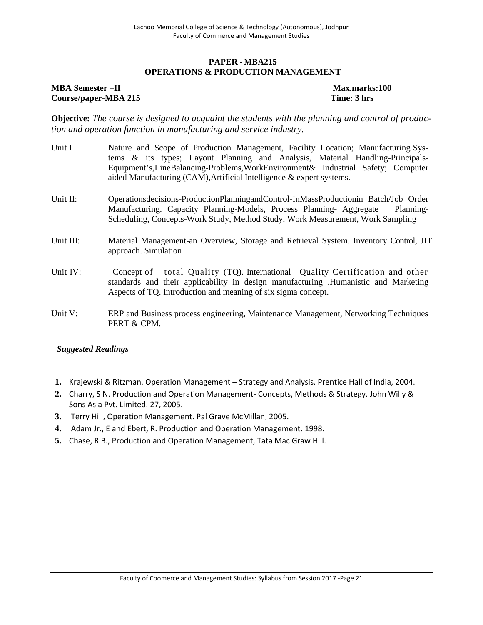#### **PAPER - MBA215 OPERATIONS & PRODUCTION MANAGEMENT**

#### **MBA Semester** –**II** and the semi-marks:100 max.marks:100 **Course/paper-MBA 215 Time: 3 hrs**

**Objective:** *The course is designed to acquaint the students with the planning and control of production and operation function in manufacturing and service industry.*

- Unit I Nature and Scope of Production Management, Facility Location; Manufacturing Systems & its types; Layout Planning and Analysis, Material Handling-Principals- Equipment's,LineBalancing-Problems,WorkEnvironment& Industrial Safety; Computer aided Manufacturing (CAM),Artificial Intelligence & expert systems.
- Unit II: Operationsdecisions-ProductionPlanningandControl-InMassProductionin Batch/Job Order Manufacturing. Capacity Planning-Models, Process Planning- Aggregate Planning- Scheduling, Concepts-Work Study, Method Study, Work Measurement, Work Sampling
- Unit III: Material Management-an Overview, Storage and Retrieval System. Inventory Control, JIT approach. Simulation
- Unit IV: Concept of total Quality (TQ). International Quality Certification and other standards and their applicability in design manufacturing .Humanistic and Marketing Aspects of TQ. Introduction and meaning of six sigma concept.
- Unit V: ERP and Business process engineering, Maintenance Management, Networking Techniques PERT & CPM.

- **1.** Krajewski & Ritzman. Operation Management Strategy and Analysis. Prentice Hall of India, 2004.
- **2.** Charry, S N. Production and Operation Management- Concepts, Methods & Strategy. John Willy & Sons Asia Pvt. Limited. 27, 2005.
- **3.** Terry Hill, Operation Management. Pal Grave McMillan, 2005.
- **4.** Adam Jr., E and Ebert, R. Production and Operation Management. 1998.
- **5.** Chase, R B., Production and Operation Management, Tata Mac Graw Hill.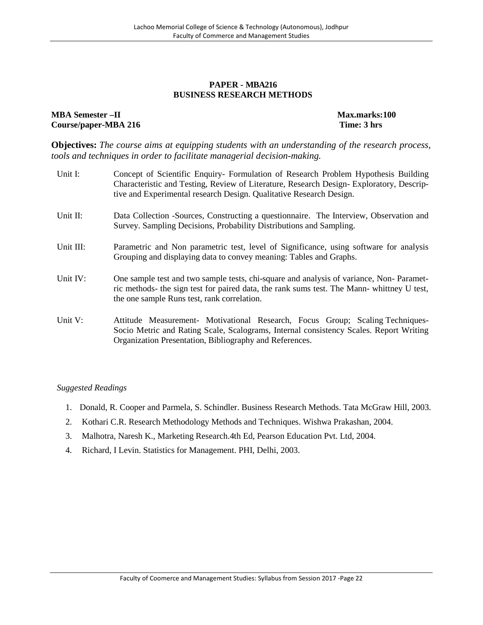#### **PAPER - MBA216 BUSINESS RESEARCH METHODS**

#### **MBA Semester –II Max.marks:100 Course/paper-MBA 216 Time: 3 hrs**

**Objectives:** *The course aims at equipping students with an understanding of the research process, tools and techniques in order to facilitate managerial decision-making.*

| Unit I:    | Concept of Scientific Enquiry- Formulation of Research Problem Hypothesis Building<br>Characteristic and Testing, Review of Literature, Research Design-Exploratory, Descrip-<br>tive and Experimental research Design. Qualitative Research Design. |
|------------|------------------------------------------------------------------------------------------------------------------------------------------------------------------------------------------------------------------------------------------------------|
| Unit II:   | Data Collection -Sources, Constructing a questionnaire. The Interview, Observation and<br>Survey. Sampling Decisions, Probability Distributions and Sampling.                                                                                        |
| Unit III:  | Parametric and Non parametric test, level of Significance, using software for analysis<br>Grouping and displaying data to convey meaning: Tables and Graphs.                                                                                         |
| Unit IV:   | One sample test and two sample tests, chi-square and analysis of variance, Non-Paramet-<br>ric methods- the sign test for paired data, the rank sums test. The Mann- whittney U test,<br>the one sample Runs test, rank correlation.                 |
| Unit $V$ : | Attitude Measurement- Motivational Research, Focus Group; Scaling Techniques-<br>Socio Metric and Rating Scale, Scalograms, Internal consistency Scales. Report Writing<br>Organization Presentation, Bibliography and References.                   |

- 1. Donald, R. Cooper and Parmela, S. Schindler. Business Research Methods. Tata McGraw Hill, 2003.
- 2. Kothari C.R. Research Methodology Methods and Techniques. Wishwa Prakashan, 2004.
- 3. Malhotra, Naresh K., Marketing Research.4th Ed, Pearson Education Pvt. Ltd, 2004.
- 4. Richard, I Levin. Statistics for Management. PHI, Delhi, 2003.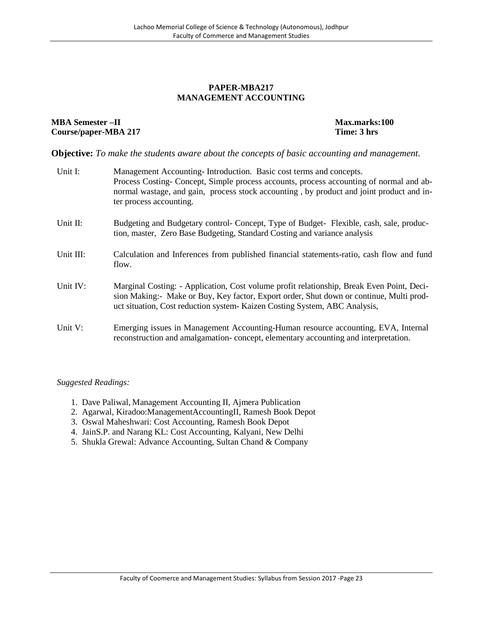#### **PAPER-MBA217 MANAGEMENT ACCOUNTING**

#### **MBA Semester –II Max.marks:100 Course/paper-MBA 217 Time: 3 hrs**

**Objective:** *To make the students aware about the concepts of basic accounting and management.*

| Unit I:   | Management Accounting-Introduction. Basic cost terms and concepts.<br>Process Costing-Concept, Simple process accounts, process accounting of normal and ab-<br>normal wastage, and gain, process stock accounting, by product and joint product and in-<br>ter process accounting. |
|-----------|-------------------------------------------------------------------------------------------------------------------------------------------------------------------------------------------------------------------------------------------------------------------------------------|
| Unit II:  | Budgeting and Budgetary control- Concept, Type of Budget- Flexible, cash, sale, produc-<br>tion, master, Zero Base Budgeting, Standard Costing and variance analysis                                                                                                                |
| Unit III: | Calculation and Inferences from published financial statements-ratio, cash flow and fund<br>flow.                                                                                                                                                                                   |
| Unit IV:  | Marginal Costing: - Application, Cost volume profit relationship, Break Even Point, Deci-<br>sion Making: - Make or Buy, Key factor, Export order, Shut down or continue, Multi prod-<br>uct situation, Cost reduction system- Kaizen Costing System, ABC Analysis,                 |
| Unit V:   | Emerging issues in Management Accounting-Human resource accounting, EVA, Internal<br>reconstruction and amalgamation-concept, elementary accounting and interpretation.                                                                                                             |

- 1. Dave Paliwal, Management Accounting II, Ajmera Publication
- 2. Agarwal, Kiradoo:ManagementAccountingII, Ramesh Book Depot
- 3. Oswal Maheshwari: Cost Accounting, Ramesh Book Depot
- 4. JainS.P. and Narang KL: Cost Accounting, Kalyani, New Delhi
- 5. Shukla Grewal: Advance Accounting, Sultan Chand & Company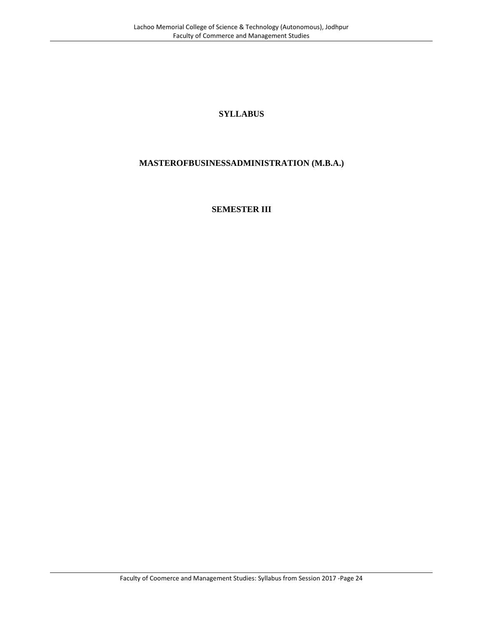# **SYLLABUS**

# **MASTEROFBUSINESSADMINISTRATION (M.B.A.)**

### **SEMESTER III**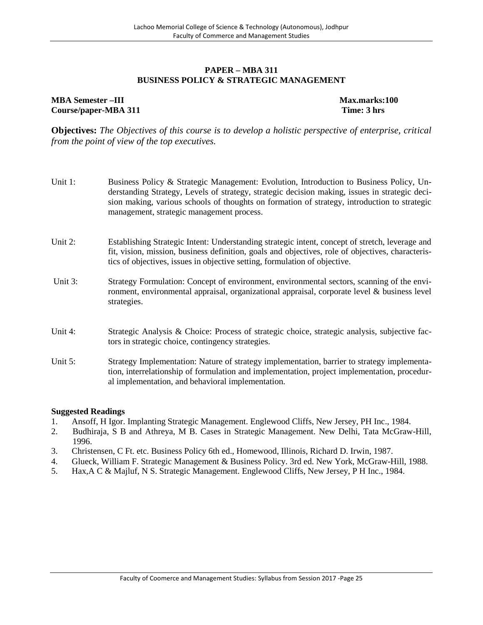#### **PAPER – MBA 311 BUSINESS POLICY & STRATEGIC MANAGEMENT**

# **MBA Semester –III Max.marks:100 Course/paper-MBA 311 Time: 3 hrs**

**Objectives:** *The Objectives of this course is to develop a holistic perspective of enterprise, critical from the point of view of the top executives.*

- Unit 1: Business Policy & Strategic Management: Evolution, Introduction to Business Policy, Understanding Strategy, Levels of strategy, strategic decision making, issues in strategic decision making, various schools of thoughts on formation of strategy, introduction to strategic management, strategic management process.
- Unit 2: Establishing Strategic Intent: Understanding strategic intent, concept of stretch, leverage and fit, vision, mission, business definition, goals and objectives, role of objectives, characteristics of objectives, issues in objective setting, formulation of objective.
- Unit 3: Strategy Formulation: Concept of environment, environmental sectors, scanning of the environment, environmental appraisal, organizational appraisal, corporate level & business level strategies.
- Unit 4: Strategic Analysis & Choice: Process of strategic choice, strategic analysis, subjective factors in strategic choice, contingency strategies.
- Unit 5: Strategy Implementation: Nature of strategy implementation, barrier to strategy implementation, interrelationship of formulation and implementation, project implementation, procedural implementation, and behavioral implementation.

- 1. Ansoff, H Igor. Implanting Strategic Management. Englewood Cliffs, New Jersey, PH Inc., 1984.
- 2. Budhiraja, S B and Athreya, M B. Cases in Strategic Management. New Delhi, Tata McGraw-Hill, 1996.
- 3. Christensen, C Ft. etc. Business Policy 6th ed., Homewood, Illinois, Richard D. Irwin, 1987.
- 4. Glueck, William F. Strategic Management & Business Policy. 3rd ed. New York, McGraw-Hill, 1988.
- 5. Hax,A C & Majluf, N S. Strategic Management. Englewood Cliffs, New Jersey, P H Inc., 1984.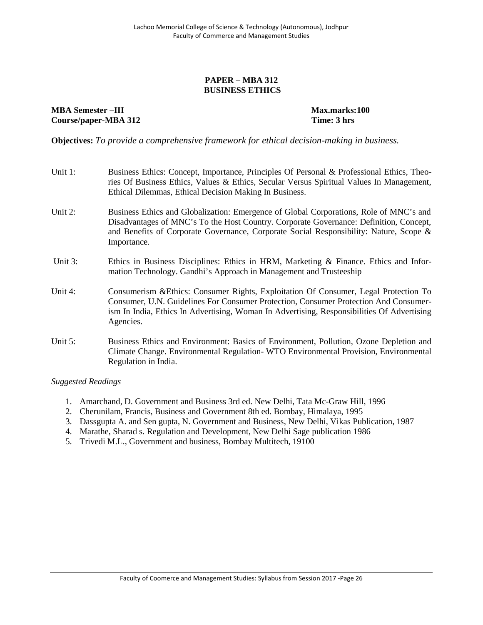#### **PAPER – MBA 312 BUSINESS ETHICS**

**MBA Semester** –**III Max.marks:100 Course/paper-MBA 312 Time: 3 hrs**

**Objectives:** *To provide a comprehensive framework for ethical decision-making in business.*

| Unit 1:    | Business Ethics: Concept, Importance, Principles Of Personal & Professional Ethics, Theo-<br>ries Of Business Ethics, Values & Ethics, Secular Versus Spiritual Values In Management,<br>Ethical Dilemmas, Ethical Decision Making In Business.                                           |
|------------|-------------------------------------------------------------------------------------------------------------------------------------------------------------------------------------------------------------------------------------------------------------------------------------------|
| Unit 2:    | Business Ethics and Globalization: Emergence of Global Corporations, Role of MNC's and<br>Disadvantages of MNC's To the Host Country. Corporate Governance: Definition, Concept,<br>and Benefits of Corporate Governance, Corporate Social Responsibility: Nature, Scope &<br>Importance. |
| Unit 3:    | Ethics in Business Disciplines: Ethics in HRM, Marketing & Finance. Ethics and Infor-<br>mation Technology. Gandhi's Approach in Management and Trusteeship                                                                                                                               |
| Unit 4:    | Consumerism & Ethics: Consumer Rights, Exploitation Of Consumer, Legal Protection To<br>Consumer, U.N. Guidelines For Consumer Protection, Consumer Protection And Consumer-<br>ism In India, Ethics In Advertising, Woman In Advertising, Responsibilities Of Advertising<br>Agencies.   |
| Unit $5$ : | Business Ethics and Environment: Basics of Environment, Pollution, Ozone Depletion and<br>Climate Change. Environmental Regulation-WTO Environmental Provision, Environmental<br>Regulation in India.                                                                                     |

- 1. Amarchand, D. Government and Business 3rd ed. New Delhi, Tata Mc-Graw Hill, 1996
- 2. Cherunilam, Francis, Business and Government 8th ed. Bombay, Himalaya, 1995
- 3. Dassgupta A. and Sen gupta, N. Government and Business, New Delhi, Vikas Publication, 1987
- 4. Marathe, Sharad s. Regulation and Development, New Delhi Sage publication 1986
- 5. Trivedi M.L., Government and business, Bombay Multitech, 19100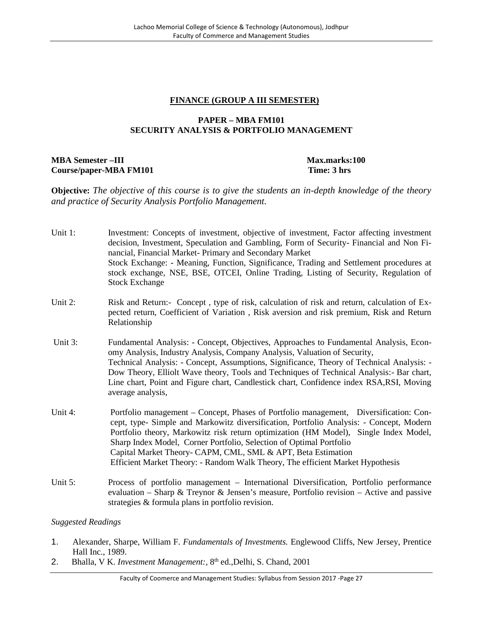### **FINANCE (GROUP A III SEMESTER)**

# **PAPER – MBA FM101 SECURITY ANALYSIS & PORTFOLIO MANAGEMENT**

### **MBA Semester –III Max.marks:100 Course/paper-MBA FM101 Time: 3 hrs**

**Objective:** *The objective of this course is to give the students an in-depth knowledge of the theory and practice of Security Analysis Portfolio Management.*

- Unit 1: Investment: Concepts of investment, objective of investment, Factor affecting investment decision, Investment, Speculation and Gambling, Form of Security- Financial and Non Financial, Financial Market- Primary and Secondary Market Stock Exchange: - Meaning, Function, Significance, Trading and Settlement procedures at stock exchange, NSE, BSE, OTCEI, Online Trading, Listing of Security, Regulation of Stock Exchange
- Unit 2: Risk and Return:- Concept, type of risk, calculation of risk and return, calculation of Expected return, Coefficient of Variation , Risk aversion and risk premium, Risk and Return Relationship
- Unit 3: Fundamental Analysis: Concept, Objectives, Approaches to Fundamental Analysis, Economy Analysis, Industry Analysis, Company Analysis, Valuation of Security, Technical Analysis: - Concept, Assumptions, Significance, Theory of Technical Analysis: - Dow Theory, Elliolt Wave theory, Tools and Techniques of Technical Analysis:- Bar chart, Line chart, Point and Figure chart, Candlestick chart, Confidence index RSA,RSI, Moving average analysis,
- Unit 4: Portfolio management Concept, Phases of Portfolio management, Diversification: Concept, type- Simple and Markowitz diversification, Portfolio Analysis: - Concept, Modern Portfolio theory, Markowitz risk return optimization (HM Model), Single Index Model, Sharp Index Model, Corner Portfolio, Selection of Optimal Portfolio Capital Market Theory- CAPM, CML, SML & APT, Beta Estimation Efficient Market Theory: - Random Walk Theory, The efficient Market Hypothesis
- Unit 5: Process of portfolio management International Diversification, Portfolio performance evaluation – Sharp & Treynor & Jensen's measure, Portfolio revision – Active and passive strategies & formula plans in portfolio revision.

- 1. Alexander, Sharpe, William F. *Fundamentals of Investments.* Englewood Cliffs, New Jersey, Prentice Hall Inc., 1989.
- 2. Bhalla, V K. *Investment Management:*, 8<sup>th</sup> ed., Delhi, S. Chand, 2001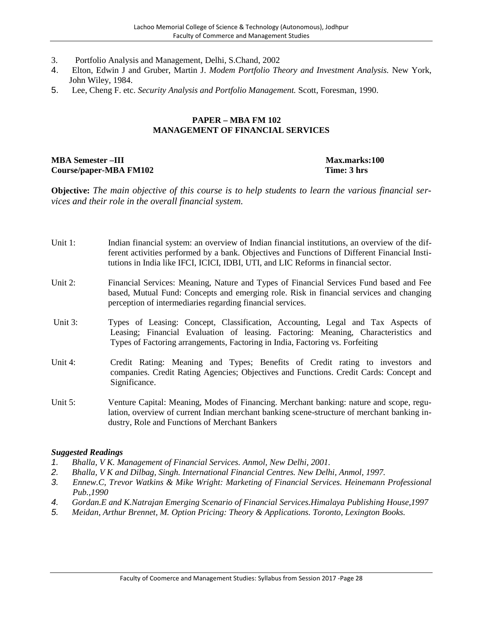- 3. Portfolio Analysis and Management, Delhi, S.Chand, 2002
- 4. Elton, Edwin J and Gruber, Martin J. *Modem Portfolio Theory and Investment Analysis.* New York, John Wiley, 1984.
- 5. Lee, Cheng F. etc. *Security Analysis and Portfolio Management.* Scott, Foresman, 1990.

# **PAPER – MBA FM 102 MANAGEMENT OF FINANCIAL SERVICES**

#### **MBA Semester –III Max.marks:100 Course/paper-MBA FM102 Time: 3 hrs**

**Objective:** *The main objective of this course is to help students to learn the various financial services and their role in the overall financial system.*

- Unit 1: Indian financial system: an overview of Indian financial institutions, an overview of the different activities performed by a bank. Objectives and Functions of Different Financial Institutions in India like IFCI, ICICI, IDBI, UTI, and LIC Reforms in financial sector.
- Unit 2: Financial Services: Meaning, Nature and Types of Financial Services Fund based and Fee based, Mutual Fund: Concepts and emerging role. Risk in financial services and changing perception of intermediaries regarding financial services.
- Unit 3: Types of Leasing: Concept, Classification, Accounting, Legal and Tax Aspects of Leasing; Financial Evaluation of leasing. Factoring: Meaning, Characteristics and Types of Factoring arrangements, Factoring in India, Factoring vs. Forfeiting
- Unit 4: Credit Rating: Meaning and Types; Benefits of Credit rating to investors and companies. Credit Rating Agencies; Objectives and Functions. Credit Cards: Concept and Significance.
- Unit 5: Venture Capital: Meaning, Modes of Financing. Merchant banking: nature and scope, regulation, overview of current Indian merchant banking scene-structure of merchant banking industry, Role and Functions of Merchant Bankers

- *1. Bhalla, V K. Management of Financial Services. Anmol, New Delhi, 2001.*
- *2. Bhalla, V K and Dilbag, Singh. International Financial Centres. New Delhi, Anmol, 1997.*
- *3. Ennew.C, Trevor Watkins & Mike Wright: Marketing of Financial Services. Heinemann Professional Pub.,1990*
- *4. Gordan.E and K.Natrajan Emerging Scenario of Financial Services.Himalaya Publishing House,1997*
- *5. Meidan, Arthur Brennet, M. Option Pricing: Theory & Applications. Toronto, Lexington Books.*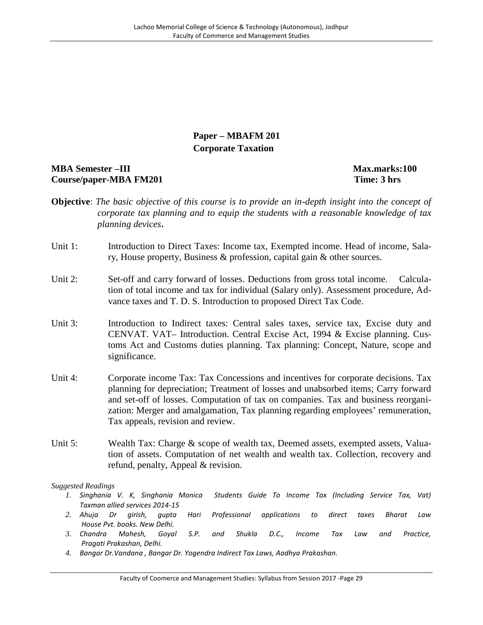# **Paper – MBAFM 201 Corporate Taxation**

# **MBA Semester –III Max.marks:100 Course/paper-MBA FM201 Time: 3 hrs**

- **Objective**: *The basic objective of this course is to provide an in-depth insight into the concept of corporate tax planning and to equip the students with a reasonable knowledge of tax planning devices***.**
- Unit 1: Introduction to Direct Taxes: Income tax, Exempted income. Head of income, Salary, House property, Business & profession, capital gain & other sources.
- Unit 2: Set-off and carry forward of losses. Deductions from gross total income. Calculation of total income and tax for individual (Salary only). Assessment procedure, Advance taxes and T. D. S. Introduction to proposed Direct Tax Code.
- Unit 3: Introduction to Indirect taxes: Central sales taxes, service tax, Excise duty and CENVAT. VAT– Introduction. Central Excise Act, 1994 & Excise planning. Customs Act and Customs duties planning. Tax planning: Concept, Nature, scope and significance.
- Unit 4: Corporate income Tax: Tax Concessions and incentives for corporate decisions. Tax planning for depreciation; Treatment of losses and unabsorbed items; Carry forward and set-off of losses. Computation of tax on companies. Tax and business reorganization: Merger and amalgamation, Tax planning regarding employees' remuneration, Tax appeals, revision and review.
- Unit 5: Wealth Tax: Charge & scope of wealth tax, Deemed assets, exempted assets, Valuation of assets. Computation of net wealth and wealth tax. Collection, recovery and refund, penalty, Appeal & revision.

- *1. Singhania V. K, Singhania Monica Students Guide To Income Tax (Including Service Tax, Vat) Taxman allied services 2014-15*
- *2. Ahuja Dr girish, gupta Hari Professional applications to direct taxes Bharat Law House Pvt. books. New Delhi.*
- *3. Chandra Mahesh, Goyal S.P. and Shukla D.C., Income Tax Law and Practice, Pragati Prakashan, Delhi.*
- *4. Bangar Dr.Vandana , Bangar Dr. Yogendra Indirect Tax Laws, Aadhya Prakashan.*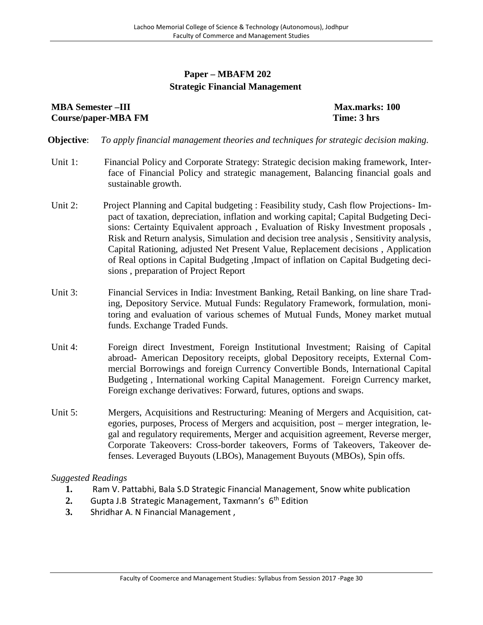# **Paper – MBAFM 202 Strategic Financial Management**

# **MBA Semester –III Max.marks: 100 Course/paper-MBA FM Time: 3 hrs**

**Objective**: *To apply financial management theories and techniques for strategic decision making.*

- Unit 1: Financial Policy and Corporate Strategy: Strategic decision making framework, Interface of Financial Policy and strategic management, Balancing financial goals and sustainable growth.
- Unit 2: Project Planning and Capital budgeting : Feasibility study, Cash flow Projections- Impact of taxation, depreciation, inflation and working capital; Capital Budgeting Decisions: Certainty Equivalent approach , Evaluation of Risky Investment proposals , Risk and Return analysis, Simulation and decision tree analysis , Sensitivity analysis, Capital Rationing, adjusted Net Present Value, Replacement decisions , Application of Real options in Capital Budgeting ,Impact of inflation on Capital Budgeting decisions , preparation of Project Report
- Unit 3: Financial Services in India: Investment Banking, Retail Banking, on line share Trading, Depository Service. Mutual Funds: Regulatory Framework, formulation, monitoring and evaluation of various schemes of Mutual Funds, Money market mutual funds. Exchange Traded Funds.
- Unit 4: Foreign direct Investment, Foreign Institutional Investment; Raising of Capital abroad- American Depository receipts, global Depository receipts, External Commercial Borrowings and foreign Currency Convertible Bonds, International Capital Budgeting , International working Capital Management. Foreign Currency market, Foreign exchange derivatives: Forward, futures, options and swaps.
- Unit 5: Mergers, Acquisitions and Restructuring: Meaning of Mergers and Acquisition, categories, purposes, Process of Mergers and acquisition, post – merger integration, legal and regulatory requirements, Merger and acquisition agreement, Reverse merger, Corporate Takeovers: Cross-border takeovers, Forms of Takeovers, Takeover defenses. Leveraged Buyouts (LBOs), Management Buyouts (MBOs), Spin offs.

- **1.** Ram V. Pattabhi, Bala S.D Strategic Financial Management, Snow white publication
- **2.** Gupta J.B Strategic Management, Taxmann's 6 th Edition
- **3.** Shridhar A. N Financial Management ,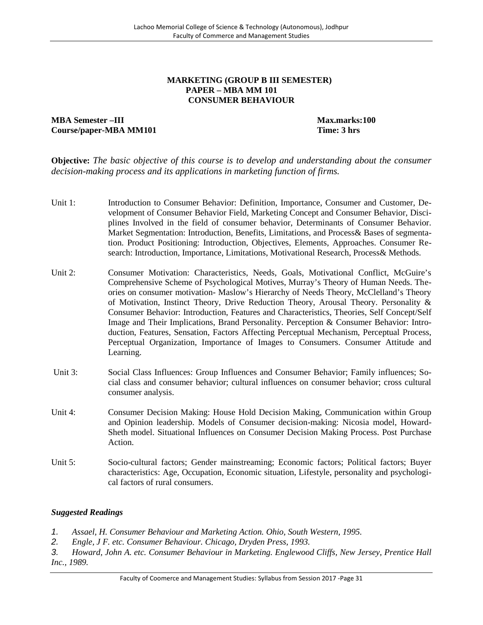#### **MARKETING (GROUP B III SEMESTER) PAPER – MBA MM 101 CONSUMER BEHAVIOUR**

# **MBA Semester –III Max.marks:100 Course/paper-MBA MM101 Time: 3 hrs**

**Objective:** *The basic objective of this course is to develop and understanding about the consumer decision-making process and its applications in marketing function of firms.*

- Unit 1: Introduction to Consumer Behavior: Definition, Importance, Consumer and Customer, Development of Consumer Behavior Field, Marketing Concept and Consumer Behavior, Disciplines Involved in the field of consumer behavior, Determinants of Consumer Behavior. Market Segmentation: Introduction, Benefits, Limitations, and Process& Bases of segmentation. Product Positioning: Introduction, Objectives, Elements, Approaches. Consumer Research: Introduction, Importance, Limitations, Motivational Research, Process& Methods.
- Unit 2: Consumer Motivation: Characteristics, Needs, Goals, Motivational Conflict, McGuire's Comprehensive Scheme of Psychological Motives, Murray's Theory of Human Needs. Theories on consumer motivation- Maslow's Hierarchy of Needs Theory, McClelland's Theory of Motivation, Instinct Theory, Drive Reduction Theory, Arousal Theory. Personality & Consumer Behavior: Introduction, Features and Characteristics, Theories, Self Concept/Self Image and Their Implications, Brand Personality. Perception & Consumer Behavior: Introduction, Features, Sensation, Factors Affecting Perceptual Mechanism, Perceptual Process, Perceptual Organization, Importance of Images to Consumers. Consumer Attitude and Learning.
- Unit 3: Social Class Influences: Group Influences and Consumer Behavior; Family influences; Social class and consumer behavior; cultural influences on consumer behavior; cross cultural consumer analysis.
- Unit 4: Consumer Decision Making: House Hold Decision Making, Communication within Group and Opinion leadership. Models of Consumer decision-making: Nicosia model, Howard- Sheth model. Situational Influences on Consumer Decision Making Process. Post Purchase Action.
- Unit 5: Socio-cultural factors; Gender mainstreaming; Economic factors; Political factors; Buyer characteristics: Age, Occupation, Economic situation, Lifestyle, personality and psychological factors of rural consumers.

- *1. Assael, H. Consumer Behaviour and Marketing Action. Ohio, South Western, 1995.*
- *2. Engle, J F. etc. Consumer Behaviour. Chicago, Dryden Press, 1993.*
- *3. Howard, John A. etc. Consumer Behaviour in Marketing. Englewood Cliffs, New Jersey, Prentice Hall Inc., 1989.*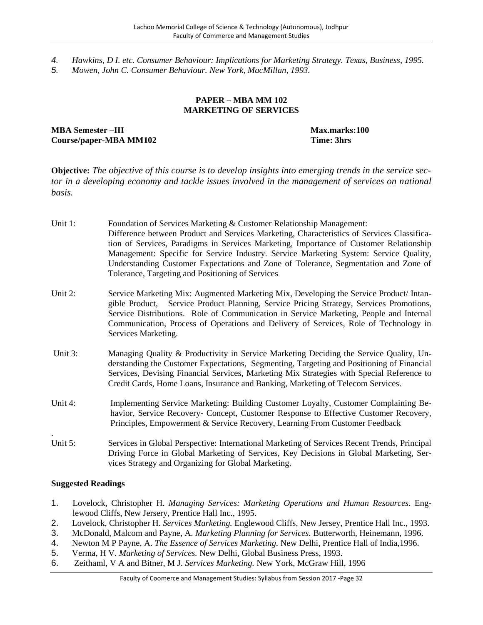- *4. Hawkins, D I. etc. Consumer Behaviour: Implications for Marketing Strategy. Texas, Business, 1995.*
- *5. Mowen, John C. Consumer Behaviour. New York, MacMillan, 1993.*

#### **PAPER – MBA MM 102 MARKETING OF SERVICES**

**MBA Semester –III Max.marks:100 Course/paper-MBA MM102 Time: 3hrs**

**Objective:** *The objective of this course is to develop insights into emerging trends in the service sector in a developing economy and tackle issues involved in the management of services on national basis.*

- Unit 1: Foundation of Services Marketing & Customer Relationship Management: Difference between Product and Services Marketing, Characteristics of Services Classification of Services, Paradigms in Services Marketing, Importance of Customer Relationship Management: Specific for Service Industry. Service Marketing System: Service Quality, Understanding Customer Expectations and Zone of Tolerance, Segmentation and Zone of Tolerance, Targeting and Positioning of Services
- Unit 2: Service Marketing Mix: Augmented Marketing Mix, Developing the Service Product/ Intangible Product, Service Product Planning, Service Pricing Strategy, Services Promotions, Service Distributions. Role of Communication in Service Marketing, People and Internal Communication, Process of Operations and Delivery of Services, Role of Technology in Services Marketing.
- Unit 3: Managing Quality & Productivity in Service Marketing Deciding the Service Quality, Understanding the Customer Expectations, Segmenting, Targeting and Positioning of Financial Services, Devising Financial Services, Marketing Mix Strategies with Special Reference to Credit Cards, Home Loans, Insurance and Banking, Marketing of Telecom Services.
- Unit 4: Implementing Service Marketing: Building Customer Loyalty, Customer Complaining Behavior, Service Recovery- Concept, Customer Response to Effective Customer Recovery, Principles, Empowerment & Service Recovery, Learning From Customer Feedback
- .Unit 5: Services in Global Perspective: International Marketing of Services Recent Trends, Principal Driving Force in Global Marketing of Services, Key Decisions in Global Marketing, Services Strategy and Organizing for Global Marketing.

- 1. Lovelock, Christopher H. *Managing Services: Marketing Operations and Human Resources.* Englewood Cliffs, New Jersery, Prentice Hall Inc., 1995.
- 2. Lovelock, Christopher H. *Services Marketing.* Englewood Cliffs, New Jersey, Prentice Hall Inc., 1993.
- 3. McDonald, Malcom and Payne, A. *Marketing Planning for Services.* Butterworth, Heinemann, 1996.
- 4. Newton M P Payne, A. *The Essence of Services Marketing.* New Delhi, Prentice Hall of India,1996.
- 5. Verma, H V. *Marketing of Services.* New Delhi, Global Business Press, 1993.
- 6. Zeithaml, V A and Bitner, M J. *Services Marketing.* New York, McGraw Hill, 1996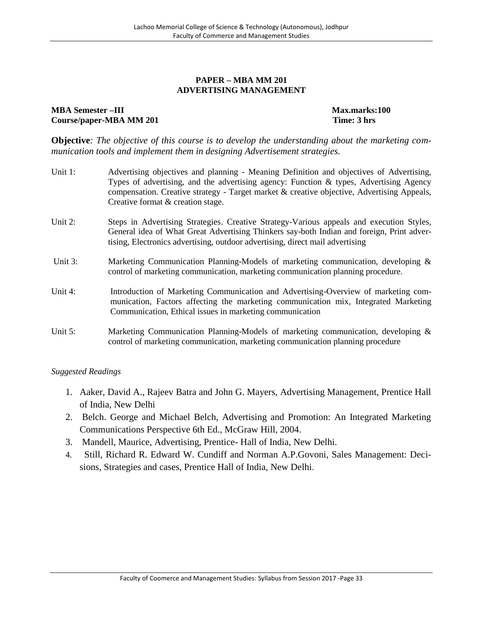#### **PAPER – MBA MM 201 ADVERTISING MANAGEMENT**

#### **MBA Semester –III Max.marks:100 Course/paper-MBA MM 201 Time: 3 hrs**

**Objective***: The objective of this course is to develop the understanding about the marketing communication tools and implement them in designing Advertisement strategies.*

| Unit 1: | Advertising objectives and planning - Meaning Definition and objectives of Advertising,<br>Types of advertising, and the advertising agency: Function & types, Advertising Agency<br>compensation. Creative strategy - Target market & creative objective, Advertising Appeals,<br>Creative format & creation stage. |
|---------|----------------------------------------------------------------------------------------------------------------------------------------------------------------------------------------------------------------------------------------------------------------------------------------------------------------------|
| Unit 2: | Steps in Advertising Strategies. Creative Strategy-Various appeals and execution Styles,<br>General idea of What Great Advertising Thinkers say-both Indian and foreign, Print adver-<br>tising, Electronics advertising, outdoor advertising, direct mail advertising                                               |
| Unit 3: | Marketing Communication Planning-Models of marketing communication, developing &<br>control of marketing communication, marketing communication planning procedure.                                                                                                                                                  |
| Unit 4: | Introduction of Marketing Communication and Advertising-Overview of marketing com-<br>munication, Factors affecting the marketing communication mix, Integrated Marketing<br>Communication, Ethical issues in marketing communication                                                                                |
| Unit 5: | Marketing Communication Planning-Models of marketing communication, developing &<br>control of marketing communication, marketing communication planning procedure                                                                                                                                                   |

- 1. Aaker, David A., Rajeev Batra and John G. Mayers, Advertising Management, Prentice Hall of India, New Delhi
- 2. Belch. George and Michael Belch, Advertising and Promotion: An Integrated Marketing Communications Perspective 6th Ed., McGraw Hill, 2004.
- 3. Mandell, Maurice, Advertising, Prentice- Hall of India, New Delhi.
- 4. Still, Richard R. Edward W. Cundiff and Norman A.P.Govoni, Sales Management: Decisions, Strategies and cases, Prentice Hall of India, New Delhi.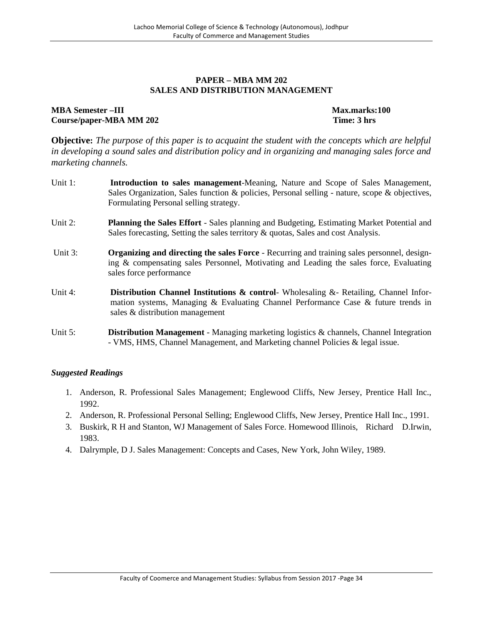#### **PAPER – MBA MM 202 SALES AND DISTRIBUTION MANAGEMENT**

#### **MBA Semester –III Max.marks:100 Course/paper-MBA MM 202 Time: 3 hrs**

**Objective:** *The purpose of this paper is to acquaint the student with the concepts which are helpful in developing a sound sales and distribution policy and in organizing and managing sales force and marketing channels.*

- Unit 1: **Introduction to sales management**-Meaning, Nature and Scope of Sales Management, Sales Organization, Sales function & policies, Personal selling - nature, scope & objectives, Formulating Personal selling strategy.
- Unit 2: **Planning the Sales Effort** Sales planning and Budgeting, Estimating Market Potential and Sales forecasting, Setting the sales territory & quotas, Sales and cost Analysis.
- Unit 3: **Organizing and directing the sales Force** Recurring and training sales personnel, designing & compensating sales Personnel, Motivating and Leading the sales force, Evaluating sales force performance
- Unit 4: **Distribution Channel Institutions & control** Wholesaling &- Retailing, Channel Information systems, Managing & Evaluating Channel Performance Case & future trends in sales & distribution management
- Unit 5: **Distribution Management** Managing marketing logistics & channels, Channel Integration - VMS, HMS, Channel Management, and Marketing channel Policies & legal issue.

- 1. Anderson, R. Professional Sales Management; Englewood Cliffs, New Jersey, Prentice Hall Inc., 1992.
- 2. Anderson, R. Professional Personal Selling; Englewood Cliffs, New Jersey, Prentice Hall Inc., 1991.
- 3. Buskirk, R H and Stanton, WJ Management of Sales Force. Homewood Illinois, Richard D.Irwin, 1983.
- 4. Dalrymple, D J. Sales Management: Concepts and Cases, New York, John Wiley, 1989.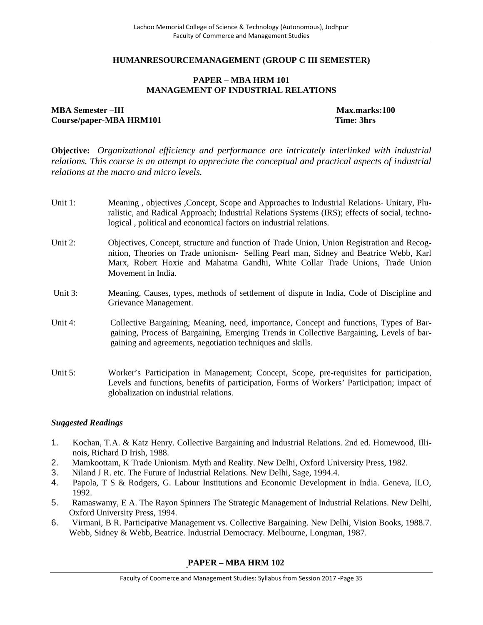#### **HUMANRESOURCEMANAGEMENT (GROUP C III SEMESTER)**

#### **PAPER – MBA HRM 101 MANAGEMENT OF INDUSTRIAL RELATIONS**

**MBA Semester –III Max.marks:100 Course/paper-MBA HRM101 Time: 3hrs**

**Objective:** *Organizational efficiency and performance are intricately interlinked with industrial relations. This course is an attempt to appreciate the conceptual and practical aspects of industrial relations at the macro and micro levels.*

- Unit 1: Meaning , objectives ,Concept, Scope and Approaches to Industrial Relations‐ Unitary, Pluralistic, and Radical Approach; Industrial Relations Systems (IRS); effects of social, technological , political and economical factors on industrial relations.
- Unit 2: Objectives, Concept, structure and function of Trade Union, Union Registration and Recognition, Theories on Trade unionism‐ Selling Pearl man, Sidney and Beatrice Webb, Karl Marx, Robert Hoxie and Mahatma Gandhi, White Collar Trade Unions, Trade Union Movement in India.
- Unit 3: Meaning, Causes, types, methods of settlement of dispute in India, Code of Discipline and Grievance Management.
- Unit 4: Collective Bargaining; Meaning, need, importance, Concept and functions, Types of Bargaining, Process of Bargaining, Emerging Trends in Collective Bargaining, Levels of bargaining and agreements, negotiation techniques and skills.
- Unit 5: Worker's Participation in Management; Concept, Scope, pre-requisites for participation, Levels and functions, benefits of participation, Forms of Workers' Participation; impact of globalization on industrial relations.

#### *Suggested Readings*

- 1. Kochan, T.A. & Katz Henry. Collective Bargaining and Industrial Relations. 2nd ed. Homewood, Illinois, Richard D Irish, 1988.
- 2. Mamkoottam, K Trade Unionism. Myth and Reality. New Delhi, Oxford University Press, 1982.
- 3. Niland J R. etc. The Future of Industrial Relations. New Delhi, Sage, 1994.4.
- 4. Papola, T S & Rodgers, G. Labour Institutions and Economic Development in India. Geneva, ILO, 1992.
- 5. Ramaswamy, E A. The Rayon Spinners The Strategic Management of Industrial Relations. New Delhi, Oxford University Press, 1994.
- 6. Virmani, B R. Participative Management vs. Collective Bargaining. New Delhi, Vision Books, 1988.7. Webb, Sidney & Webb, Beatrice. Industrial Democracy. Melbourne, Longman, 1987.

# **PAPER – MBA HRM 102**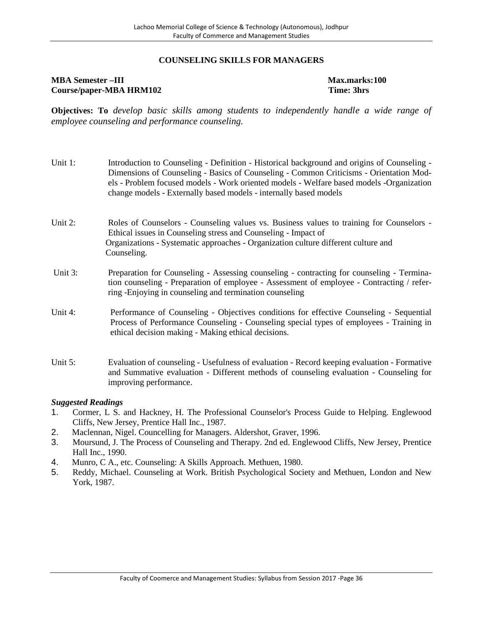#### **COUNSELING SKILLS FOR MANAGERS**

#### **MBA Semester –III Max.marks:100 Course/paper-MBA HRM102 Time: 3hrs**

**Objectives: To** *develop basic skills among students to independently handle a wide range of employee counseling and performance counseling.*

| Unit 1:    | Introduction to Counseling - Definition - Historical background and origins of Counseling -<br>Dimensions of Counseling - Basics of Counseling - Common Criticisms - Orientation Mod-<br>els - Problem focused models - Work oriented models - Welfare based models - Organization<br>change models - Externally based models - internally based models |
|------------|---------------------------------------------------------------------------------------------------------------------------------------------------------------------------------------------------------------------------------------------------------------------------------------------------------------------------------------------------------|
| Unit 2:    | Roles of Counselors - Counseling values vs. Business values to training for Counselors -<br>Ethical issues in Counseling stress and Counseling - Impact of<br>Organizations - Systematic approaches - Organization culture different culture and<br>Counseling.                                                                                         |
| Unit 3:    | Preparation for Counseling - Assessing counseling - contracting for counseling - Termina-<br>tion counseling - Preparation of employee - Assessment of employee - Contracting / refer-<br>ring -Enjoying in counseling and termination counseling                                                                                                       |
| Unit 4:    | Performance of Counseling - Objectives conditions for effective Counseling - Sequential<br>Process of Performance Counseling - Counseling special types of employees - Training in<br>ethical decision making - Making ethical decisions.                                                                                                               |
| Unit $5$ : | Evaluation of counseling - Usefulness of evaluation - Record keeping evaluation - Formative<br>and Summative evaluation - Different methods of counseling evaluation - Counseling for<br>improving performance.                                                                                                                                         |

- 1. Cormer, L S. and Hackney, H. The Professional Counselor's Process Guide to Helping. Englewood Cliffs, New Jersey, Prentice Hall Inc., 1987.
- 2. Maclennan, Nigel. Councelling for Managers. Aldershot, Graver, 1996.
- 3. Moursund, J. The Process of Counseling and Therapy. 2nd ed. Englewood Cliffs, New Jersey, Prentice Hall Inc., 1990.
- 4. Munro, C A., etc. Counseling: A Skills Approach. Methuen, 1980.
- 5. Reddy, Michael. Counseling at Work. British Psychological Society and Methuen, London and New York, 1987.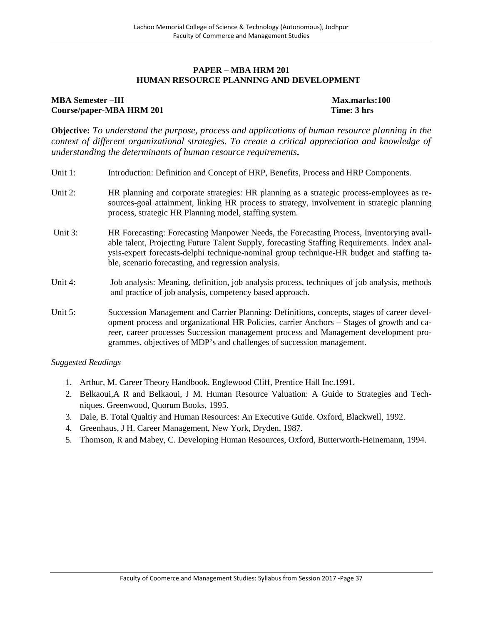#### **PAPER – MBA HRM 201 HUMAN RESOURCE PLANNING AND DEVELOPMENT**

# **MBA Semester –III Max.marks:100 Course/paper-MBA HRM 201 Time: 3 hrs**

**Objective:** *To understand the purpose, process and applications of human resource planning in the context of different organizational strategies. To create a critical appreciation and knowledge of understanding the determinants of human resource requirements.*

- Unit 1: Introduction: Definition and Concept of HRP, Benefits, Process and HRP Components.
- Unit 2: HR planning and corporate strategies: HR planning as a strategic process-employees as resources-goal attainment, linking HR process to strategy, involvement in strategic planning process, strategic HR Planning model, staffing system.
- Unit 3: HR Forecasting: Forecasting Manpower Needs, the Forecasting Process, Inventorying available talent, Projecting Future Talent Supply, forecasting Staffing Requirements. Index analysis-expert forecasts-delphi technique-nominal group technique-HR budget and staffing table, scenario forecasting, and regression analysis.
- Unit 4: Job analysis: Meaning, definition, job analysis process, techniques of job analysis, methods and practice of job analysis, competency based approach.
- Unit 5: Succession Management and Carrier Planning: Definitions, concepts, stages of career development process and organizational HR Policies, carrier Anchors – Stages of growth and career, career processes Succession management process and Management development programmes, objectives of MDP's and challenges of succession management.

- 1. Arthur, M. Career Theory Handbook. Englewood Cliff, Prentice Hall Inc.1991.
- 2. Belkaoui,A R and Belkaoui, J M. Human Resource Valuation: A Guide to Strategies and Techniques. Greenwood, Quorum Books, 1995.
- 3. Dale, B. Total Qualtiy and Human Resources: An Executive Guide. Oxford, Blackwell, 1992.
- 4. Greenhaus, J H. Career Management, New York, Dryden, 1987.
- 5. Thomson, R and Mabey, C. Developing Human Resources, Oxford, Butterworth-Heinemann, 1994.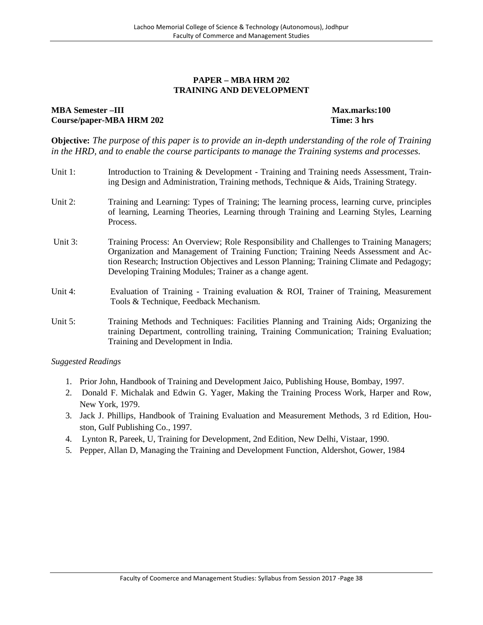#### **PAPER – MBA HRM 202 TRAINING AND DEVELOPMENT**

#### **MBA Semester** –**III** and the set of the set of the set of the set of the Max.marks:100 **Course/paper-MBA HRM 202 Time: 3 hrs**

**Objective:** *The purpose of this paper is to provide an in-depth understanding of the role of Training in the HRD, and to enable the course participants to manage the Training systems and processes.*

- Unit 1: Introduction to Training & Development Training and Training needs Assessment, Training Design and Administration, Training methods, Technique & Aids, Training Strategy.
- Unit 2: Training and Learning: Types of Training; The learning process, learning curve, principles of learning, Learning Theories, Learning through Training and Learning Styles, Learning Process.
- Unit 3: Training Process: An Overview; Role Responsibility and Challenges to Training Managers; Organization and Management of Training Function; Training Needs Assessment and Action Research; Instruction Objectives and Lesson Planning; Training Climate and Pedagogy; Developing Training Modules; Trainer as a change agent.
- Unit 4: Evaluation of Training Training evaluation & ROI, Trainer of Training, Measurement Tools & Technique, Feedback Mechanism.
- Unit 5: Training Methods and Techniques: Facilities Planning and Training Aids; Organizing the training Department, controlling training, Training Communication; Training Evaluation; Training and Development in India.

- 1. Prior John, Handbook of Training and Development Jaico, Publishing House, Bombay, 1997.
- 2. Donald F. Michalak and Edwin G. Yager, Making the Training Process Work, Harper and Row, New York, 1979.
- 3. Jack J. Phillips, Handbook of Training Evaluation and Measurement Methods, 3 rd Edition, Houston, Gulf Publishing Co., 1997.
- 4. Lynton R, Pareek, U, Training for Development, 2nd Edition, New Delhi, Vistaar, 1990.
- 5. Pepper, Allan D, Managing the Training and Development Function, Aldershot, Gower, 1984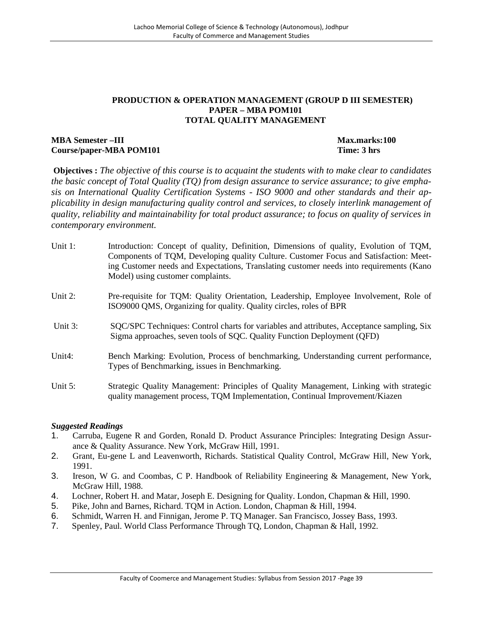#### **PRODUCTION & OPERATION MANAGEMENT (GROUP D III SEMESTER) PAPER – MBA POM101 TOTAL QUALITY MANAGEMENT**

### **MBA Semester –III Max.marks:100 Course/paper-MBA POM101 Time: 3 hrs**

**Objectives :** *The objective of this course is to acquaint the students with to make clear to candidates the basic concept of Total Quality (TQ) from design assurance to service assurance; to give emphasis on International Quality Certification Systems - ISO 9000 and other standards and their applicability in design manufacturing quality control and services, to closely interlink management of quality, reliability and maintainability for total product assurance; to focus on quality of services in contemporary environment.*

- Unit 1: Introduction: Concept of quality, Definition, Dimensions of quality, Evolution of TQM, Components of TQM, Developing quality Culture. Customer Focus and Satisfaction: Meeting Customer needs and Expectations, Translating customer needs into requirements (Kano Model) using customer complaints.
- Unit 2: Pre-requisite for TQM: Quality Orientation, Leadership, Employee Involvement, Role of ISO9000 QMS, Organizing for quality. Quality circles, roles of BPR
- Unit 3: SQC/SPC Techniques: Control charts for variables and attributes, Acceptance sampling, Six Sigma approaches, seven tools of SQC. Quality Function Deployment (QFD)
- Unit4: Bench Marking: Evolution, Process of benchmarking, Understanding current performance, Types of Benchmarking, issues in Benchmarking.
- Unit 5: Strategic Quality Management: Principles of Quality Management, Linking with strategic quality management process, TQM Implementation, Continual Improvement/Kiazen

- 1. Carruba, Eugene R and Gorden, Ronald D. Product Assurance Principles: Integrating Design Assurance & Quality Assurance. New York, McGraw Hill, 1991.
- 2. Grant, Eu-gene L and Leavenworth, Richards. Statistical Quality Control, McGraw Hill, New York, 1991.
- 3. Ireson, W G. and Coombas, C P. Handbook of Reliability Engineering & Management, New York, McGraw Hill, 1988.
- 4. Lochner, Robert H. and Matar, Joseph E. Designing for Quality. London, Chapman & Hill, 1990.
- 5. Pike, John and Barnes, Richard. TQM in Action. London, Chapman & Hill, 1994.
- 6. Schmidt, Warren H. and Finnigan, Jerome P. TQ Manager. San Francisco, Jossey Bass, 1993.
- 7. Spenley, Paul. World Class Performance Through TQ, London, Chapman & Hall, 1992.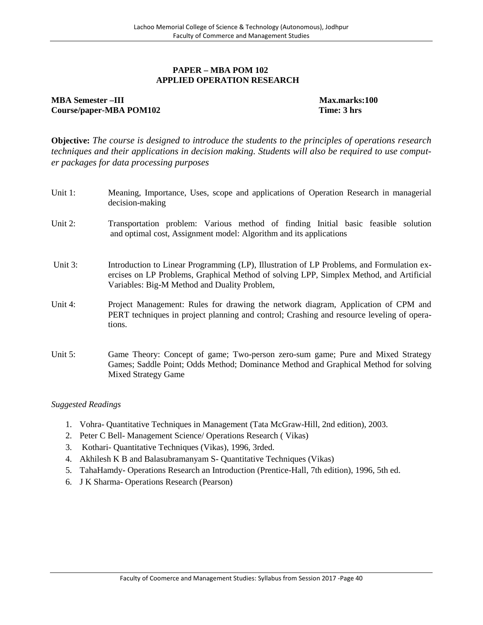#### **PAPER – MBA POM 102 APPLIED OPERATION RESEARCH**

# **MBA Semester –III Max.marks:100 Course/paper-MBA POM102 Time: 3 hrs**

**Objective:** *The course is designed to introduce the students to the principles of operations research techniques and their applications in decision making. Students will also be required to use computer packages for data processing purposes*

| Unit 1:    | Meaning, Importance, Uses, scope and applications of Operation Research in managerial<br>decision-making                                                                                                                             |
|------------|--------------------------------------------------------------------------------------------------------------------------------------------------------------------------------------------------------------------------------------|
| Unit 2:    | Transportation problem: Various method of finding Initial basic feasible solution<br>and optimal cost, Assignment model: Algorithm and its applications                                                                              |
| Unit $3$ : | Introduction to Linear Programming (LP), Illustration of LP Problems, and Formulation ex-<br>ercises on LP Problems, Graphical Method of solving LPP, Simplex Method, and Artificial<br>Variables: Big-M Method and Duality Problem, |
| Unit $4$ : | Project Management: Rules for drawing the network diagram, Application of CPM and<br>PERT techniques in project planning and control; Crashing and resource leveling of opera-<br>tions.                                             |
| Unit $5$ : | Game Theory: Concept of game; Two-person zero-sum game; Pure and Mixed Strategy<br>Games; Saddle Point; Odds Method; Dominance Method and Graphical Method for solving<br><b>Mixed Strategy Game</b>                                 |

- 1. Vohra- Quantitative Techniques in Management (Tata McGraw-Hill, 2nd edition), 2003.
- 2. Peter C Bell- Management Science/ Operations Research ( Vikas)
- 3. Kothari- Quantitative Techniques (Vikas), 1996, 3rded.
- 4. Akhilesh K B and Balasubramanyam S- Quantitative Techniques (Vikas)
- 5. TahaHamdy- Operations Research an Introduction (Prentice-Hall, 7th edition), 1996, 5th ed.
- 6. J K Sharma- Operations Research (Pearson)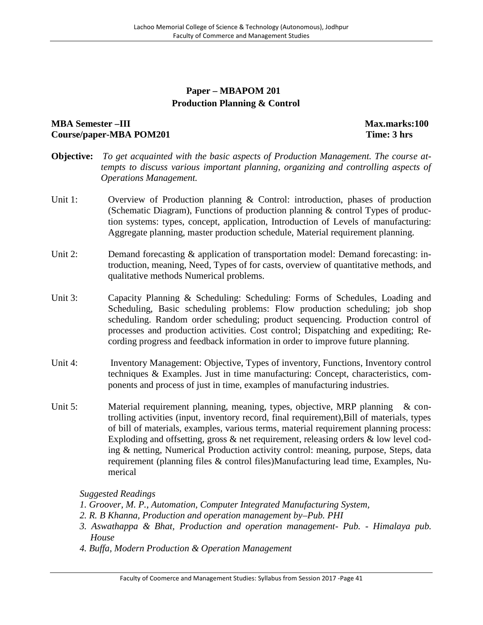# **Paper – MBAPOM 201 Production Planning & Control**

# **MBA Semester –III Max.marks:100 Course/paper-MBA POM201 Time: 3 hrs**

- **Objective:** *To get acquainted with the basic aspects of Production Management. The course attempts to discuss various important planning, organizing and controlling aspects of Operations Management.*
- Unit 1: Overview of Production planning & Control: introduction, phases of production (Schematic Diagram), Functions of production planning & control Types of production systems: types, concept, application, Introduction of Levels of manufacturing: Aggregate planning, master production schedule, Material requirement planning.
- Unit 2: Demand forecasting & application of transportation model: Demand forecasting: introduction, meaning, Need, Types of for casts, overview of quantitative methods, and qualitative methods Numerical problems.
- Unit 3: Capacity Planning & Scheduling: Scheduling: Forms of Schedules, Loading and Scheduling, Basic scheduling problems: Flow production scheduling; job shop scheduling. Random order scheduling; product sequencing. Production control of processes and production activities. Cost control; Dispatching and expediting; Recording progress and feedback information in order to improve future planning.
- Unit 4: Inventory Management: Objective, Types of inventory, Functions, Inventory control techniques & Examples. Just in time manufacturing: Concept, characteristics, components and process of just in time, examples of manufacturing industries.
- Unit 5: Material requirement planning, meaning, types, objective, MRP planning & controlling activities (input, inventory record, final requirement),Bill of materials, types of bill of materials, examples, various terms, material requirement planning process: Exploding and offsetting, gross & net requirement, releasing orders & low level coding & netting, Numerical Production activity control: meaning, purpose, Steps, data requirement (planning files & control files)Manufacturing lead time, Examples, Numerical

- *1. Groover, M. P., Automation, Computer Integrated Manufacturing System,*
- *2. R. B Khanna, Production and operation management by–Pub. PHI*
- *3. Aswathappa & Bhat, Production and operation management- Pub. - Himalaya pub. House*
- *4. Buffa, Modern Production & Operation Management*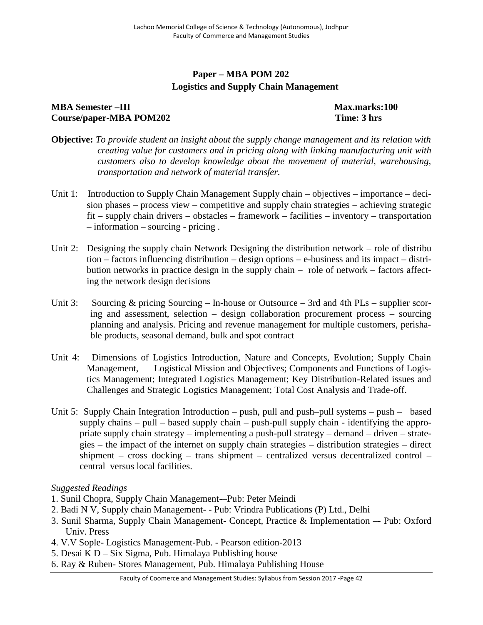# **Paper – MBA POM 202 Logistics and Supply Chain Management**

# **MBA Semester –III Max.marks:100 Course/paper-MBA POM202 Time: 3 hrs**

- **Objective:** *To provide student an insight about the supply change management and its relation with creating value for customers and in pricing along with linking manufacturing unit with customers also to develop knowledge about the movement of material, warehousing, transportation and network of material transfer.*
- Unit 1: Introduction to Supply Chain Management Supply chain objectives importance decision phases – process view – competitive and supply chain strategies – achieving strategic fit – supply chain drivers – obstacles – framework – facilities – inventory – transportation – information – sourcing - pricing .
- Unit 2: Designing the supply chain Network Designing the distribution network role of distribu tion – factors influencing distribution – design options – e-business and its impact – distribution networks in practice design in the supply chain – role of network – factors affecting the network design decisions
- Unit 3: Sourcing & pricing Sourcing In-house or Outsource 3rd and 4th PLs supplier scoring and assessment, selection – design collaboration procurement process – sourcing planning and analysis. Pricing and revenue management for multiple customers, perishable products, seasonal demand, bulk and spot contract
- Unit 4: Dimensions of Logistics Introduction, Nature and Concepts, Evolution; Supply Chain Management, Logistical Mission and Objectives; Components and Functions of Logistics Management; Integrated Logistics Management; Key Distribution-Related issues and Challenges and Strategic Logistics Management; Total Cost Analysis and Trade-off.
- Unit 5: Supply Chain Integration Introduction push, pull and push–pull systems push based supply chains – pull – based supply chain – push-pull supply chain - identifying the appropriate supply chain strategy – implementing a push-pull strategy – demand – driven – strategies – the impact of the internet on supply chain strategies – distribution strategies – direct shipment – cross docking – trans shipment – centralized versus decentralized control – central versus local facilities.

- 1. Sunil Chopra, Supply Chain Management-–Pub: Peter Meindi
- 2. Badi N V, Supply chain Management- Pub: Vrindra Publications (P) Ltd., Delhi
- 3. Sunil Sharma, Supply Chain Management- Concept, Practice & Implementation –- Pub: Oxford Univ. Press
- 4. V.V Sople- Logistics Management-Pub. Pearson edition-2013
- 5. Desai K D Six Sigma, Pub. Himalaya Publishing house
- 6. Ray & Ruben- Stores Management, Pub. Himalaya Publishing House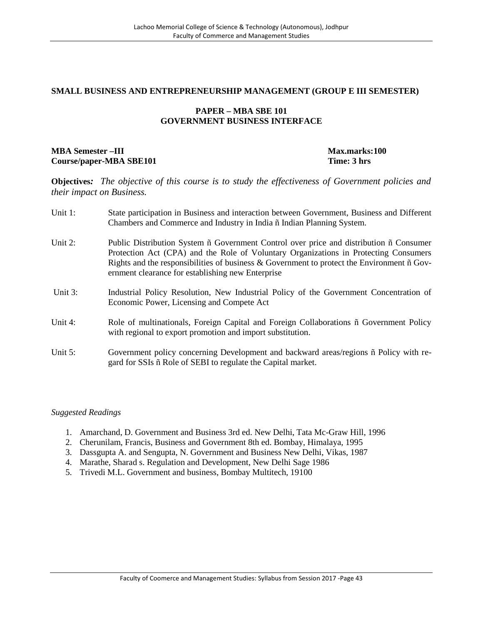#### **SMALL BUSINESS AND ENTREPRENEURSHIP MANAGEMENT (GROUP E III SEMESTER)**

#### **PAPER – MBA SBE 101 GOVERNMENT BUSINESS INTERFACE**

### **MBA Semester –III Max.marks:100 Course/paper-MBA SBE101 Time: 3 hrs**

**Objectives***: The objective of this course is to study the effectiveness of Government policies and their impact on Business.*

| Unit 1: | State participation in Business and interaction between Government, Business and Different<br>Chambers and Commerce and Industry in India ñ Indian Planning System.                                                                                                                                                                                             |
|---------|-----------------------------------------------------------------------------------------------------------------------------------------------------------------------------------------------------------------------------------------------------------------------------------------------------------------------------------------------------------------|
| Unit 2: | Public Distribution System $\tilde{n}$ Government Control over price and distribution $\tilde{n}$ Consumer<br>Protection Act (CPA) and the Role of Voluntary Organizations in Protecting Consumers<br>Rights and the responsibilities of business & Government to protect the Environment $\tilde{n}$ Gov-<br>ernment clearance for establishing new Enterprise |
| Unit 3: | Industrial Policy Resolution, New Industrial Policy of the Government Concentration of<br>Economic Power, Licensing and Compete Act                                                                                                                                                                                                                             |
| Unit 4: | Role of multinationals, Foreign Capital and Foreign Collaborations n Government Policy<br>with regional to export promotion and import substitution.                                                                                                                                                                                                            |
| Unit 5: | Government policy concerning Development and backward areas/regions ñ Policy with re-<br>gard for SSIs $\tilde{n}$ Role of SEBI to regulate the Capital market.                                                                                                                                                                                                 |

- 1. Amarchand, D. Government and Business 3rd ed. New Delhi, Tata Mc-Graw Hill, 1996
- 2. Cherunilam, Francis, Business and Government 8th ed. Bombay, Himalaya, 1995
- 3. Dassgupta A. and Sengupta, N. Government and Business New Delhi, Vikas, 1987
- 4. Marathe, Sharad s. Regulation and Development, New Delhi Sage 1986
- 5. Trivedi M.L. Government and business, Bombay Multitech, 19100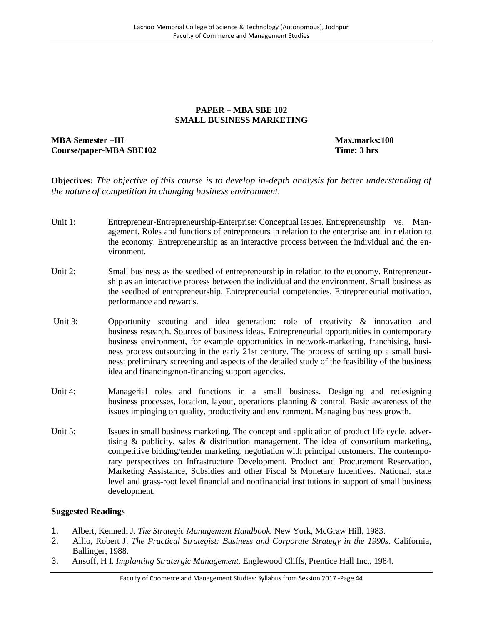#### **PAPER – MBA SBE 102 SMALL BUSINESS MARKETING**

# **MBA Semester –III Max.marks:100 Course/paper-MBA SBE102 Time: 3 hrs**

**Objectives:** *The objective of this course is to develop in-depth analysis for better understanding of the nature of competition in changing business environment.*

- Unit 1: Entrepreneur-Entrepreneurship-Enterprise: Conceptual issues. Entrepreneurship vs. Management. Roles and functions of entrepreneurs in relation to the enterprise and in r elation to the economy. Entrepreneurship as an interactive process between the individual and the environment.
- Unit 2: Small business as the seedbed of entrepreneurship in relation to the economy. Entrepreneurship as an interactive process between the individual and the environment. Small business as the seedbed of entrepreneurship. Entrepreneurial competencies. Entrepreneurial motivation, performance and rewards.
- Unit 3: Opportunity scouting and idea generation: role of creativity & innovation and business research. Sources of business ideas. Entrepreneurial opportunities in contemporary business environment, for example opportunities in network-marketing, franchising, business process outsourcing in the early 21st century. The process of setting up a small business: preliminary screening and aspects of the detailed study of the feasibility of the business idea and financing/non-financing support agencies.
- Unit 4: Managerial roles and functions in a small business. Designing and redesigning business processes, location, layout, operations planning & control. Basic awareness of the issues impinging on quality, productivity and environment. Managing business growth.
- Unit 5: Issues in small business marketing. The concept and application of product life cycle, advertising & publicity, sales & distribution management. The idea of consortium marketing, competitive bidding/tender marketing, negotiation with principal customers. The contemporary perspectives on Infrastructure Development, Product and Procurement Reservation, Marketing Assistance, Subsidies and other Fiscal & Monetary Incentives. National, state level and grass-root level financial and nonfinancial institutions in support of small business development.

- 1. Albert, Kenneth J. *The Strategic Management Handbook.* New York, McGraw Hill, 1983.
- 2. Allio, Robert J. *The Practical Strategist: Business and Corporate Strategy in the 1990s.* California, Ballinger, 1988.
- 3. Ansoff, H I. *Implanting Stratergic Management.* Englewood Cliffs, Prentice Hall Inc., 1984.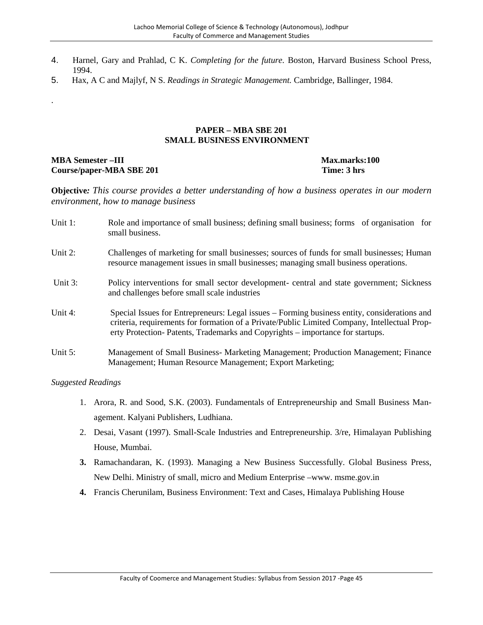- 4. Harnel, Gary and Prahlad, C K. *Completing for the future.* Boston, Harvard Business School Press, 1994.
- 5. Hax, A C and Majlyf, N S. *Readings in Strategic Management.* Cambridge, Ballinger, 1984.

#### **PAPER – MBA SBE 201 SMALL BUSINESS ENVIRONMENT**

#### **MBA Semester –III** Max.marks:100<br> **Course/paper-MBA SBE 201** Time: 3 hrs **Course/paper-MBA SBE 201**

.

**Objective***: This course provides a better understanding of how a business operates in our modern environment, how to manage business*

| Unit 1: | Role and importance of small business; defining small business; forms of organisation for<br>small business.                                                                                                                                                                  |
|---------|-------------------------------------------------------------------------------------------------------------------------------------------------------------------------------------------------------------------------------------------------------------------------------|
| Unit 2: | Challenges of marketing for small businesses; sources of funds for small businesses; Human<br>resource management issues in small businesses; managing small business operations.                                                                                             |
| Unit 3: | Policy interventions for small sector development- central and state government; Sickness<br>and challenges before small scale industries                                                                                                                                     |
| Unit 4: | Special Issues for Entrepreneurs: Legal issues – Forming business entity, considerations and<br>criteria, requirements for formation of a Private/Public Limited Company, Intellectual Prop-<br>erty Protection-Patents, Trademarks and Copyrights – importance for startups. |
| Unit 5: | Management of Small Business- Marketing Management; Production Management; Finance<br>Management; Human Resource Management; Export Marketing;                                                                                                                                |

- 1. Arora, R. and Sood, S.K. (2003). Fundamentals of Entrepreneurship and Small Business Management. Kalyani Publishers, Ludhiana.
- 2. Desai, Vasant (1997). Small-Scale Industries and Entrepreneurship. 3/re, Himalayan Publishing House, Mumbai.
- **3.** Ramachandaran, K. (1993). Managing a New Business Successfully. Global Business Press, New Delhi. Ministry of small, micro and Medium Enterprise –www. msme.gov.in
- **4.** Francis Cherunilam, Business Environment: Text and Cases, Himalaya Publishing House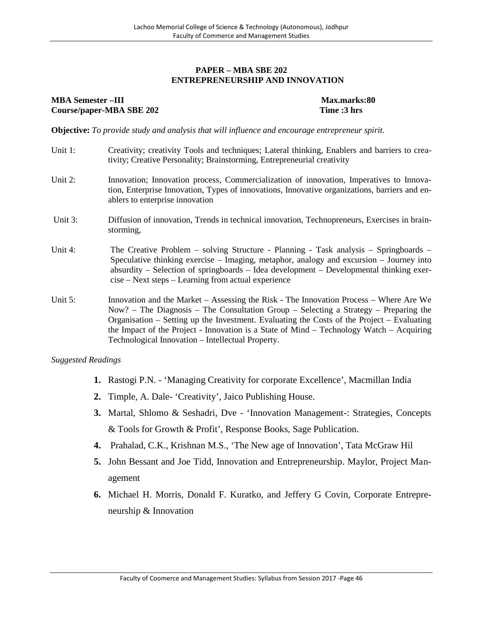#### **PAPER – MBA SBE 202 ENTREPRENEURSHIP AND INNOVATION**

## **MBA Semester –III Max.marks:80 Course/paper-MBA SBE 202 Time :3 hrs**

**Objective:** *To provide study and analysis that will influence and encourage entrepreneur spirit.*

- Unit 1: Creativity; creativity Tools and techniques; Lateral thinking, Enablers and barriers to creativity; Creative Personality; Brainstorming, Entrepreneurial creativity
- Unit 2: Innovation; Innovation process, Commercialization of innovation, Imperatives to Innovation, Enterprise Innovation, Types of innovations, Innovative organizations, barriers and enablers to enterprise innovation
- Unit 3: Diffusion of innovation, Trends in technical innovation, Technopreneurs, Exercises in brainstorming,
- Unit 4: The Creative Problem solving Structure Planning Task analysis Springboards Speculative thinking exercise – Imaging, metaphor, analogy and excursion – Journey into absurdity – Selection of springboards – Idea development – Developmental thinking exercise – Next steps – Learning from actual experience
- Unit 5: Innovation and the Market Assessing the Risk The Innovation Process Where Are We Now? – The Diagnosis – The Consultation Group – Selecting a Strategy – Preparing the Organisation – Setting up the Investment. Evaluating the Costs of the Project – Evaluating the Impact of the Project - Innovation is a State of Mind – Technology Watch – Acquiring Technological Innovation – Intellectual Property.

- **1.** Rastogi P.N. 'Managing Creativity for corporate Excellence', Macmillan India
- **2.** Timple, A. Dale- 'Creativity', Jaico Publishing House.
- **3.** Martal, Shlomo & Seshadri, Dve 'Innovation Management-: Strategies, Concepts & Tools for Growth & Profit', Response Books, Sage Publication.
- **4.** Prahalad, C.K., Krishnan M.S., 'The New age of Innovation', Tata McGraw Hil
- **5.** John Bessant and Joe Tidd, Innovation and Entrepreneurship. Maylor, Project Management
- **6.** Michael H. Morris, Donald F. Kuratko, and Jeffery G Covin, Corporate Entrepreneurship & Innovation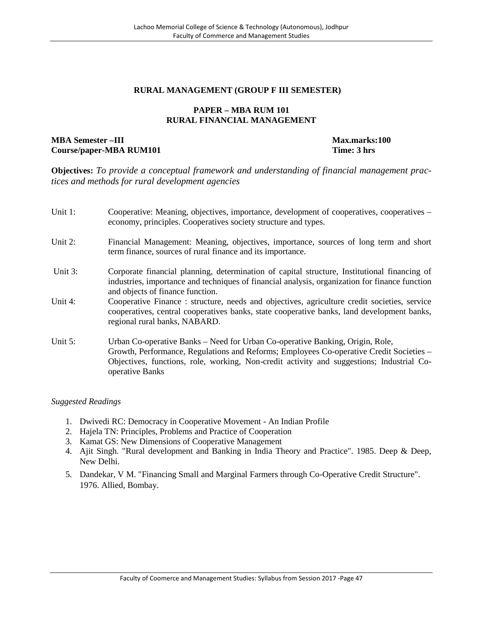# **RURAL MANAGEMENT (GROUP F III SEMESTER)**

#### **PAPER – MBA RUM 101 RURAL FINANCIAL MANAGEMENT**

#### **MBA Semester –III Max.marks:100 Course/paper-MBA RUM101 Time: 3 hrs**

**Objectives:** *To provide a conceptual framework and understanding of financial management practices and methods for rural development agencies*

| Unit 1: | Cooperative: Meaning, objectives, importance, development of cooperatives, cooperatives –<br>economy, principles. Cooperatives society structure and types.                                                                                                                              |
|---------|------------------------------------------------------------------------------------------------------------------------------------------------------------------------------------------------------------------------------------------------------------------------------------------|
| Unit 2: | Financial Management: Meaning, objectives, importance, sources of long term and short<br>term finance, sources of rural finance and its importance.                                                                                                                                      |
| Unit 3: | Corporate financial planning, determination of capital structure, Institutional financing of<br>industries, importance and techniques of financial analysis, organization for finance function<br>and objects of finance function.                                                       |
| Unit 4: | Cooperative Finance: structure, needs and objectives, agriculture credit societies, service<br>cooperatives, central cooperatives banks, state cooperative banks, land development banks,<br>regional rural banks, NABARD.                                                               |
| Unit 5: | Urban Co-operative Banks – Need for Urban Co-operative Banking, Origin, Role,<br>Growth, Performance, Regulations and Reforms; Employees Co-operative Credit Societies -<br>Objectives, functions, role, working, Non-credit activity and suggestions; Industrial Co-<br>operative Banks |

- 1. Dwivedi RC: Democracy in Cooperative Movement An Indian Profile
- 2. Hajela TN: Principles, Problems and Practice of Cooperation
- 3. Kamat GS: New Dimensions of Cooperative Management
- 4. Ajit Singh. "Rural development and Banking in India Theory and Practice". 1985. Deep & Deep, New Delhi.
- 5. Dandekar, V M. "Financing Small and Marginal Farmers through Co-Operative Credit Structure". 1976. Allied, Bombay.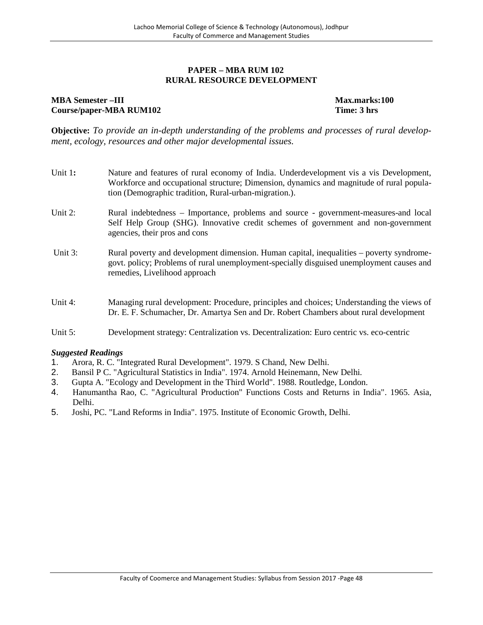#### **PAPER – MBA RUM 102 RURAL RESOURCE DEVELOPMENT**

# **MBA Semester –III Max.marks:100 Course/paper-MBA RUM102**

**Objective:** *To provide an in-depth understanding of the problems and processes of rural development, ecology, resources and other major developmental issues.*

| Unit 1:    | Nature and features of rural economy of India. Underdevelopment vis a vis Development,<br>Workforce and occupational structure; Dimension, dynamics and magnitude of rural popula-<br>tion (Demographic tradition, Rural-urban-migration.). |
|------------|---------------------------------------------------------------------------------------------------------------------------------------------------------------------------------------------------------------------------------------------|
| Unit $2$ : | Rural indebtedness – Importance, problems and source - government-measures-and local<br>Self Help Group (SHG). Innovative credit schemes of government and non-government<br>agencies, their pros and cons                                  |
| Unit 3:    | Rural poverty and development dimension. Human capital, inequalities – poverty syndrome-<br>govt. policy; Problems of rural unemployment-specially disguised unemployment causes and<br>remedies, Livelihood approach                       |
| Unit 4:    | Managing rural development: Procedure, principles and choices; Understanding the views of<br>Dr. E. F. Schumacher, Dr. Amartya Sen and Dr. Robert Chambers about rural development                                                          |

#### Unit 5: Development strategy: Centralization vs. Decentralization: Euro centric vs. eco-centric

- 1. Arora, R. C. "Integrated Rural Development". 1979. S Chand, New Delhi.
- 2. Bansil P C. "Agricultural Statistics in India". 1974. Arnold Heinemann, New Delhi.
- 3. Gupta A. "Ecology and Development in the Third World". 1988. Routledge, London.
- 4. Hanumantha Rao, C. "Agricultural Production" Functions Costs and Returns in India". 1965. Asia, Delhi.
- 5. Joshi, PC. "Land Reforms in India". 1975. Institute of Economic Growth, Delhi.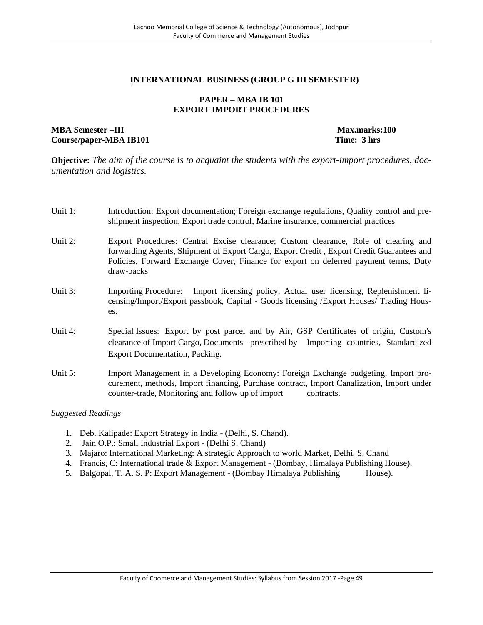#### **INTERNATIONAL BUSINESS (GROUP G III SEMESTER)**

#### **PAPER – MBA IB 101 EXPORT IMPORT PROCEDURES**

#### **MBA Semester –III Max.marks:100 Course/paper-MBA IB101 Time: 3 hrs**

**Objective:** *The aim of the course is to acquaint the students with the export-import procedures, documentation and logistics.*

- Unit 1: Introduction: Export documentation; Foreign exchange regulations, Quality control and preshipment inspection, Export trade control, Marine insurance, commercial practices
- Unit 2: Export Procedures: Central Excise clearance; Custom clearance, Role of clearing and forwarding Agents, Shipment of Export Cargo, Export Credit , Export Credit Guarantees and Policies, Forward Exchange Cover, Finance for export on deferred payment terms, Duty draw-backs
- Unit 3: Importing Procedure: Import licensing policy, Actual user licensing, Replenishment licensing/Import/Export passbook, Capital - Goods licensing /Export Houses/ Trading Houses.
- Unit 4: Special Issues: Export by post parcel and by Air, GSP Certificates of origin, Custom's clearance of Import Cargo, Documents - prescribed by Importing countries, Standardized Export Documentation, Packing.
- Unit 5: Import Management in a Developing Economy: Foreign Exchange budgeting, Import procurement, methods, Import financing, Purchase contract, Import Canalization, Import under counter-trade, Monitoring and follow up of import contracts.

- 1. Deb. Kalipade: Export Strategy in India (Delhi, S. Chand).
- 2. Jain O.P.: Small Industrial Export (Delhi S. Chand)
- 3. Majaro: International Marketing: A strategic Approach to world Market, Delhi, S. Chand
- 4. Francis, C: International trade & Export Management (Bombay, Himalaya Publishing House).
- 5. Balgopal, T. A. S. P: Export Management (Bombay Himalaya Publishing House).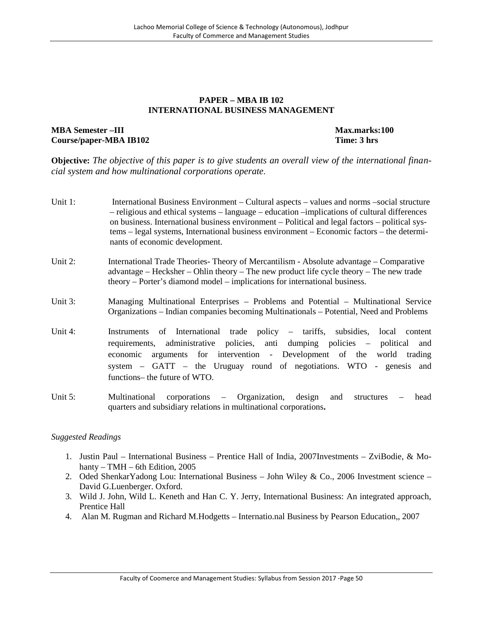#### **PAPER – MBA IB 102 INTERNATIONAL BUSINESS MANAGEMENT**

#### **MBA Semester –III Max.marks:100 Course/paper-MBA IB102 Time: 3 hrs**

**Objective:** *The objective of this paper is to give students an overall view of the international financial system and how multinational corporations operate.*

- Unit 1: International Business Environment Cultural aspects values and norms –social structure – religious and ethical systems – language – education –implications of cultural differences on business. International business environment – Political and legal factors – political systems – legal systems, International business environment – Economic factors – the determinants of economic development.
- Unit 2: International Trade Theories- Theory of Mercantilism Absolute advantage Comparative advantage – Hecksher – Ohlin theory – The new product life cycle theory – The new trade theory – Porter's diamond model – implications for international business.
- Unit 3: Managing Multinational Enterprises Problems and Potential Multinational Service Organizations – Indian companies becoming Multinationals – Potential, Need and Problems
- Unit 4: Instruments of International trade policy tariffs, subsidies, local content requirements, administrative policies, anti dumping policies – political and economic arguments for intervention - Development of the world trading system – GATT – the Uruguay round of negotiations. WTO - genesis and functions– the future of WTO.
- Unit 5: Multinational corporations Organization, design and structures head quarters and subsidiary relations in multinational corporations**.**

- 1. Justin Paul International Business Prentice Hall of India, 2007Investments ZviBodie, & Mohanty – TMH – 6th Edition, 2005
- 2. Oded ShenkarYadong Lou: International Business John Wiley & Co., 2006 Investment science David G.Luenberger. Oxford.
- 3. Wild J. John, Wild L. Keneth and Han C. Y. Jerry, International Business: An integrated approach, Prentice Hall
- 4. Alan M. Rugman and Richard M.Hodgetts Internatio.nal Business by Pearson Education,, 2007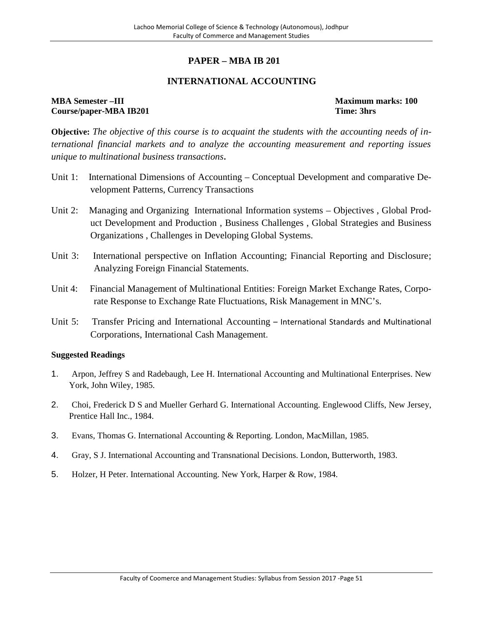# **PAPER – MBA IB 201**

# **INTERNATIONAL ACCOUNTING**

**MBA Semester –III Maximum marks: 100 Course/paper-MBA IB201 Time: 3hrs**

**Objective:** *The objective of this course is to acquaint the students with the accounting needs of international financial markets and to analyze the accounting measurement and reporting issues unique to multinational business transactions***.**

- Unit 1: International Dimensions of Accounting Conceptual Development and comparative Development Patterns, Currency Transactions
- Unit 2: Managing and Organizing International Information systems Objectives , Global Product Development and Production , Business Challenges , Global Strategies and Business Organizations , Challenges in Developing Global Systems.
- Unit 3: International perspective on Inflation Accounting; Financial Reporting and Disclosure; Analyzing Foreign Financial Statements.
- Unit 4: Financial Management of Multinational Entities: Foreign Market Exchange Rates, Corporate Response to Exchange Rate Fluctuations, Risk Management in MNC's.
- Unit 5: Transfer Pricing and International Accounting International Standards and Multinational Corporations, International Cash Management.

- 1. Arpon, Jeffrey S and Radebaugh, Lee H. International Accounting and Multinational Enterprises. New York, John Wiley, 1985.
- 2. Choi, Frederick D S and Mueller Gerhard G. International Accounting. Englewood Cliffs, New Jersey, Prentice Hall Inc., 1984.
- 3. Evans, Thomas G. International Accounting & Reporting. London, MacMillan, 1985.
- 4. Gray, S J. International Accounting and Transnational Decisions. London, Butterworth, 1983.
- 5. Holzer, H Peter. International Accounting. New York, Harper & Row, 1984.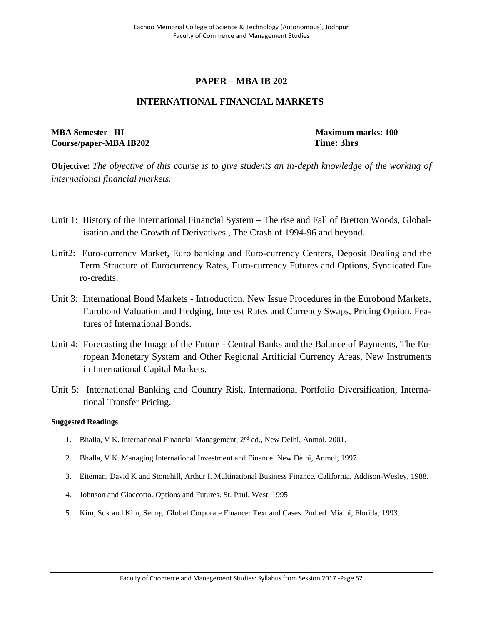# **PAPER – MBA IB 202**

# **INTERNATIONAL FINANCIAL MARKETS**

# **MBA Semester –III Maximum marks: 100 Course/paper-MBA IB202 Time: 3hrs**

**Objective:** *The objective of this course is to give students an in-depth knowledge of the working of international financial markets.*

- Unit 1: History of the International Financial System The rise and Fall of Bretton Woods, Globalisation and the Growth of Derivatives , The Crash of 1994-96 and beyond.
- Unit2: Euro-currency Market, Euro banking and Euro-currency Centers, Deposit Dealing and the Term Structure of Eurocurrency Rates, Euro-currency Futures and Options, Syndicated Euro-credits.
- Unit 3: International Bond Markets Introduction, New Issue Procedures in the Eurobond Markets, Eurobond Valuation and Hedging, Interest Rates and Currency Swaps, Pricing Option, Features of International Bonds.
- Unit 4: Forecasting the Image of the Future Central Banks and the Balance of Payments, The European Monetary System and Other Regional Artificial Currency Areas, New Instruments in International Capital Markets.
- Unit 5: International Banking and Country Risk, International Portfolio Diversification, International Transfer Pricing.

- 1. Bhalla, V K. International Financial Management, 2<sup>nd</sup> ed., New Delhi, Anmol, 2001.
- 2. Bhalla, V K. Managing International Investment and Finance. New Delhi, Anmol, 1997.
- 3. Eiteman, David K and Stonehill, Arthur I. Multinational Business Finance. California, Addison-Wesley, 1988.
- 4. Johnson and Giaccotto. Options and Futures. St. Paul, West, 1995
- 5. Kim, Suk and Kim, Seung. Global Corporate Finance: Text and Cases. 2nd ed. Miami, Florida, 1993.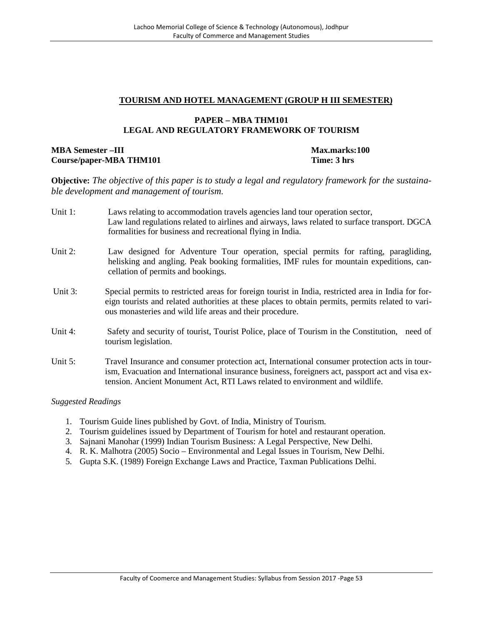## **TOURISM AND HOTEL MANAGEMENT (GROUP H III SEMESTER)**

## **PAPER – MBA THM101 LEGAL AND REGULATORY FRAMEWORK OF TOURISM**

# **MBA Semester –III Max.marks:100 Course/paper-MBA THM101 Time: 3 hrs**

**Objective:** *The objective of this paper is to study a legal and regulatory framework for the sustainable development and management of tourism.*

- Unit 1: Laws relating to accommodation travels agencies land tour operation sector, Law land regulations related to airlines and airways, laws related to surface transport. DGCA formalities for business and recreational flying in India.
- Unit 2: Law designed for Adventure Tour operation, special permits for rafting, paragliding, helisking and angling. Peak booking formalities, IMF rules for mountain expeditions, cancellation of permits and bookings.
- Unit 3: Special permits to restricted areas for foreign tourist in India, restricted area in India for foreign tourists and related authorities at these places to obtain permits, permits related to various monasteries and wild life areas and their procedure.
- Unit 4: Safety and security of tourist, Tourist Police, place of Tourism in the Constitution, need of tourism legislation.
- Unit 5: Travel Insurance and consumer protection act, International consumer protection acts in tourism, Evacuation and International insurance business, foreigners act, passport act and visa extension. Ancient Monument Act, RTI Laws related to environment and wildlife.

- 1. Tourism Guide lines published by Govt. of India, Ministry of Tourism.
- 2. Tourism guidelines issued by Department of Tourism for hotel and restaurant operation.
- 3. Sajnani Manohar (1999) Indian Tourism Business: A Legal Perspective, New Delhi.
- 4. R. K. Malhotra (2005) Socio Environmental and Legal Issues in Tourism, New Delhi.
- 5. Gupta S.K. (1989) Foreign Exchange Laws and Practice, Taxman Publications Delhi.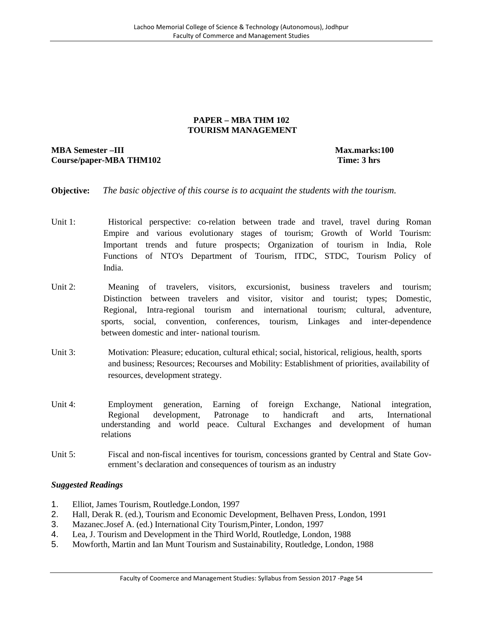### **PAPER – MBA THM 102 TOURISM MANAGEMENT**

# **MBA Semester –III Max.marks:100 Course/paper-MBA THM102 Time: 3 hrs**

**Objective:** *The basic objective of this course is to acquaint the students with the tourism.*

- Unit 1: Historical perspective: co-relation between trade and travel, travel during Roman Empire and various evolutionary stages of tourism; Growth of World Tourism: Important trends and future prospects; Organization of tourism in India, Role Functions of NTO's Department of Tourism, ITDC, STDC, Tourism Policy of India.
- Unit 2: Meaning of travelers, visitors, excursionist, business travelers and tourism; Distinction between travelers and visitor, visitor and tourist; types; Domestic, Regional, Intra-regional tourism and international tourism; cultural, adventure, sports, social, convention, conferences, tourism, Linkages and inter-dependence between domestic and inter- national tourism.
- Unit 3: Motivation: Pleasure; education, cultural ethical; social, historical, religious, health, sports and business; Resources; Recourses and Mobility: Establishment of priorities, availability of resources, development strategy.
- Unit 4: Employment generation, Earning of foreign Exchange, National integration, Regional development, Patronage to handicraft and arts, International understanding and world peace. Cultural Exchanges and development of human relations
- Unit 5: Fiscal and non-fiscal incentives for tourism, concessions granted by Central and State Government's declaration and consequences of tourism as an industry

- 1. Elliot, James Tourism, Routledge.London, 1997
- 2. Hall, Derak R. (ed.), Tourism and Economic Development, Belhaven Press, London, 1991
- 3. Mazanec.Josef A. (ed.) International City Tourism,Pinter, London, 1997
- 4. Lea, J. Tourism and Development in the Third World, Routledge, London, 1988
- 5. Mowforth, Martin and Ian Munt Tourism and Sustainability, Routledge, London, 1988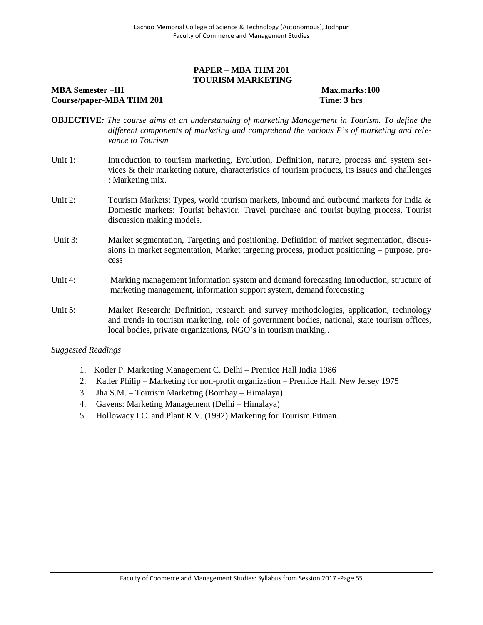#### **PAPER – MBA THM 201 TOURISM MARKETING**

#### **MBA Semester –III Max.marks:100 Course/paper-MBA THM 201 Time: 3 hrs**

- **OBJECTIVE***: The course aims at an understanding of marketing Management in Tourism. To define the different components of marketing and comprehend the various P's of marketing and relevance to Tourism*
- Unit 1: Introduction to tourism marketing, Evolution, Definition, nature, process and system services & their marketing nature, characteristics of tourism products, its issues and challenges : Marketing mix.
- Unit 2: Tourism Markets: Types, world tourism markets, inbound and outbound markets for India & Domestic markets: Tourist behavior. Travel purchase and tourist buying process. Tourist discussion making models.
- Unit 3: Market segmentation, Targeting and positioning. Definition of market segmentation, discussions in market segmentation, Market targeting process, product positioning – purpose, process
- Unit 4: Marking management information system and demand forecasting Introduction, structure of marketing management, information support system, demand forecasting
- Unit 5: Market Research: Definition, research and survey methodologies, application, technology and trends in tourism marketing, role of government bodies, national, state tourism offices, local bodies, private organizations, NGO's in tourism marking..

- 1. Kotler P. Marketing Management C. Delhi Prentice Hall India 1986
- 2. Katler Philip Marketing for non-profit organization Prentice Hall, New Jersey 1975
- 3. Jha S.M. Tourism Marketing (Bombay Himalaya)
- 4. Gavens: Marketing Management (Delhi Himalaya)
- 5. Hollowacy I.C. and Plant R.V. (1992) Marketing for Tourism Pitman.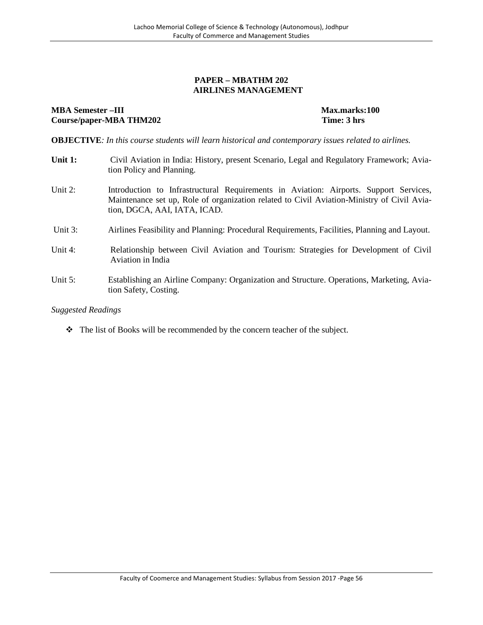#### **PAPER – MBATHM 202 AIRLINES MANAGEMENT**

#### **MBA Semester** –**III** and the set of the set of the set of the set of the Max.marks:100 **Course/paper-MBA THM202 Time: 3 hrs**

**OBJECTIVE***: In this course students will learn historical and contemporary issues related to airlines.*

- **Unit 1:** Civil Aviation in India: History, present Scenario, Legal and Regulatory Framework; Aviation Policy and Planning.
- Unit 2: Introduction to Infrastructural Requirements in Aviation: Airports. Support Services, Maintenance set up, Role of organization related to Civil Aviation-Ministry of Civil Aviation, DGCA, AAI, IATA, ICAD.
- Unit 3: Airlines Feasibility and Planning: Procedural Requirements, Facilities, Planning and Layout.
- Unit 4: Relationship between Civil Aviation and Tourism: Strategies for Development of Civil Aviation in India
- Unit 5: Establishing an Airline Company: Organization and Structure. Operations, Marketing, Aviation Safety, Costing.

#### *Suggested Readings*

The list of Books will be recommended by the concern teacher of the subject.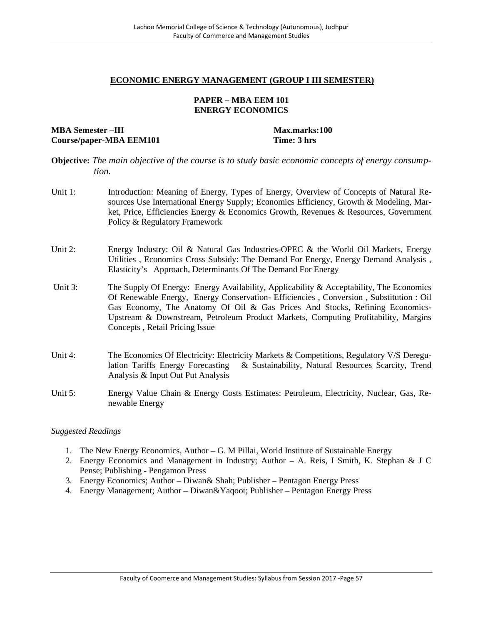#### **ECONOMIC ENERGY MANAGEMENT (GROUP I III SEMESTER)**

#### **PAPER – MBA EEM 101 ENERGY ECONOMICS**

**MBA Semester –III Max.marks:100 Course/paper-MBA EEM101 Time: 3 hrs**

#### **Objective:** *The main objective of the course is to study basic economic concepts of energy consumption.*

- Unit 1: Introduction: Meaning of Energy, Types of Energy, Overview of Concepts of Natural Resources Use International Energy Supply; Economics Efficiency, Growth & Modeling, Market, Price, Efficiencies Energy & Economics Growth, Revenues & Resources, Government Policy & Regulatory Framework
- Unit 2: Energy Industry: Oil & Natural Gas Industries-OPEC & the World Oil Markets, Energy Utilities , Economics Cross Subsidy: The Demand For Energy, Energy Demand Analysis , Elasticity's Approach, Determinants Of The Demand For Energy
- Unit 3: The Supply Of Energy: Energy Availability, Applicability & Acceptability, The Economics Of Renewable Energy, Energy Conservation- Efficiencies , Conversion , Substitution : Oil Gas Economy, The Anatomy Of Oil & Gas Prices And Stocks, Refining Economics- Upstream & Downstream, Petroleum Product Markets, Computing Profitability, Margins Concepts , Retail Pricing Issue
- Unit 4: The Economics Of Electricity: Electricity Markets & Competitions, Regulatory V/S Deregulation Tariffs Energy Forecasting & Sustainability, Natural Resources Scarcity, Trend Analysis & Input Out Put Analysis
- Unit 5: Energy Value Chain & Energy Costs Estimates: Petroleum, Electricity, Nuclear, Gas, Renewable Energy

- 1. The New Energy Economics, Author G. M Pillai, World Institute of Sustainable Energy
- 2. Energy Economics and Management in Industry; Author A. Reis, I Smith, K. Stephan & J C Pense; Publishing - Pengamon Press
- 3. Energy Economics; Author Diwan& Shah; Publisher Pentagon Energy Press
- 4. Energy Management; Author Diwan&Yaqoot; Publisher Pentagon Energy Press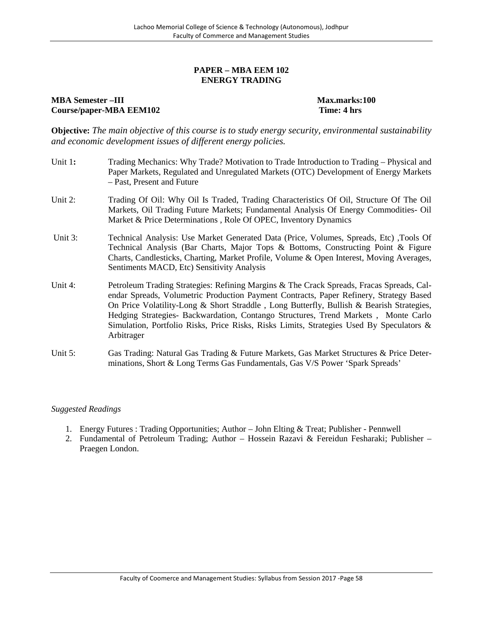#### **PAPER – MBA EEM 102 ENERGY TRADING**

### **MBA Semester –III Max.marks:100 Course/paper-MBA EEM102 Time: 4 hrs**

**Objective:** *The main objective of this course is to study energy security, environmental sustainability and economic development issues of different energy policies.*

- Unit 1**:** Trading Mechanics: Why Trade? Motivation to Trade Introduction to Trading Physical and Paper Markets, Regulated and Unregulated Markets (OTC) Development of Energy Markets – Past, Present and Future
- Unit 2: Trading Of Oil: Why Oil Is Traded, Trading Characteristics Of Oil, Structure Of The Oil Markets, Oil Trading Future Markets; Fundamental Analysis Of Energy Commodities- Oil Market & Price Determinations , Role Of OPEC, Inventory Dynamics
- Unit 3: Technical Analysis: Use Market Generated Data (Price, Volumes, Spreads, Etc) ,Tools Of Technical Analysis (Bar Charts, Major Tops & Bottoms, Constructing Point & Figure Charts, Candlesticks, Charting, Market Profile, Volume & Open Interest, Moving Averages, Sentiments MACD, Etc) Sensitivity Analysis
- Unit 4: Petroleum Trading Strategies: Refining Margins & The Crack Spreads, Fracas Spreads, Calendar Spreads, Volumetric Production Payment Contracts, Paper Refinery, Strategy Based On Price Volatility-Long & Short Straddle , Long Butterfly, Bullish & Bearish Strategies, Hedging Strategies- Backwardation, Contango Structures, Trend Markets , Monte Carlo Simulation, Portfolio Risks, Price Risks, Risks Limits, Strategies Used By Speculators & Arbitrager
- Unit 5: Gas Trading: Natural Gas Trading & Future Markets, Gas Market Structures & Price Determinations, Short & Long Terms Gas Fundamentals, Gas V/S Power 'Spark Spreads'

- 1. Energy Futures : Trading Opportunities; Author John Elting & Treat; Publisher Pennwell
- 2. Fundamental of Petroleum Trading; Author Hossein Razavi & Fereidun Fesharaki; Publisher Praegen London.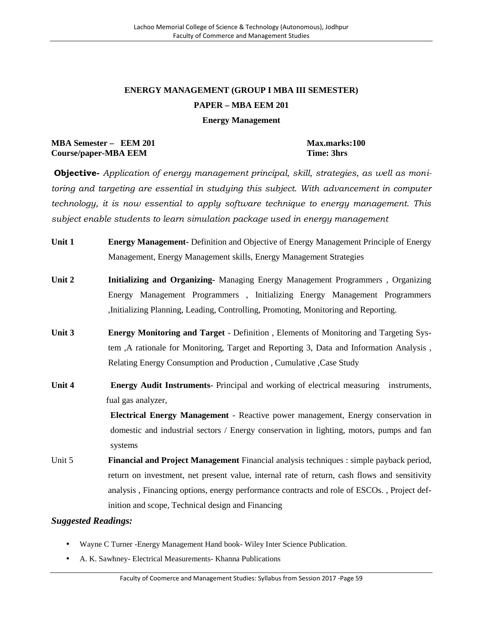# **ENERGY MANAGEMENT (GROUP I MBA III SEMESTER) PAPER – MBA EEM 201**

#### **Energy Management**

# **MBA Semester – EEM 201 Max.marks:100 Course/paper-MBA EEM Time: 3hrs**

**Objective-** *Application of energy management principal, skill, strategies, as well as monitoring and targeting are essential in studying this subject. With advancement in computer technology, it is now essential to apply software technique to energy management. This subject enable students to learn simulation package used in energy management*

- **Unit 1 Energy Management-** Definition and Objective of Energy Management Principle of Energy Management, Energy Management skills, Energy Management Strategies
- **Unit 2 Initializing and Organizing-** Managing Energy Management Programmers , Organizing Energy Management Programmers , Initializing Energy Management Programmers ,Initializing Planning, Leading, Controlling, Promoting, Monitoring and Reporting.
- **Unit 3 Energy Monitoring and Target** Definition , Elements of Monitoring and Targeting System ,A rationale for Monitoring, Target and Reporting 3, Data and Information Analysis , Relating Energy Consumption and Production , Cumulative ,Case Study
- **Unit 4 Energy Audit Instruments** Principal and working of electrical measuring instruments, fual gas analyzer,

**Electrical Energy Management** - Reactive power management, Energy conservation in domestic and industrial sectors / Energy conservation in lighting, motors, pumps and fan systems

Unit 5 **Financial and Project Management** Financial analysis techniques : simple payback period, return on investment, net present value, internal rate of return, cash flows and sensitivity analysis , Financing options, energy performance contracts and role of ESCOs. , Project definition and scope, Technical design and Financing

- Wayne C Turner -Energy Management Hand book- Wiley Inter Science Publication.
- A. K. Sawhney- Electrical Measurements- Khanna Publications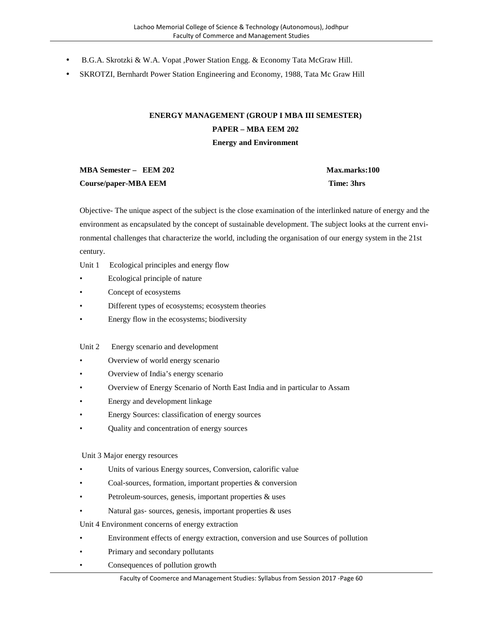- B.G.A. Skrotzki & W.A. Vopat ,Power Station Engg. & Economy Tata McGraw Hill.
- SKROTZI, Bernhardt Power Station Engineering and Economy, 1988, Tata Mc Graw Hill

# **ENERGY MANAGEMENT (GROUP I MBA III SEMESTER) PAPER – MBA EEM 202 Energy and Environment**

| MBA Semester – EEM 202 | <b>Max.marks:100</b> |
|------------------------|----------------------|
| Course/paper-MBA EEM   | Time: 3hrs           |

Objective- The unique aspect of the subject is the close examination of the interlinked nature of energy and the environment as encapsulated by the concept of sustainable development. The subject looks at the current environmental challenges that characterize the world, including the organisation of our energy system in the 21st century.

- Unit 1 Ecological principles and energy flow
- Ecological principle of nature
- Concept of ecosystems
- Different types of ecosystems; ecosystem theories
- Energy flow in the ecosystems; biodiversity
- Unit 2 Energy scenario and development
- Overview of world energy scenario
- Overview of India's energy scenario
- Overview of Energy Scenario of North East India and in particular to Assam
- Energy and development linkage
- Energy Sources: classification of energy sources
- Quality and concentration of energy sources

Unit 3 Major energy resources

- Units of various Energy sources, Conversion, calorific value
- Coal‐sources, formation, important properties & conversion
- Petroleum-sources, genesis, important properties & uses
- Natural gas-sources, genesis, important properties & uses

Unit 4 Environment concerns of energy extraction

- Environment effects of energy extraction, conversion and use Sources of pollution
- Primary and secondary pollutants
- Consequences of pollution growth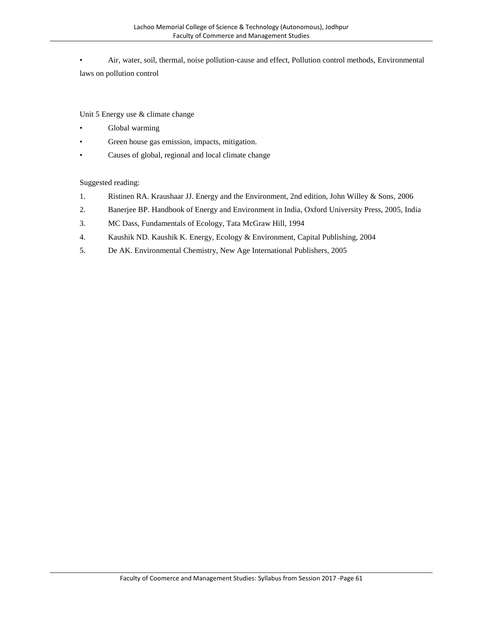• Air, water, soil, thermal, noise pollution-cause and effect, Pollution control methods, Environmental laws on pollution control

Unit 5 Energy use & climate change

- Global warming
- Green house gas emission, impacts, mitigation.
- Causes of global, regional and local climate change

Suggested reading:

- 1. Ristinen RA. Kraushaar JJ. Energy and the Environment, 2nd edition, John Willey & Sons, 2006
- 2. Banerjee BP. Handbook of Energy and Environment in India, Oxford University Press, 2005, India
- 3. MC Dass, Fundamentals of Ecology, Tata McGraw Hill, 1994
- 4. Kaushik ND. Kaushik K. Energy, Ecology & Environment, Capital Publishing, 2004
- 5. De AK. Environmental Chemistry, New Age International Publishers, 2005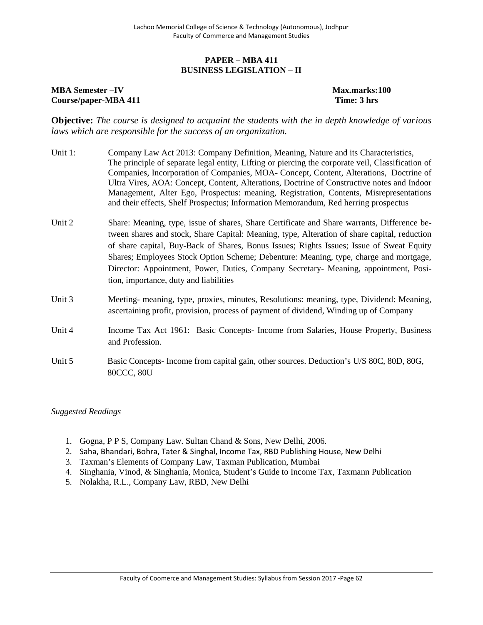#### **PAPER – MBA 411 BUSINESS LEGISLATION – II**

#### **MBA Semester –IV Max.marks:100 Course/paper-MBA 411 Time: 3 hrs**

**Objective:** *The course is designed to acquaint the students with the in depth knowledge of various laws which are responsible for the success of an organization.*

- Unit 1: Company Law Act 2013: Company Definition, Meaning, Nature and its Characteristics, The principle of separate legal entity, Lifting or piercing the corporate veil, Classification of Companies, Incorporation of Companies, MOA- Concept, Content, Alterations, Doctrine of Ultra Vires, AOA: Concept, Content, Alterations, Doctrine of Constructive notes and Indoor Management, Alter Ego, Prospectus: meaning, Registration, Contents, Misrepresentations and their effects, Shelf Prospectus; Information Memorandum, Red herring prospectus
- Unit 2 Share: Meaning, type, issue of shares, Share Certificate and Share warrants, Difference between shares and stock, Share Capital: Meaning, type, Alteration of share capital, reduction of share capital, Buy-Back of Shares, Bonus Issues; Rights Issues; Issue of Sweat Equity Shares; Employees Stock Option Scheme; Debenture: Meaning, type, charge and mortgage, Director: Appointment, Power, Duties, Company Secretary- Meaning, appointment, Position, importance, duty and liabilities
- Unit 3 Meeting- meaning, type, proxies, minutes, Resolutions: meaning, type, Dividend: Meaning, ascertaining profit, provision, process of payment of dividend, Winding up of Company
- Unit 4 Income Tax Act 1961: Basic Concepts- Income from Salaries, House Property, Business and Profession.
- Unit 5 Basic Concepts- Income from capital gain, other sources. Deduction's U/S 80C, 80D, 80G, 80CCC, 80U

- 1. Gogna, P P S, Company Law. Sultan Chand & Sons, New Delhi, 2006.
- 2. Saha, Bhandari, Bohra, Tater & Singhal, Income Tax, RBD Publishing House, New Delhi
- 3. Taxman's Elements of Company Law, Taxman Publication, Mumbai
- 4. Singhania, Vinod, & Singhania, Monica, Student's Guide to Income Tax, Taxmann Publication
- 5. Nolakha, R.L., Company Law, RBD, New Delhi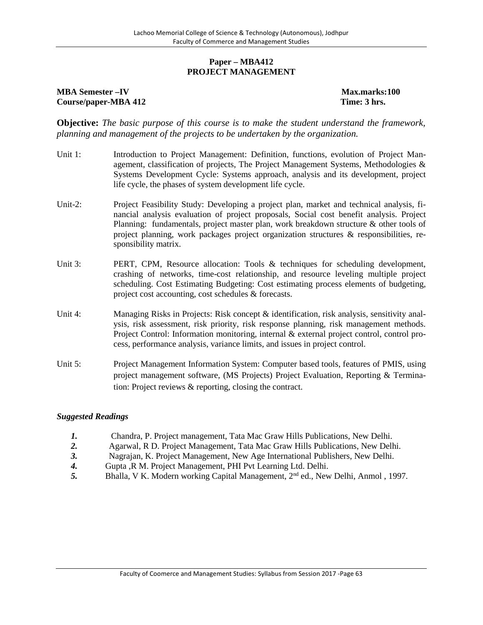#### **Paper – MBA412 PROJECT MANAGEMENT**

#### **MBA Semester –IV Max.marks:100 Course/paper-MBA 412 Time: 3 hrs.**

**Objective:** *The basic purpose of this course is to make the student understand the framework, planning and management of the projects to be undertaken by the organization.*

- Unit 1: Introduction to Project Management: Definition, functions, evolution of Project Management, classification of projects, The Project Management Systems, Methodologies  $\&$ Systems Development Cycle: Systems approach, analysis and its development, project life cycle, the phases of system development life cycle.
- Unit-2: Project Feasibility Study: Developing a project plan, market and technical analysis, financial analysis evaluation of project proposals, Social cost benefit analysis. Project Planning: fundamentals, project master plan, work breakdown structure & other tools of project planning, work packages project organization structures & responsibilities, responsibility matrix.
- Unit 3: PERT, CPM, Resource allocation: Tools & techniques for scheduling development, crashing of networks, time-cost relationship, and resource leveling multiple project scheduling. Cost Estimating Budgeting: Cost estimating process elements of budgeting, project cost accounting, cost schedules & forecasts.
- Unit 4: Managing Risks in Projects: Risk concept & identification, risk analysis, sensitivity analysis, risk assessment, risk priority, risk response planning, risk management methods. Project Control: Information monitoring, internal & external project control, control process, performance analysis, variance limits, and issues in project control.
- Unit 5: Project Management Information System: Computer based tools, features of PMIS, using project management software, (MS Projects) Project Evaluation, Reporting & Termination: Project reviews & reporting, closing the contract.

- *1.* Chandra, P. Project management, Tata Mac Graw Hills Publications, New Delhi.
- *2.* Agarwal, R D. Project Management, Tata Mac Graw Hills Publications, New Delhi.
- *3.* Nagrajan, K. Project Management, New Age International Publishers, New Delhi.
- *4.* Gupta ,R M. Project Management, PHI Pvt Learning Ltd. Delhi.
- **5.** Bhalla, V K. Modern working Capital Management, 2<sup>nd</sup> ed., New Delhi, Anmol, 1997.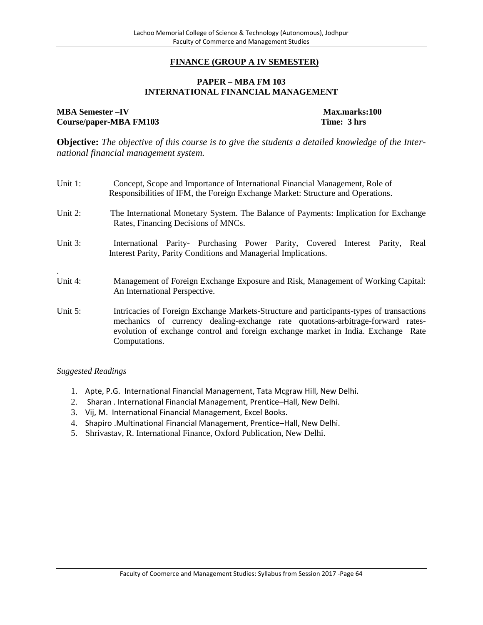#### **FINANCE (GROUP A IV SEMESTER)**

#### **PAPER – MBA FM 103 INTERNATIONAL FINANCIAL MANAGEMENT**

**MBA Semester –IV Max.marks:100**<br> **Course/paper-MBA FM103 Time: 3 hrs**  $Course/paper-MBA FM103$ 

**Objective:** *The objective of this course is to give the students a detailed knowledge of the International financial management system.*

| Unit 1:            | Concept, Scope and Importance of International Financial Management, Role of<br>Responsibilities of IFM, the Foreign Exchange Market: Structure and Operations.                                                                                                                   |
|--------------------|-----------------------------------------------------------------------------------------------------------------------------------------------------------------------------------------------------------------------------------------------------------------------------------|
| Unit 2:            | The International Monetary System. The Balance of Payments: Implication for Exchange<br>Rates, Financing Decisions of MNCs.                                                                                                                                                       |
| Unit 3:            | International Parity- Purchasing Power Parity, Covered Interest Parity,<br>Real<br>Interest Parity, Parity Conditions and Managerial Implications.                                                                                                                                |
| $\cdot$<br>Unit 4: | Management of Foreign Exchange Exposure and Risk, Management of Working Capital:<br>An International Perspective.                                                                                                                                                                 |
| Unit 5:            | Intricacies of Foreign Exchange Markets-Structure and participants-types of transactions<br>mechanics of currency dealing-exchange rate quotations-arbitrage-forward rates-<br>evolution of exchange control and foreign exchange market in India. Exchange Rate<br>Computations. |

- 1. Apte, P.G. International Financial Management, Tata Mcgraw Hill, New Delhi.
- 2. Sharan . International Financial Management, Prentice–Hall, New Delhi.
- 3. Vij, M. International Financial Management, Excel Books.
- 4. Shapiro .Multinational Financial Management, Prentice–Hall, New Delhi.
- 5. Shrivastav, R. International Finance, Oxford Publication, New Delhi.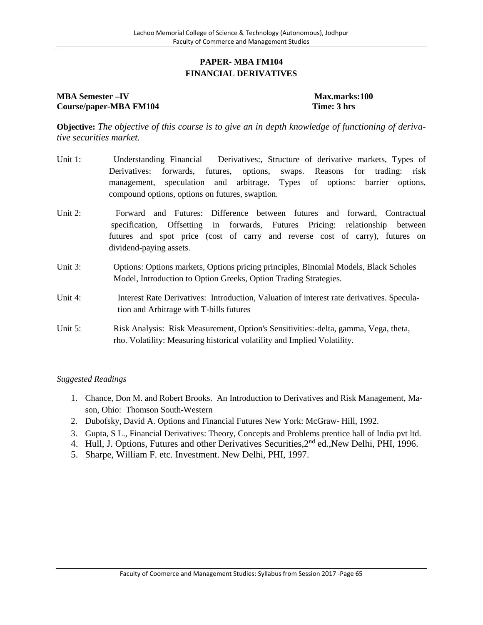# **PAPER- MBA FM104 FINANCIAL DERIVATIVES**

# **MBA Semester –IV Max.marks:100 Course/paper-MBA FM104 Time: 3 hrs**

**Objective:** *The objective of this course is to give an in depth knowledge of functioning of derivative securities market.*

- Unit 1: Understanding Financial Derivatives:, Structure of derivative markets, Types of Derivatives: forwards, futures, options, swaps. Reasons for trading: risk management, speculation and arbitrage. Types of options: barrier options, compound options, options on futures, swaption.
- Unit 2: Forward and Futures: Difference between futures and forward, Contractual specification, Offsetting in forwards, Futures Pricing: relationship between futures and spot price (cost of carry and reverse cost of carry), futures on dividend-paying assets.
- Unit 3: Options: Options markets, Options pricing principles, Binomial Models, Black Scholes Model, Introduction to Option Greeks, Option Trading Strategies.
- Unit 4: Interest Rate Derivatives: Introduction, Valuation of interest rate derivatives. Speculation and Arbitrage with T-bills futures
- Unit 5: Risk Analysis: Risk Measurement, Option's Sensitivities:-delta, gamma, Vega, theta, rho. Volatility: Measuring historical volatility and Implied Volatility.

- 1. Chance, Don M. and Robert Brooks. An Introduction to Derivatives and Risk Management, Mason, Ohio: Thomson South-Western
- 2. Dubofsky, David A. Options and Financial Futures New York: McGraw- Hill, 1992.
- 3. Gupta, S L., Financial Derivatives: Theory, Concepts and Problems prentice hall of India pvt ltd.
- 4. Hull, J. Options, Futures and other Derivatives Securities, 2<sup>nd</sup> ed., New Delhi, PHI, 1996.
- 5. Sharpe, William F. etc. Investment. New Delhi, PHI, 1997.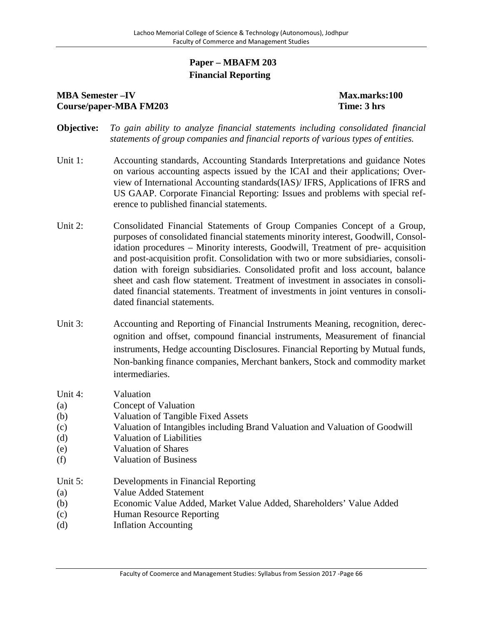# **Paper – MBAFM 203 Financial Reporting**

# **MBA Semester**  $-IV$  **Max.marks:100 Course/paper-MBA FM203 Time: 3 hrs**

- **Objective:** *To gain ability to analyze financial statements including consolidated financial statements of group companies and financial reports of various types of entities.*
- Unit 1: Accounting standards, Accounting Standards Interpretations and guidance Notes on various accounting aspects issued by the ICAI and their applications; Overview of International Accounting standards(IAS)/ IFRS, Applications of IFRS and US GAAP. Corporate Financial Reporting: Issues and problems with special reference to published financial statements.
- Unit 2: Consolidated Financial Statements of Group Companies Concept of a Group, purposes of consolidated financial statements minority interest, Goodwill, Consolidation procedures – Minority interests, Goodwill, Treatment of pre- acquisition and post-acquisition profit. Consolidation with two or more subsidiaries, consolidation with foreign subsidiaries. Consolidated profit and loss account, balance sheet and cash flow statement. Treatment of investment in associates in consolidated financial statements. Treatment of investments in joint ventures in consolidated financial statements.
- Unit 3: Accounting and Reporting of Financial Instruments Meaning, recognition, derecognition and offset, compound financial instruments, Measurement of financial instruments, Hedge accounting Disclosures. Financial Reporting by Mutual funds, Non-banking finance companies, Merchant bankers, Stock and commodity market intermediaries.
- Unit 4: Valuation
- (a) Concept of Valuation
- (b) Valuation of Tangible Fixed Assets
- (c) Valuation of Intangibles including Brand Valuation and Valuation of Goodwill
- (d) Valuation of Liabilities
- (e) Valuation of Shares
- (f) Valuation of Business
- Unit 5: Developments in Financial Reporting
- (a) Value Added Statement
- (b) Economic Value Added, Market Value Added, Shareholders' Value Added
- (c) Human Resource Reporting
- (d) Inflation Accounting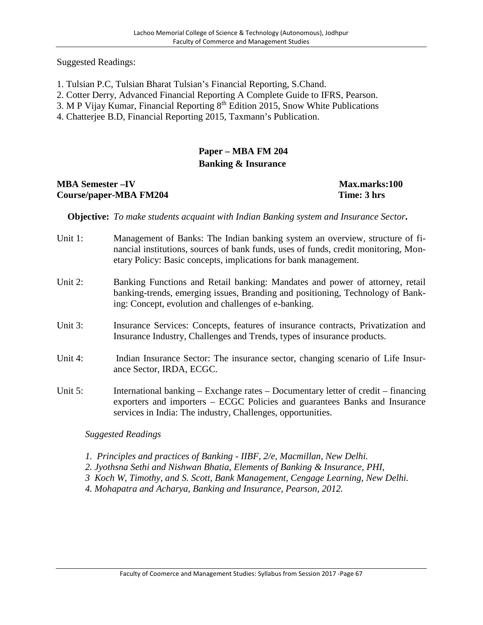Suggested Readings:

- 1. Tulsian P.C, Tulsian Bharat Tulsian's Financial Reporting, S.Chand.
- 2. Cotter Derry, Advanced Financial Reporting A Complete Guide to IFRS, Pearson.
- 3. M P Vijay Kumar, Financial Reporting 8<sup>th</sup> Edition 2015, Snow White Publications
- 4. Chatterjee B.D, Financial Reporting 2015, Taxmann's Publication.

# **Paper – MBA FM 204 Banking & Insurance**

# **MBA Semester –IV Max.marks:100 Course/paper-MBA FM204 Time: 3 hrs**

**Objective:** *To make students acquaint with Indian Banking system and Insurance Sector***.**

- Unit 1: Management of Banks: The Indian banking system an overview, structure of financial institutions, sources of bank funds, uses of funds, credit monitoring, Monetary Policy: Basic concepts, implications for bank management.
- Unit 2: Banking Functions and Retail banking: Mandates and power of attorney, retail banking-trends, emerging issues, Branding and positioning, Technology of Banking: Concept, evolution and challenges of e-banking.
- Unit 3: Insurance Services: Concepts, features of insurance contracts, Privatization and Insurance Industry, Challenges and Trends, types of insurance products.
- Unit 4: Indian Insurance Sector: The insurance sector, changing scenario of Life Insurance Sector, IRDA, ECGC.
- Unit 5: International banking Exchange rates Documentary letter of credit financing exporters and importers – ECGC Policies and guarantees Banks and Insurance services in India: The industry, Challenges, opportunities.

- *1. Principles and practices of Banking - IIBF, 2/e, Macmillan, New Delhi.*
- *2. Jyothsna Sethi and Nishwan Bhatia, Elements of Banking & Insurance, PHI,*
- *3 Koch W, Timothy, and S. Scott, Bank Management, Cengage Learning, New Delhi.*
- *4. Mohapatra and Acharya, Banking and Insurance, Pearson, 2012.*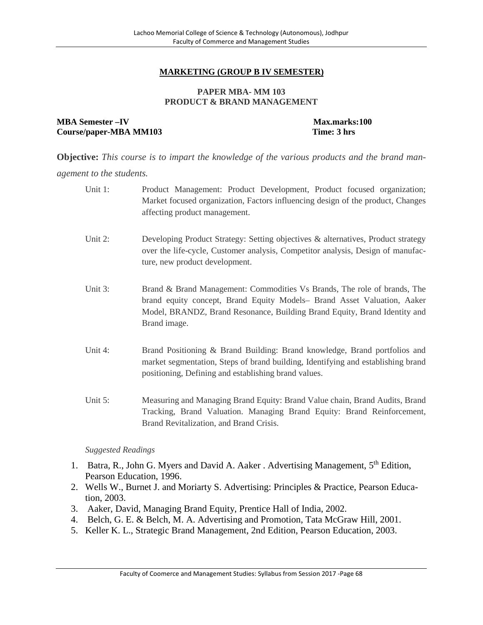# **MARKETING (GROUP B IV SEMESTER)**

#### **PAPER MBA- MM 103 PRODUCT & BRAND MANAGEMENT**

### **MBA Semester**  $-V$  **Max.marks:100 Course/paper-MBA MM103 Time: 3 hrs**

**Objective:** *This course is to impart the knowledge of the various products and the brand management to the students.*

|    | Unit 1:                   | Product Management: Product Development, Product focused organization;<br>Market focused organization, Factors influencing design of the product, Changes<br>affecting product management.                                                       |
|----|---------------------------|--------------------------------------------------------------------------------------------------------------------------------------------------------------------------------------------------------------------------------------------------|
|    | Unit 2:                   | Developing Product Strategy: Setting objectives & alternatives, Product strategy<br>over the life-cycle, Customer analysis, Competitor analysis, Design of manufac-<br>ture, new product development.                                            |
|    | Unit 3:                   | Brand & Brand Management: Commodities Vs Brands, The role of brands, The<br>brand equity concept, Brand Equity Models- Brand Asset Valuation, Aaker<br>Model, BRANDZ, Brand Resonance, Building Brand Equity, Brand Identity and<br>Brand image. |
|    | Unit 4:                   | Brand Positioning & Brand Building: Brand knowledge, Brand portfolios and<br>market segmentation, Steps of brand building, Identifying and establishing brand<br>positioning, Defining and establishing brand values.                            |
|    | Unit 5:                   | Measuring and Managing Brand Equity: Brand Value chain, Brand Audits, Brand<br>Tracking, Brand Valuation. Managing Brand Equity: Brand Reinforcement,<br>Brand Revitalization, and Brand Crisis.                                                 |
|    | <b>Suggested Readings</b> |                                                                                                                                                                                                                                                  |
| 1. |                           | Batra, R., John G. Myers and David A. Aaker. Advertising Management, 5th Edition,                                                                                                                                                                |

- Pearson Education, 1996.
- 2. Wells W., Burnet J. and Moriarty S. Advertising: Principles & Practice, Pearson Education, 2003.
- 3. Aaker, David, Managing Brand Equity, Prentice Hall of India, 2002.
- 4. Belch, G. E. & Belch, M. A. Advertising and Promotion, Tata McGraw Hill, 2001.
- 5. Keller K. L., Strategic Brand Management, 2nd Edition, Pearson Education, 2003.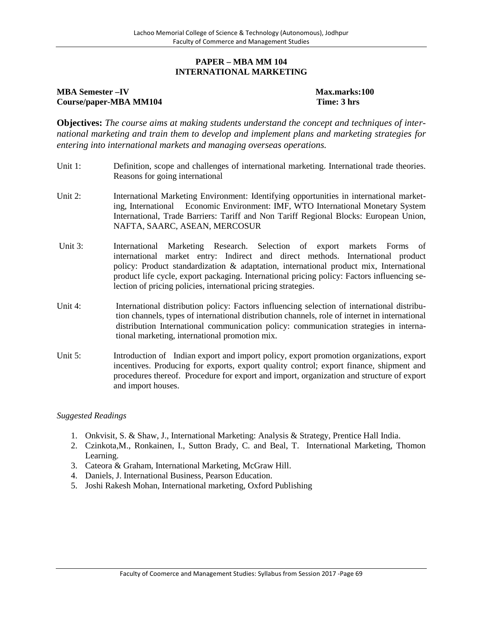#### **PAPER – MBA MM 104 INTERNATIONAL MARKETING**

## **MBA Semester –IV Max.marks:100 Course/paper-MBA MM104 Time: 3 hrs**

**Objectives:** *The course aims at making students understand the concept and techniques of international marketing and train them to develop and implement plans and marketing strategies for entering into international markets and managing overseas operations.*

- Unit 1: Definition, scope and challenges of international marketing. International trade theories. Reasons for going international
- Unit 2: International Marketing Environment: Identifying opportunities in international marketing, International Economic Environment: IMF, WTO International Monetary System International, Trade Barriers: Tariff and Non Tariff Regional Blocks: European Union, NAFTA, SAARC, ASEAN, MERCOSUR
- Unit 3: International Marketing Research. Selection of export markets Forms of international market entry: Indirect and direct methods. International product policy: Product standardization & adaptation, international product mix, International product life cycle, export packaging. International pricing policy: Factors influencing selection of pricing policies, international pricing strategies.
- Unit 4: International distribution policy: Factors influencing selection of international distribution channels, types of international distribution channels, role of internet in international distribution International communication policy: communication strategies in international marketing, international promotion mix.
- Unit 5: Introduction of Indian export and import policy, export promotion organizations, export incentives. Producing for exports, export quality control; export finance, shipment and procedures thereof. Procedure for export and import, organization and structure of export and import houses.

- 1. Onkvisit, S. & Shaw, J., International Marketing: Analysis & Strategy, Prentice Hall India.
- 2. Czinkota,M., Ronkainen, I., Sutton Brady, C. and Beal, T. International Marketing, Thomon Learning.
- 3. Cateora & Graham, International Marketing, McGraw Hill.
- 4. Daniels, J. International Business, Pearson Education.
- 5. Joshi Rakesh Mohan, International marketing, Oxford Publishing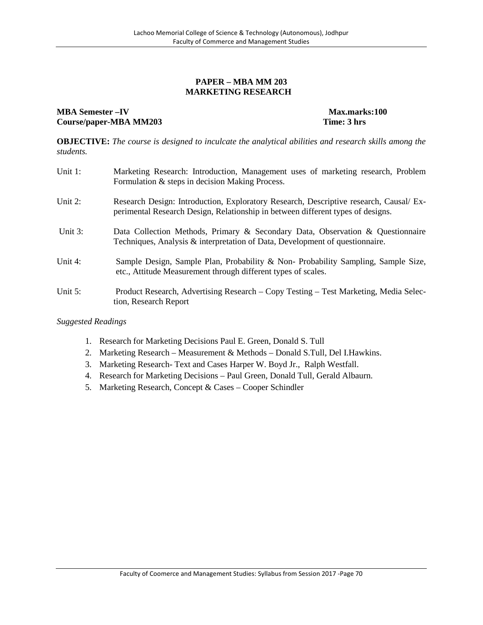#### **PAPER – MBA MM 203 MARKETING RESEARCH**

#### **MBA Semester –IV Max.marks:100**<br> **Course/paper-MBA MM203 Time: 3** hrs **Course/paper-MBA MM203**

**OBJECTIVE:** *The course is designed to inculcate the analytical abilities and research skills among the students.*

| Unit 1:    | Marketing Research: Introduction, Management uses of marketing research, Problem<br>Formulation & steps in decision Making Process.                                       |
|------------|---------------------------------------------------------------------------------------------------------------------------------------------------------------------------|
| Unit $2$ : | Research Design: Introduction, Exploratory Research, Descriptive research, Causal/ Ex-<br>perimental Research Design, Relationship in between different types of designs. |
| Unit 3:    | Data Collection Methods, Primary & Secondary Data, Observation & Questionnaire<br>Techniques, Analysis & interpretation of Data, Development of questionnaire.            |
| Unit 4:    | Sample Design, Sample Plan, Probability & Non- Probability Sampling, Sample Size,<br>etc., Attitude Measurement through different types of scales.                        |
| Unit $5$ : | Product Research, Advertising Research - Copy Testing - Test Marketing, Media Selec-<br>tion, Research Report                                                             |

- 1. Research for Marketing Decisions Paul E. Green, Donald S. Tull
- 2. Marketing Research Measurement & Methods Donald S.Tull, Del I.Hawkins.
- 3. Marketing Research- Text and Cases Harper W. Boyd Jr., Ralph Westfall.
- 4. Research for Marketing Decisions Paul Green, Donald Tull, Gerald Albaurn.
- 5. Marketing Research, Concept & Cases Cooper Schindler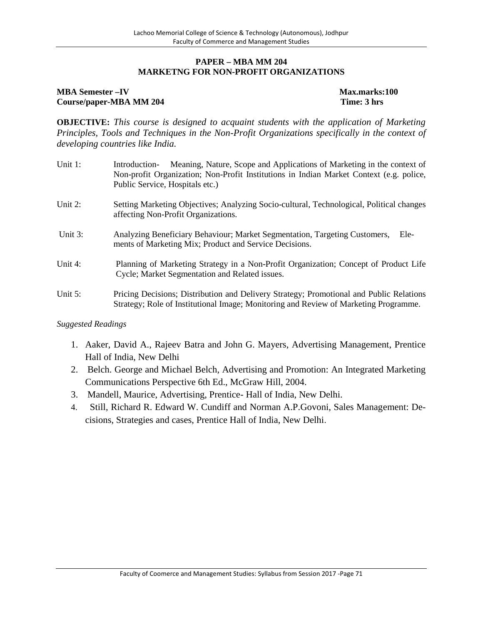#### **PAPER – MBA MM 204 MARKETNG FOR NON-PROFIT ORGANIZATIONS**

### **MBA Semester –IV Max.marks:100 Course/paper-MBA MM 204 Time: 3 hrs**

**OBJECTIVE:** *This course is designed to acquaint students with the application of Marketing Principles, Tools and Techniques in the Non-Profit Organizations specifically in the context of developing countries like India.*

- Unit 1: Introduction- Meaning, Nature, Scope and Applications of Marketing in the context of Non-profit Organization; Non-Profit Institutions in Indian Market Context (e.g. police, Public Service, Hospitals etc.)
- Unit 2: Setting Marketing Objectives; Analyzing Socio-cultural, Technological, Political changes affecting Non-Profit Organizations.
- Unit 3: Analyzing Beneficiary Behaviour; Market Segmentation, Targeting Customers, Elements of Marketing Mix; Product and Service Decisions.
- Unit 4: Planning of Marketing Strategy in a Non-Profit Organization; Concept of Product Life Cycle; Market Segmentation and Related issues.
- Unit 5: Pricing Decisions; Distribution and Delivery Strategy; Promotional and Public Relations Strategy; Role of Institutional Image; Monitoring and Review of Marketing Programme.

- 1. Aaker, David A., Rajeev Batra and John G. Mayers, Advertising Management, Prentice Hall of India, New Delhi
- 2. Belch. George and Michael Belch, Advertising and Promotion: An Integrated Marketing Communications Perspective 6th Ed., McGraw Hill, 2004.
- 3. Mandell, Maurice, Advertising, Prentice- Hall of India, New Delhi.
- 4. Still, Richard R. Edward W. Cundiff and Norman A.P.Govoni, Sales Management: Decisions, Strategies and cases, Prentice Hall of India, New Delhi.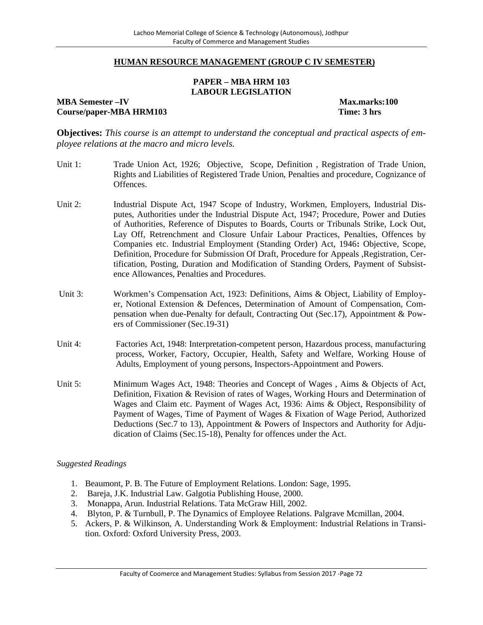#### **HUMAN RESOURCE MANAGEMENT (GROUP C IV SEMESTER)**

#### **PAPER – MBA HRM 103 LABOUR LEGISLATION**

**MBA Semester –IV Max.marks:100 Course/paper-MBA HRM103 Time: 3 hrs**

**Objectives:** *This course is an attempt to understand the conceptual and practical aspects of employee relations at the macro and micro levels.*

- Unit 1: Trade Union Act, 1926; Objective, Scope, Definition , Registration of Trade Union, Rights and Liabilities of Registered Trade Union, Penalties and procedure, Cognizance of Offences.
- Unit 2: Industrial Dispute Act, 1947 Scope of Industry, Workmen, Employers, Industrial Disputes, Authorities under the Industrial Dispute Act, 1947; Procedure, Power and Duties of Authorities, Reference of Disputes to Boards, Courts or Tribunals Strike, Lock Out, Lay Off, Retrenchment and Closure Unfair Labour Practices, Penalties, Offences by Companies etc. Industrial Employment (Standing Order) Act, 1946**:** Objective, Scope, Definition, Procedure for Submission Of Draft, Procedure for Appeals ,Registration, Certification, Posting, Duration and Modification of Standing Orders, Payment of Subsistence Allowances, Penalties and Procedures.
- Unit 3: Workmen's Compensation Act, 1923: Definitions, Aims & Object, Liability of Employer, Notional Extension & Defences, Determination of Amount of Compensation, Compensation when due-Penalty for default, Contracting Out (Sec.17), Appointment & Powers of Commissioner (Sec.19-31)
- Unit 4: Factories Act, 1948: Interpretation-competent person, Hazardous process, manufacturing process, Worker, Factory, Occupier, Health, Safety and Welfare, Working House of Adults, Employment of young persons, Inspectors-Appointment and Powers.
- Unit 5: Minimum Wages Act, 1948: Theories and Concept of Wages , Aims & Objects of Act, Definition, Fixation & Revision of rates of Wages, Working Hours and Determination of Wages and Claim etc. Payment of Wages Act, 1936: Aims & Object, Responsibility of Payment of Wages, Time of Payment of Wages & Fixation of Wage Period, Authorized Deductions (Sec.7 to 13), Appointment & Powers of Inspectors and Authority for Adjudication of Claims (Sec.15-18), Penalty for offences under the Act.

- 1. Beaumont, P. B. The Future of Employment Relations. London: Sage, 1995.
- 2. Bareja, J.K. Industrial Law. Galgotia Publishing House, 2000.
- 3. Monappa, Arun. Industrial Relations. Tata McGraw Hill, 2002.
- 4. Blyton, P. & Turnbull, P. The Dynamics of Employee Relations. Palgrave Mcmillan, 2004.
- 5. Ackers, P. & Wilkinson, A. Understanding Work & Employment: Industrial Relations in Transition. Oxford: Oxford University Press, 2003.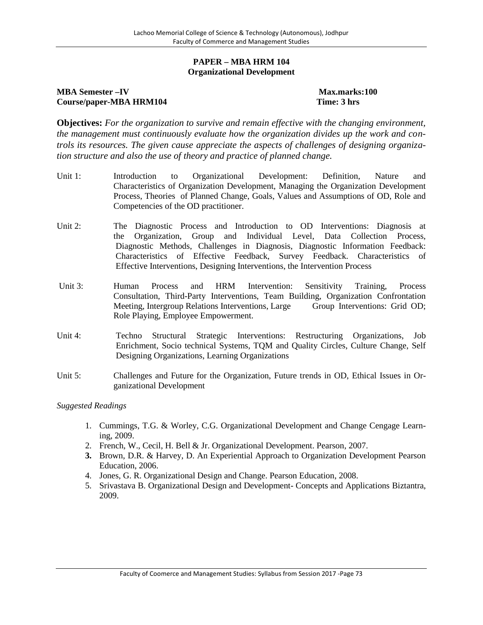#### **PAPER – MBA HRM 104 Organizational Development**

## **MBA Semester –IV Max.marks:100 Course/paper-MBA HRM104 Time: 3 hrs**

**Objectives:** *For the organization to survive and remain effective with the changing environment, the management must continuously evaluate how the organization divides up the work and controls its resources. The given cause appreciate the aspects of challenges of designing organization structure and also the use of theory and practice of planned change.*

- Unit 1: Introduction to Organizational Development: Definition, Nature and Characteristics of Organization Development, Managing the Organization Development Process, Theories of Planned Change, Goals, Values and Assumptions of OD, Role and Competencies of the OD practitioner.
- Unit 2: The Diagnostic Process and Introduction to OD Interventions: Diagnosis at the Organization, Group and Individual Level, Data Collection Process, Diagnostic Methods, Challenges in Diagnosis, Diagnostic Information Feedback: Characteristics of Effective Feedback, Survey Feedback. Characteristics of Effective Interventions, Designing Interventions, the Intervention Process
- Unit 3: Human Process and HRM Intervention: Sensitivity Training, Process Consultation, Third-Party Interventions, Team Building, Organization Confrontation Meeting, Intergroup Relations Interventions, Large Group Interventions: Grid OD; Role Playing, Employee Empowerment.
- Unit 4: Techno Structural Strategic Interventions: Restructuring Organizations, Job Enrichment, Socio technical Systems, TQM and Quality Circles, Culture Change, Self Designing Organizations, Learning Organizations
- Unit 5: Challenges and Future for the Organization, Future trends in OD, Ethical Issues in Organizational Development

- 1. Cummings, T.G. & Worley, C.G. Organizational Development and Change Cengage Learning, 2009.
- 2. French, W., Cecil, H. Bell & Jr. Organizational Development. Pearson, 2007.
- **3.** Brown, D.R. & Harvey, D. An Experiential Approach to Organization Development Pearson Education, 2006.
- 4. Jones, G. R. Organizational Design and Change. Pearson Education, 2008.
- 5. Srivastava B. Organizational Design and Development- Concepts and Applications Biztantra, 2009.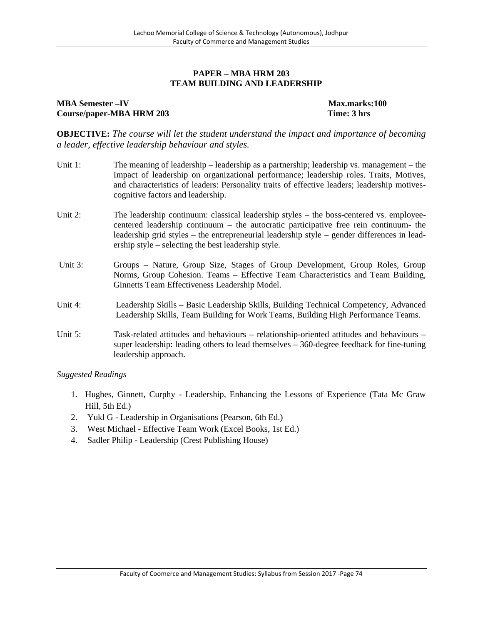### **PAPER – MBA HRM 203 TEAM BUILDING AND LEADERSHIP**

#### **MBA Semester**  $-\text{IV}$  **Max.marks:100 Course/paper-MBA HRM 203 Time: 3 hrs**

**OBJECTIVE:** *The course will let the student understand the impact and importance of becoming a leader, effective leadership behaviour and styles.*

- Unit 1: The meaning of leadership leadership as a partnership; leadership vs. management the Impact of leadership on organizational performance; leadership roles. Traits, Motives, and characteristics of leaders: Personality traits of effective leaders; leadership motives cognitive factors and leadership.
- Unit 2: The leadership continuum: classical leadership styles the boss-centered vs. employeecentered leadership continuum – the autocratic participative free rein continuum- the leadership grid styles – the entrepreneurial leadership style – gender differences in leadership style – selecting the best leadership style.
- Unit 3: Groups Nature, Group Size, Stages of Group Development, Group Roles, Group Norms, Group Cohesion. Teams – Effective Team Characteristics and Team Building, Ginnetts Team Effectiveness Leadership Model.
- Unit 4: Leadership Skills Basic Leadership Skills, Building Technical Competency, Advanced Leadership Skills, Team Building for Work Teams, Building High Performance Teams.
- Unit 5: Task-related attitudes and behaviours relationship-oriented attitudes and behaviours super leadership: leading others to lead themselves – 360-degree feedback for fine-tuning leadership approach.

- 1. Hughes, Ginnett, Curphy Leadership, Enhancing the Lessons of Experience (Tata Mc Graw Hill, 5th Ed.)
- 2. Yukl G Leadership in Organisations (Pearson, 6th Ed.)
- 3. West Michael Effective Team Work (Excel Books, 1st Ed.)
- 4. Sadler Philip Leadership (Crest Publishing House)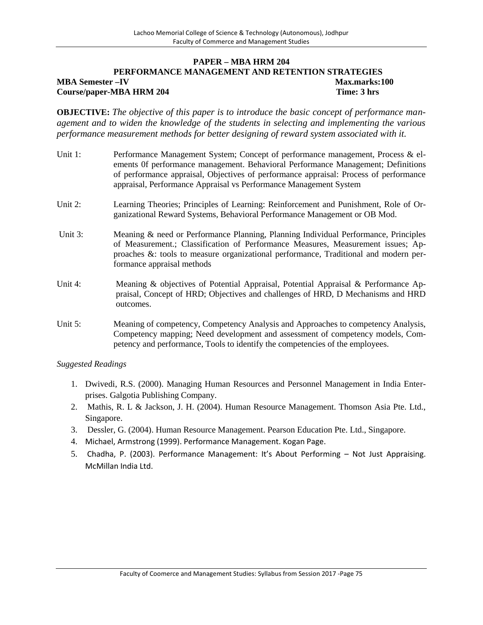#### **PAPER – MBA HRM 204 PERFORMANCE MANAGEMENT AND RETENTION STRATEGIES MBA Semester –IV Max.marks:100 Course/paper-MBA HRM 204 Time: 3 hrs**

**OBJECTIVE:** *The objective of this paper is to introduce the basic concept of performance management and to widen the knowledge of the students in selecting and implementing the various performance measurement methods for better designing of reward system associated with it.*

- Unit 1: Performance Management System; Concept of performance management, Process & elements 0f performance management. Behavioral Performance Management; Definitions of performance appraisal, Objectives of performance appraisal: Process of performance appraisal, Performance Appraisal vs Performance Management System
- Unit 2: Learning Theories; Principles of Learning: Reinforcement and Punishment, Role of Organizational Reward Systems, Behavioral Performance Management or OB Mod.
- Unit 3: Meaning & need or Performance Planning, Planning Individual Performance, Principles of Measurement.; Classification of Performance Measures, Measurement issues; Approaches &: tools to measure organizational performance, Traditional and modern performance appraisal methods
- Unit 4: Meaning & objectives of Potential Appraisal, Potential Appraisal & Performance Appraisal, Concept of HRD; Objectives and challenges of HRD, D Mechanisms and HRD outcomes.
- Unit 5: Meaning of competency, Competency Analysis and Approaches to competency Analysis, Competency mapping; Need development and assessment of competency models, Competency and performance, Tools to identify the competencies of the employees.

- 1. Dwivedi, R.S. (2000). Managing Human Resources and Personnel Management in India Enterprises. Galgotia Publishing Company.
- 2. Mathis, R. L & Jackson, J. H. (2004). Human Resource Management. Thomson Asia Pte. Ltd., Singapore.
- 3. Dessler, G. (2004). Human Resource Management. Pearson Education Pte. Ltd., Singapore.
- 4. Michael, Armstrong (1999). Performance Management. Kogan Page.
- 5. Chadha, P. (2003). Performance Management: It's About Performing Not Just Appraising. McMillan India Ltd.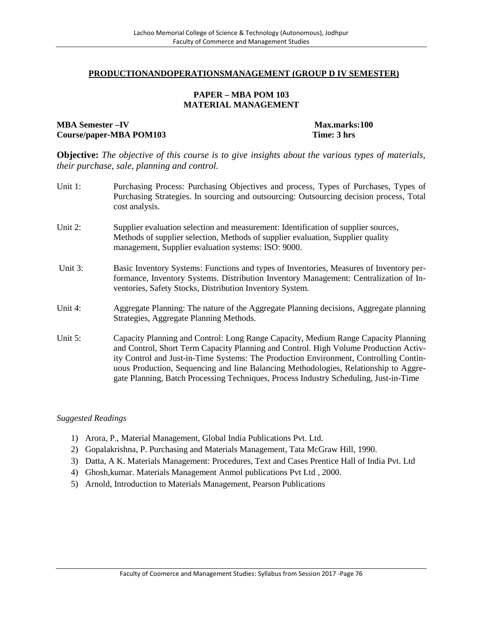#### **PRODUCTIONANDOPERATIONSMANAGEMENT (GROUP D IV SEMESTER)**

#### **PAPER – MBA POM 103 MATERIAL MANAGEMENT**

#### **MBA Semester –IV Max.marks:100 Course/paper-MBA POM103 Time: 3 hrs**

**Objective:** *The objective of this course is to give insights about the various types of materials, their purchase, sale, planning and control.*

Unit 1: Purchasing Process: Purchasing Objectives and process, Types of Purchases, Types of Purchasing Strategies. In sourcing and outsourcing: Outsourcing decision process, Total cost analysis. Unit 2: Supplier evaluation selection and measurement: Identification of supplier sources, Methods of supplier selection, Methods of supplier evaluation, Supplier quality management, Supplier evaluation systems: ISO: 9000. Unit 3: Basic Inventory Systems: Functions and types of Inventories, Measures of Inventory performance, Inventory Systems. Distribution Inventory Management: Centralization of Inventories, Safety Stocks, Distribution Inventory System. Unit 4: Aggregate Planning: The nature of the Aggregate Planning decisions, Aggregate planning Strategies, Aggregate Planning Methods. Unit 5: Capacity Planning and Control: Long Range Capacity, Medium Range Capacity Planning and Control, Short Term Capacity Planning and Control. High Volume Production Activity Control and Just-in-Time Systems: The Production Environment, Controlling Continuous Production, Sequencing and line Balancing Methodologies, Relationship to Aggregate Planning, Batch Processing Techniques, Process Industry Scheduling, Just-in-Time

- 1) Arora, P., Material Management, Global India Publications Pvt. Ltd.
- 2) Gopalakrishna, P. Purchasing and Materials Management, Tata McGraw Hill, 1990.
- 3) Datta, A K. Materials Management: Procedures, Text and Cases Prentice Hall of India Pvt. Ltd
- 4) Ghosh,kumar. Materials Management Anmol publications Pvt Ltd , 2000.
- 5) Arnold, Introduction to Materials Management, Pearson Publications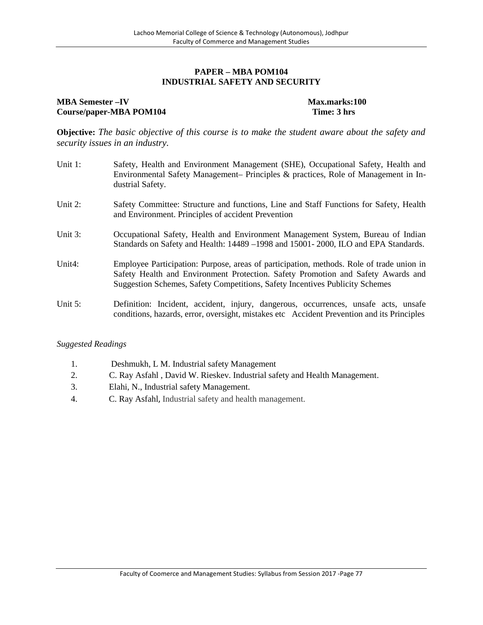### **PAPER – MBA POM104 INDUSTRIAL SAFETY AND SECURITY**

## **MBA Semester –IV Max.marks:100 Course/paper-MBA POM104 Time: 3 hrs**

**Objective:** *The basic objective of this course is to make the student aware about the safety and security issues in an industry.*

- Unit 1: Safety, Health and Environment Management (SHE), Occupational Safety, Health and Environmental Safety Management– Principles & practices, Role of Management in Industrial Safety.
- Unit 2: Safety Committee: Structure and functions, Line and Staff Functions for Safety, Health and Environment. Principles of accident Prevention
- Unit 3: Occupational Safety, Health and Environment Management System, Bureau of Indian Standards on Safety and Health: 14489 –1998 and 15001- 2000, ILO and EPA Standards.
- Unit4: Employee Participation: Purpose, areas of participation, methods. Role of trade union in Safety Health and Environment Protection. Safety Promotion and Safety Awards and Suggestion Schemes, Safety Competitions, Safety Incentives Publicity Schemes
- Unit 5: Definition: Incident, accident, injury, dangerous, occurrences, unsafe acts, unsafe conditions, hazards, error, oversight, mistakes etc Accident Prevention and its Principles

- 1. Deshmukh, L M. Industrial safety Management
- 2. C. Ray Asfahl , David W. Rieskev. Industrial safety and Health Management.
- 3. Elahi, N., Industrial safety Management.
- 4. C. Ray Asfahl, Industrial safety and health management.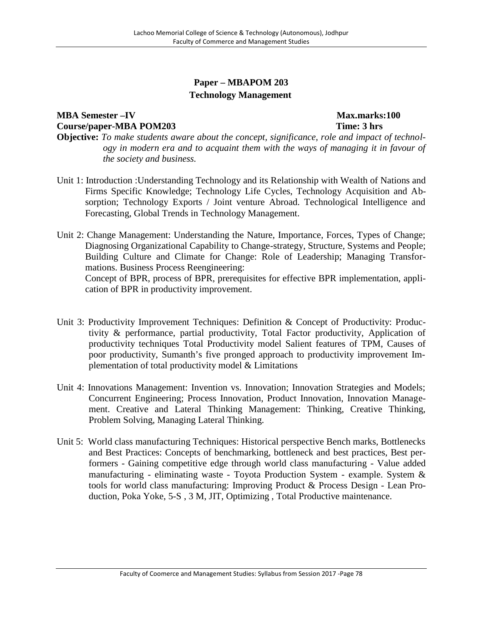# **Paper – MBAPOM 203 Technology Management**

# **MBA Semester –IV Max.marks:100 Course/paper-MBA POM203 Time: 3 hrs**

- **Objective:** *To make students aware about the concept, significance, role and impact of technology in modern era and to acquaint them with the ways of managing it in favour of the society and business.*
- Unit 1: Introduction :Understanding Technology and its Relationship with Wealth of Nations and Firms Specific Knowledge; Technology Life Cycles, Technology Acquisition and Absorption; Technology Exports / Joint venture Abroad. Technological Intelligence and Forecasting, Global Trends in Technology Management.
- Unit 2: Change Management: Understanding the Nature, Importance, Forces, Types of Change; Diagnosing Organizational Capability to Change-strategy, Structure, Systems and People; Building Culture and Climate for Change: Role of Leadership; Managing Transformations. Business Process Reengineering: Concept of BPR, process of BPR, prerequisites for effective BPR implementation, appli-

cation of BPR in productivity improvement.

Unit 3: Productivity Improvement Techniques: Definition & Concept of Productivity: Produc-

- tivity & performance, partial productivity, Total Factor productivity, Application of productivity techniques Total Productivity model Salient features of TPM, Causes of poor productivity, Sumanth's five pronged approach to productivity improvement Implementation of total productivity model & Limitations
- Unit 4: Innovations Management: Invention vs. Innovation; Innovation Strategies and Models; Concurrent Engineering; Process Innovation, Product Innovation, Innovation Management. Creative and Lateral Thinking Management: Thinking, Creative Thinking, Problem Solving, Managing Lateral Thinking.
- Unit 5: World class manufacturing Techniques: Historical perspective Bench marks, Bottlenecks and Best Practices: Concepts of benchmarking, bottleneck and best practices, Best performers - Gaining competitive edge through world class manufacturing - Value added manufacturing - eliminating waste - Toyota Production System - example. System & tools for world class manufacturing: Improving Product & Process Design - Lean Production, Poka Yoke, 5-S , 3 M, JIT, Optimizing , Total Productive maintenance.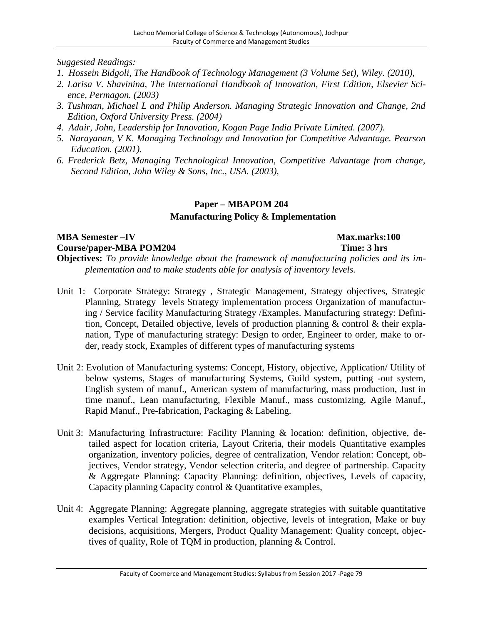- *1. Hossein Bidgoli, The Handbook of Technology Management (3 Volume Set), Wiley. (2010),*
- *2. Larisa V. Shavinina, The International Handbook of Innovation, First Edition, Elsevier Science, Permagon. (2003)*
- *3. Tushman, Michael L and Philip Anderson. Managing Strategic Innovation and Change, 2nd Edition, Oxford University Press. (2004)*
- *4. Adair, John, Leadership for Innovation, Kogan Page India Private Limited. (2007).*
- *5. Narayanan, V K. Managing Technology and Innovation for Competitive Advantage. Pearson Education. (2001).*
- *6. Frederick Betz, Managing Technological Innovation, Competitive Advantage from change, Second Edition, John Wiley & Sons, Inc., USA. (2003),*

# **Paper – MBAPOM 204 Manufacturing Policy & Implementation**

## **MBA Semester –IV Max.marks:100 Course/paper-MBA POM204 Time: 3 hrs Objectives:** *To provide knowledge about the framework of manufacturing policies and its implementation and to make students able for analysis of inventory levels.*

- Unit 1: Corporate Strategy: Strategy , Strategic Management, Strategy objectives, Strategic Planning, Strategy levels Strategy implementation process Organization of manufacturing / Service facility Manufacturing Strategy /Examples. Manufacturing strategy: Definition, Concept, Detailed objective, levels of production planning & control & their explanation, Type of manufacturing strategy: Design to order, Engineer to order, make to order, ready stock, Examples of different types of manufacturing systems
- Unit 2: Evolution of Manufacturing systems: Concept, History, objective, Application/ Utility of below systems, Stages of manufacturing Systems, Guild system, putting -out system, English system of manuf., American system of manufacturing, mass production, Just in time manuf., Lean manufacturing, Flexible Manuf., mass customizing, Agile Manuf., Rapid Manuf., Pre-fabrication, Packaging & Labeling.
- Unit 3: Manufacturing Infrastructure: Facility Planning & location: definition, objective, detailed aspect for location criteria, Layout Criteria, their models Quantitative examples organization, inventory policies, degree of centralization, Vendor relation: Concept, objectives, Vendor strategy, Vendor selection criteria, and degree of partnership. Capacity & Aggregate Planning: Capacity Planning: definition, objectives, Levels of capacity, Capacity planning Capacity control & Quantitative examples,
- Unit 4: Aggregate Planning: Aggregate planning, aggregate strategies with suitable quantitative examples Vertical Integration: definition, objective, levels of integration, Make or buy decisions, acquisitions, Mergers, Product Quality Management: Quality concept, objectives of quality, Role of TQM in production, planning & Control.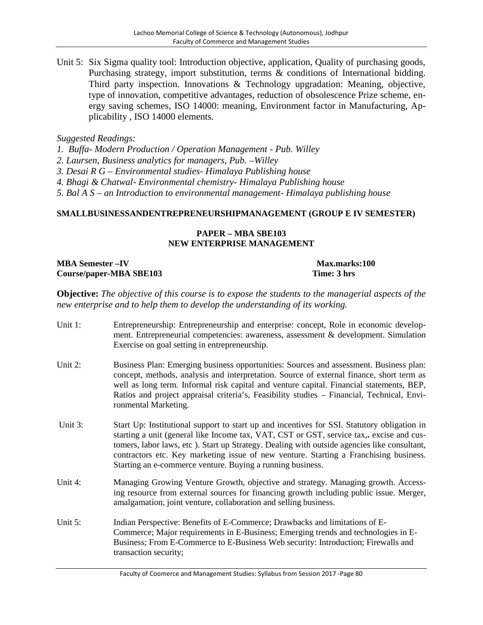Unit 5: Six Sigma quality tool: Introduction objective, application, Quality of purchasing goods, Purchasing strategy, import substitution, terms & conditions of International bidding. Third party inspection. Innovations & Technology upgradation: Meaning, objective, type of innovation, competitive advantages, reduction of obsolescence Prize scheme, energy saving schemes, ISO 14000: meaning, Environment factor in Manufacturing, Applicability , ISO 14000 elements.

## *Suggested Readings:*

*1. Buffa- Modern Production / Operation Management - Pub. Willey*

*2. Laursen, Business analytics for managers, Pub. –Willey*

*3. Desai R G – Environmental studies- Himalaya Publishing house*

*4. Bhagi & Chatwal- Environmental chemistry- Himalaya Publishing house*

*5. Bal A S – an Introduction to environmental management- Himalaya publishing house*

### **SMALLBUSINESSANDENTREPRENEURSHIPMANAGEMENT (GROUP E IV SEMESTER)**

## **PAPER – MBA SBE103 NEW ENTERPRISE MANAGEMENT**

| <b>MBA Semester-IV</b>  |  |
|-------------------------|--|
| Course/paper-MBA SBE103 |  |

#### **Max.marks:100 Time: 3 hrs**

**Objective:** *The objective of this course is to expose the students to the managerial aspects of the new enterprise and to help them to develop the understanding of its working.*

Unit 1: Entrepreneurship: Entrepreneurship and enterprise: concept, Role in economic development. Entrepreneurial competencies: awareness, assessment & development. Simulation Exercise on goal setting in entrepreneurship. Unit 2: Business Plan: Emerging business opportunities: Sources and assessment. Business plan: concept, methods, analysis and interpretation. Source of external finance, short term as well as long term. Informal risk capital and venture capital. Financial statements, BEP, Ratios and project appraisal criteria's, Feasibility studies – Financial, Technical, Environmental Marketing. Unit 3: Start Up: Institutional support to start up and incentives for SSI. Statutory obligation in starting a unit (general like Income tax, VAT, CST or GST, service tax,**.** excise and customers, labor laws, etc ). Start up Strategy. Dealing with outside agencies like consultant, contractors etc. Key marketing issue of new venture. Starting a Franchising business. Starting an e-commerce venture. Buying a running business. Unit 4: Managing Growing Venture Growth, objective and strategy. Managing growth. Accessing resource from external sources for financing growth including public issue. Merger, amalgamation, joint venture, collaboration and selling business. Unit 5: Indian Perspective: Benefits of E-Commerce; Drawbacks and limitations of E- Commerce; Major requirements in E-Business; Emerging trends and technologies in E- Business; From E-Commerce to E-Business Web security: Introduction; Firewalls and transaction security;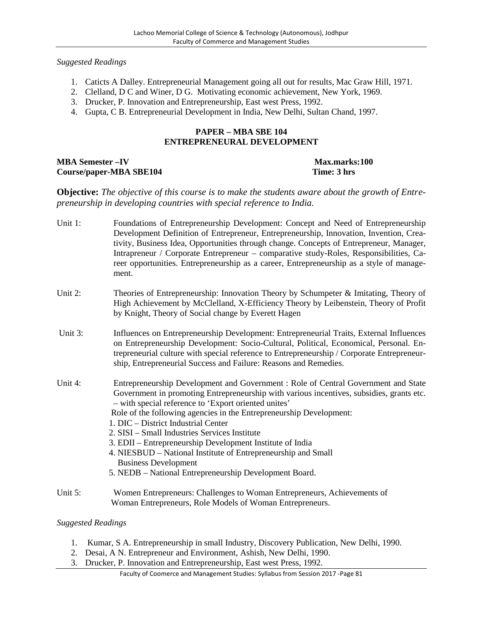- 1. Caticts A Dalley. Entrepreneurial Management going all out for results, Mac Graw Hill, 1971.
- 2. Clelland, D C and Winer, D G. Motivating economic achievement, New York, 1969.
- 3. Drucker, P. Innovation and Entrepreneurship, East west Press, 1992.
- 4. Gupta, C B. Entrepreneurial Development in India, New Delhi, Sultan Chand, 1997.

#### **PAPER – MBA SBE 104 ENTREPRENEURAL DEVELOPMENT**

## **MBA Semester**  $-\mathbf{IV}$  **Max.marks:100 Course/paper-MBA SBE104 Time: 3 hrs**

**Objective:** *The objective of this course is to make the students aware about the growth of Entrepreneurship in developing countries with special reference to India.*

- Unit 1: Foundations of Entrepreneurship Development: Concept and Need of Entrepreneurship Development Definition of Entrepreneur, Entrepreneurship, Innovation, Invention, Creativity, Business Idea, Opportunities through change. Concepts of Entrepreneur, Manager, Intrapreneur / Corporate Entrepreneur – comparative study-Roles, Responsibilities, Career opportunities. Entrepreneurship as a career, Entrepreneurship as a style of management.
- Unit 2: Theories of Entrepreneurship: Innovation Theory by Schumpeter & Imitating, Theory of High Achievement by McClelland, X-Efficiency Theory by Leibenstein, Theory of Profit by Knight, Theory of Social change by Everett Hagen
- Unit 3: Influences on Entrepreneurship Development: Entrepreneurial Traits, External Influences on Entrepreneurship Development: Socio-Cultural, Political, Economical, Personal. Entrepreneurial culture with special reference to Entrepreneurship / Corporate Entrepreneurship, Entrepreneurial Success and Failure: Reasons and Remedies.
- Unit 4: Entrepreneurship Development and Government : Role of Central Government and State Government in promoting Entrepreneurship with various incentives, subsidies, grants etc. – with special reference to 'Export oriented unites' Role of the following agencies in the Entrepreneurship Development:
	- 1. DIC District Industrial Center
	- 2. SISI Small Industries Services Institute
	- 3. EDII Entrepreneurship Development Institute of India
	- 4. NIESBUD National Institute of Entrepreneurship and Small Business Development
	- 5. NEDB National Entrepreneurship Development Board.
- Unit 5: Women Entrepreneurs: Challenges to Woman Entrepreneurs, Achievements of Woman Entrepreneurs, Role Models of Woman Entrepreneurs.

- 1. Kumar, S A. Entrepreneurship in small Industry, Discovery Publication, New Delhi, 1990.
- 2. Desai, A N. Entrepreneur and Environment, Ashish, New Delhi, 1990.
- 3. Drucker, P. Innovation and Entrepreneurship, East west Press, 1992.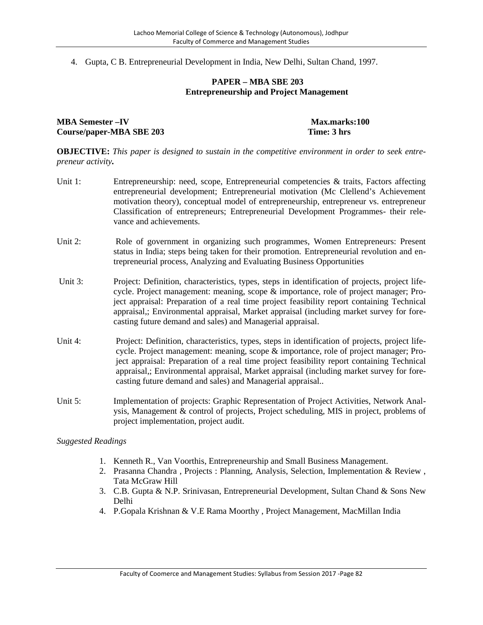4. Gupta, C B. Entrepreneurial Development in India, New Delhi, Sultan Chand, 1997.

#### **PAPER – MBA SBE 203 Entrepreneurship and Project Management**

**MBA Semester**  $-\mathbf{IV}$  **Max.marks:100 Course/paper-MBA SBE 203 Time: 3 hrs**

**OBJECTIVE:** *This paper is designed to sustain in the competitive environment in order to seek entrepreneur activity.*

- Unit 1: Entrepreneurship: need, scope, Entrepreneurial competencies & traits, Factors affecting entrepreneurial development; Entrepreneurial motivation (Mc Clellend's Achievement motivation theory), conceptual model of entrepreneurship, entrepreneur vs. entrepreneur Classification of entrepreneurs; Entrepreneurial Development Programmes- their relevance and achievements.
- Unit 2: Role of government in organizing such programmes, Women Entrepreneurs: Present status in India; steps being taken for their promotion. Entrepreneurial revolution and entrepreneurial process, Analyzing and Evaluating Business Opportunities
- Unit 3: Project: Definition, characteristics, types, steps in identification of projects, project lifecycle. Project management: meaning, scope & importance, role of project manager; Project appraisal: Preparation of a real time project feasibility report containing Technical appraisal,; Environmental appraisal, Market appraisal (including market survey for forecasting future demand and sales) and Managerial appraisal.
- Unit 4: Project: Definition, characteristics, types, steps in identification of projects, project lifecycle. Project management: meaning, scope & importance, role of project manager; Project appraisal: Preparation of a real time project feasibility report containing Technical appraisal,; Environmental appraisal, Market appraisal (including market survey for forecasting future demand and sales) and Managerial appraisal..
- Unit 5: Implementation of projects: Graphic Representation of Project Activities, Network Analysis, Management & control of projects, Project scheduling, MIS in project, problems of project implementation, project audit.

- 1. Kenneth R., Van Voorthis, Entrepreneurship and Small Business Management.
- 2. Prasanna Chandra , Projects : Planning, Analysis, Selection, Implementation & Review , Tata McGraw Hill
- 3. C.B. Gupta & N.P. Srinivasan, Entrepreneurial Development, Sultan Chand & Sons New Delhi
- 4. P.Gopala Krishnan & V.E Rama Moorthy , Project Management, MacMillan India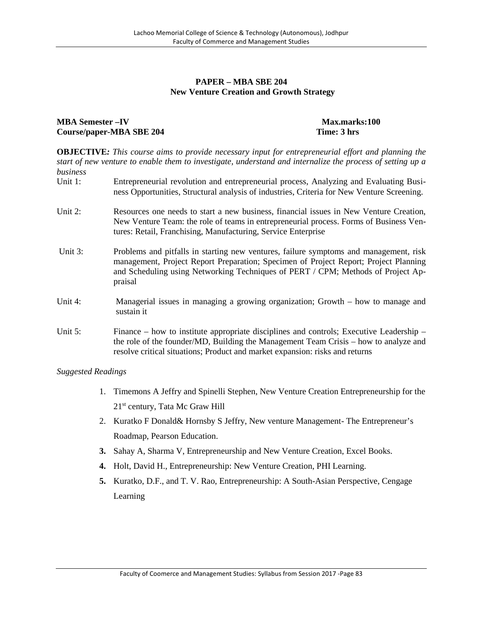#### **PAPER – MBA SBE 204 New Venture Creation and Growth Strategy**

## **MBA Semester**  $-\mathbf{IV}$  **Max.marks:100 Course/paper-MBA SBE 204 Time: 3 hrs**

**OBJECTIVE***: This course aims to provide necessary input for entrepreneurial effort and planning the start of new venture to enable them to investigate, understand and internalize the process of setting up a business*

- Unit 1: Entrepreneurial revolution and entrepreneurial process, Analyzing and Evaluating Business Opportunities, Structural analysis of industries, Criteria for New Venture Screening.
- Unit 2: Resources one needs to start a new business, financial issues in New Venture Creation, New Venture Team: the role of teams in entrepreneurial process. Forms of Business Ventures: Retail, Franchising, Manufacturing, Service Enterprise
- Unit 3: Problems and pitfalls in starting new ventures, failure symptoms and management, risk management, Project Report Preparation; Specimen of Project Report; Project Planning and Scheduling using Networking Techniques of PERT / CPM; Methods of Project Appraisal
- Unit 4: Managerial issues in managing a growing organization; Growth how to manage and sustain it
- Unit 5: Finance how to institute appropriate disciplines and controls; Executive Leadership the role of the founder/MD, Building the Management Team Crisis – how to analyze and resolve critical situations; Product and market expansion: risks and returns

- 1. Timemons A Jeffry and Spinelli Stephen, New Venture Creation Entrepreneurship for the 21<sup>st</sup> century, Tata Mc Graw Hill
- 2. Kuratko F Donald& Hornsby S Jeffry, New venture Management- The Entrepreneur's Roadmap, Pearson Education.
- **3.** Sahay A, Sharma V, Entrepreneurship and New Venture Creation, Excel Books.
- **4.** Holt, David H., Entrepreneurship: New Venture Creation, PHI Learning.
- **5.** Kuratko, D.F., and T. V. Rao, Entrepreneurship: A South-Asian Perspective, Cengage Learning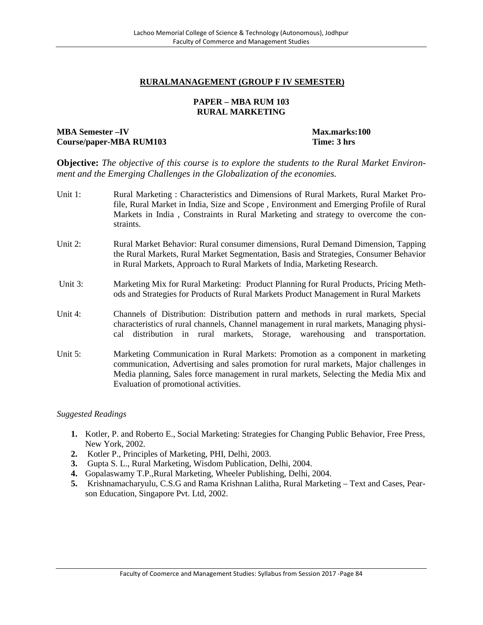## **RURALMANAGEMENT (GROUP F IV SEMESTER)**

#### **PAPER – MBA RUM 103 RURAL MARKETING**

### **MBA Semester**  $-IV$  **Max.marks:100 Course/paper-MBA RUM103 Time: 3 hrs**

**Objective:** *The objective of this course is to explore the students to the Rural Market Environment and the Emerging Challenges in the Globalization of the economies.*

- Unit 1: Rural Marketing : Characteristics and Dimensions of Rural Markets, Rural Market Profile, Rural Market in India, Size and Scope , Environment and Emerging Profile of Rural Markets in India , Constraints in Rural Marketing and strategy to overcome the constraints.
- Unit 2: Rural Market Behavior: Rural consumer dimensions, Rural Demand Dimension, Tapping the Rural Markets, Rural Market Segmentation, Basis and Strategies, Consumer Behavior in Rural Markets, Approach to Rural Markets of India, Marketing Research.
- Unit 3: Marketing Mix for Rural Marketing: Product Planning for Rural Products, Pricing Methods and Strategies for Products of Rural Markets Product Management in Rural Markets
- Unit 4: Channels of Distribution: Distribution pattern and methods in rural markets, Special characteristics of rural channels, Channel management in rural markets, Managing physical distribution in rural markets, Storage, warehousing and transportation.
- Unit 5: Marketing Communication in Rural Markets: Promotion as a component in marketing communication, Advertising and sales promotion for rural markets, Major challenges in Media planning, Sales force management in rural markets, Selecting the Media Mix and Evaluation of promotional activities.

- **1.** Kotler, P. and Roberto E., Social Marketing: Strategies for Changing Public Behavior, Free Press, New York, 2002.
- **2.** Kotler P., Principles of Marketing, PHI, Delhi, 2003.
- **3.** Gupta S. L., Rural Marketing, Wisdom Publication, Delhi, 2004.
- **4.** Gopalaswamy T.P.,Rural Marketing, Wheeler Publishing, Delhi, 2004.
- **5.** Krishnamacharyulu, C.S.G and Rama Krishnan Lalitha, Rural Marketing Text and Cases, Pearson Education, Singapore Pvt. Ltd, 2002.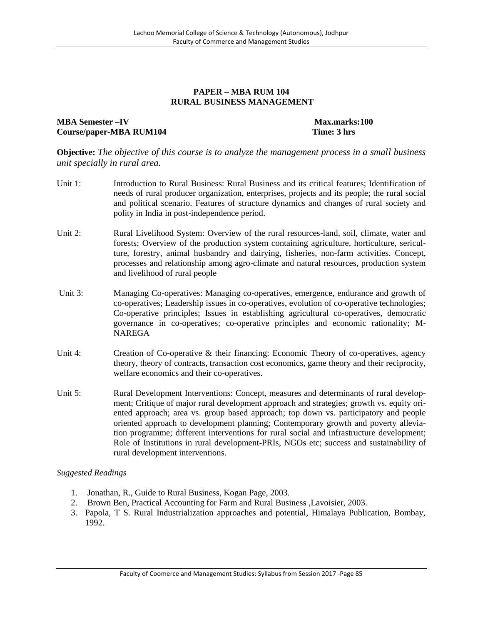#### **PAPER – MBA RUM 104 RURAL BUSINESS MANAGEMENT**

## **MBA Semester –IV Max.marks:100 Course/paper-MBA RUM104 Time: 3 hrs**

**Objective:** *The objective of this course is to analyze the management process in a small business unit specially in rural area.*

- Unit 1: Introduction to Rural Business: Rural Business and its critical features; Identification of needs of rural producer organization, enterprises, projects and its people; the rural social and political scenario. Features of structure dynamics and changes of rural society and polity in India in post-independence period.
- Unit 2: Rural Livelihood System: Overview of the rural resources-land, soil, climate, water and forests; Overview of the production system containing agriculture, horticulture, sericulture, forestry, animal husbandry and dairying, fisheries, non-farm activities. Concept, processes and relationship among agro-climate and natural resources, production system and livelihood of rural people
- Unit 3: Managing Co-operatives: Managing co-operatives, emergence, endurance and growth of co-operatives; Leadership issues in co-operatives, evolution of co-operative technologies; Co-operative principles; Issues in establishing agricultural co-operatives, democratic governance in co-operatives; co-operative principles and economic rationality; M- NAREGA
- Unit 4: Creation of Co-operative & their financing: Economic Theory of co-operatives, agency theory, theory of contracts, transaction cost economics, game theory and their reciprocity, welfare economics and their co-operatives.
- Unit 5: Rural Development Interventions: Concept, measures and determinants of rural development; Critique of major rural development approach and strategies; growth vs. equity oriented approach; area vs. group based approach; top down vs. participatory and people oriented approach to development planning; Contemporary growth and poverty alleviation programme; different interventions for rural social and infrastructure development; Role of Institutions in rural development-PRIs, NGOs etc; success and sustainability of rural development interventions.

- 1. Jonathan, R., Guide to Rural Business, Kogan Page, 2003.
- 2. Brown Ben, Practical Accounting for Farm and Rural Business ,Lavoisier, 2003.
- 3. Papola, T S. Rural Industrialization approaches and potential, Himalaya Publication, Bombay, 1992.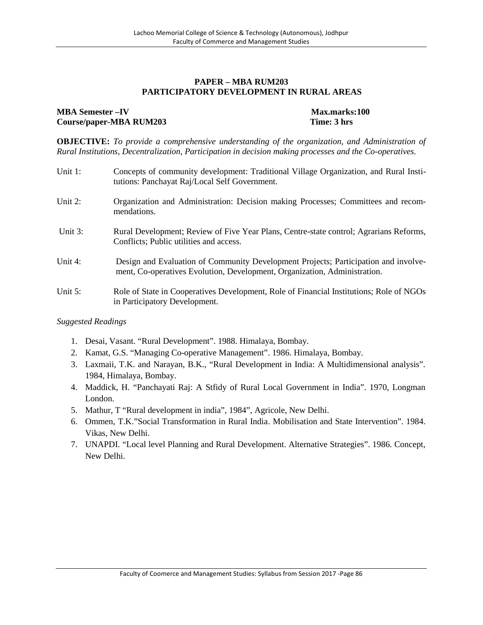#### **PAPER – MBA RUM203 PARTICIPATORY DEVELOPMENT IN RURAL AREAS**

## **MBA Semester –IV Max.marks:100 Course/paper-MBA RUM203 Time: 3 hrs**

**OBJECTIVE:** *To provide a comprehensive understanding of the organization, and Administration of Rural Institutions, Decentralization, Participation in decision making processes and the Co-operatives.*

| Unit 1: | Concepts of community development: Traditional Village Organization, and Rural Insti-<br>tutions: Panchayat Raj/Local Self Government.                           |
|---------|------------------------------------------------------------------------------------------------------------------------------------------------------------------|
| Unit 2: | Organization and Administration: Decision making Processes; Committees and recom-<br>mendations.                                                                 |
| Unit 3: | Rural Development; Review of Five Year Plans, Centre-state control; Agrarians Reforms,<br>Conflicts; Public utilities and access.                                |
| Unit 4: | Design and Evaluation of Community Development Projects; Participation and involve-<br>ment, Co-operatives Evolution, Development, Organization, Administration. |
| Unit 5: | Role of State in Cooperatives Development, Role of Financial Institutions; Role of NGOs<br>in Participatory Development.                                         |

- 1. Desai, Vasant. "Rural Development". 1988. Himalaya, Bombay.
- 2. Kamat, G.S. "Managing Co-operative Management". 1986. Himalaya, Bombay.
- 3. Laxmaii, T.K. and Narayan, B.K., "Rural Development in India: A Multidimensional analysis". 1984, Himalaya, Bombay.
- 4. Maddick, H. "Panchayati Raj: A Stfidy of Rural Local Government in India". 1970, Longman London.
- 5. Mathur, T "Rural development in india", 1984", Agricole, New Delhi.
- 6. Ommen, T.K."Social Transformation in Rural India. Mobilisation and State Intervention". 1984. Vikas, New Delhi.
- 7. UNAPDI. "Local level Planning and Rural Development. Alternative Strategies". 1986. Concept, New Delhi.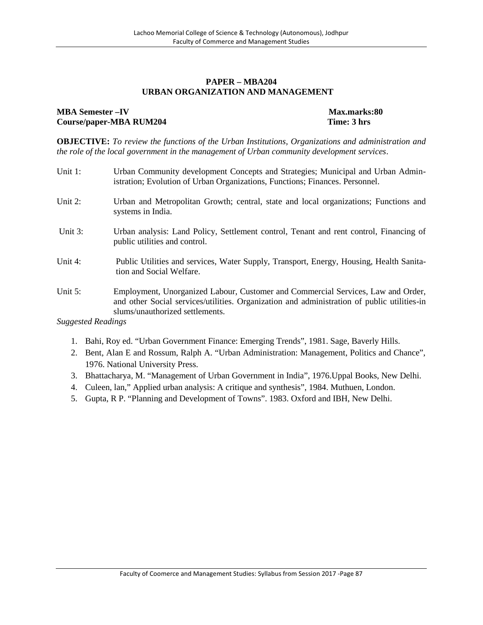#### **PAPER – MBA204 URBAN ORGANIZATION AND MANAGEMENT**

#### **MBA Semester –IV Max.marks:80 Course/paper-MBA RUM204 Time: 3 hrs**

**OBJECTIVE:** *To review the functions of the Urban Institutions, Organizations and administration and the role of the local government in the management of Urban community development services*.

- Unit 1: Urban Community development Concepts and Strategies; Municipal and Urban Administration; Evolution of Urban Organizations, Functions; Finances. Personnel. Unit 2: Urban and Metropolitan Growth; central, state and local organizations; Functions and systems in India. Unit 3: Urban analysis: Land Policy, Settlement control, Tenant and rent control, Financing of public utilities and control. Unit 4: Public Utilities and services, Water Supply, Transport, Energy, Housing, Health Sanitation and Social Welfare. Unit 5: Employment, Unorganized Labour, Customer and Commercial Services, Law and Order, and other Social services/utilities. Organization and administration of public utilities-in slums/unauthorized settlements. *Suggested Readings*
	- 1. Bahi, Roy ed. "Urban Government Finance: Emerging Trends", 1981. Sage, Baverly Hills.
	- 2. Bent, Alan E and Rossum, Ralph A. "Urban Administration: Management, Politics and Chance", 1976. National University Press.
	- 3. Bhattacharya, M. "Management of Urban Government in India", 1976.Uppal Books, New Delhi.
	- 4. Culeen, lan," Applied urban analysis: A critique and synthesis", 1984. Muthuen, London.
	- 5. Gupta, R P. "Planning and Development of Towns". 1983. Oxford and IBH, New Delhi.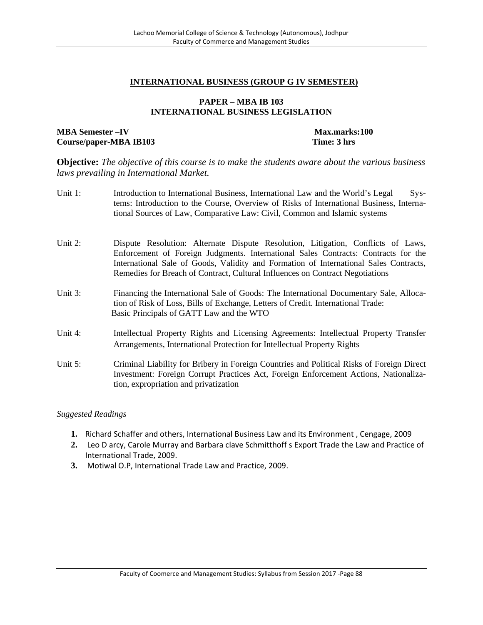#### **INTERNATIONAL BUSINESS (GROUP G IV SEMESTER)**

#### **PAPER – MBA IB 103 INTERNATIONAL BUSINESS LEGISLATION**

#### **MBA Semester**  $-IV$  **Max.marks:100 Course/paper-MBA IB103 Time: 3 hrs**

**Objective:** *The objective of this course is to make the students aware about the various business laws prevailing in International Market.*

- Unit 1: Introduction to International Business, International Law and the World's Legal Systems: Introduction to the Course, Overview of Risks of International Business, International Sources of Law, Comparative Law: Civil, Common and Islamic systems
- Unit 2: Dispute Resolution: Alternate Dispute Resolution, Litigation, Conflicts of Laws, Enforcement of Foreign Judgments. International Sales Contracts: Contracts for the International Sale of Goods, Validity and Formation of International Sales Contracts, Remedies for Breach of Contract, Cultural Influences on Contract Negotiations
- Unit 3: Financing the International Sale of Goods: The International Documentary Sale, Allocation of Risk of Loss, Bills of Exchange, Letters of Credit. International Trade: Basic Principals of GATT Law and the WTO
- Unit 4: Intellectual Property Rights and Licensing Agreements: Intellectual Property Transfer Arrangements, International Protection for Intellectual Property Rights
- Unit 5: Criminal Liability for Bribery in Foreign Countries and Political Risks of Foreign Direct Investment: Foreign Corrupt Practices Act, Foreign Enforcement Actions, Nationalization, expropriation and privatization

- **1.** Richard Schaffer and others, International Business Law and its Environment , Cengage, 2009
- **2.** Leo D arcy, Carole Murray and Barbara clave Schmitthoff s Export Trade the Law and Practice of International Trade, 2009.
- **3.** Motiwal O.P, International Trade Law and Practice, 2009.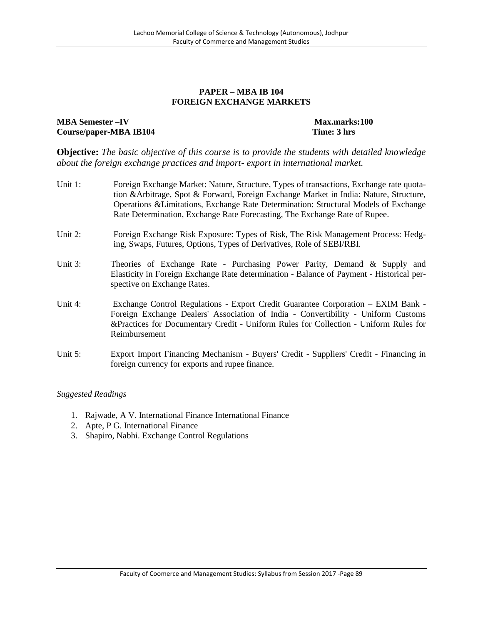#### **PAPER – MBA IB 104 FOREIGN EXCHANGE MARKETS**

## **MBA Semester –IV Max.marks:100 Course/paper-MBA IB104 Time: 3 hrs**

**Objective:** *The basic objective of this course is to provide the students with detailed knowledge about the foreign exchange practices and import- export in international market.*

- Unit 1: Foreign Exchange Market: Nature, Structure, Types of transactions, Exchange rate quotation &Arbitrage, Spot & Forward, Foreign Exchange Market in India: Nature, Structure, Operations &Limitations, Exchange Rate Determination: Structural Models of Exchange Rate Determination, Exchange Rate Forecasting, The Exchange Rate of Rupee.
- Unit 2: Foreign Exchange Risk Exposure: Types of Risk, The Risk Management Process: Hedging, Swaps, Futures, Options, Types of Derivatives, Role of SEBI/RBI.
- Unit 3: Theories of Exchange Rate Purchasing Power Parity, Demand & Supply and Elasticity in Foreign Exchange Rate determination - Balance of Payment - Historical perspective on Exchange Rates.
- Unit 4: Exchange Control Regulations Export Credit Guarantee Corporation EXIM Bank Foreign Exchange Dealers' Association of India -Convertibility - Uniform Customs &Practices for Documentary Credit - Uniform Rules for Collection - Uniform Rules for Reimbursement
- Unit 5: Export Import Financing Mechanism Buyers' Credit Suppliers' Credit Financing in foreign currency for exports and rupee finance.

- 1. Rajwade, A V. International Finance International Finance
- 2. Apte, P G. International Finance
- 3. Shapiro, Nabhi. Exchange Control Regulations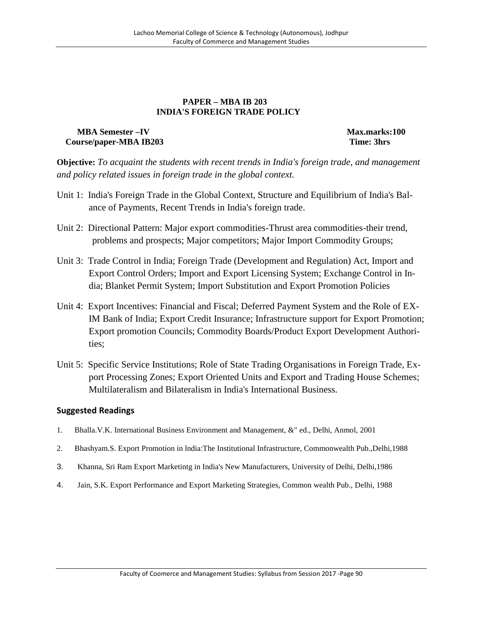#### **PAPER – MBA IB 203 INDIA'S FOREIGN TRADE POLICY**

## **MBA Semester –IV Max.marks:100 Course/paper-MBA IB203 Time: 3hrs**

**Objective:** *To acquaint the students with recent trends in India's foreign trade, and management and policy related issues in foreign trade in the global context.*

- Unit 1: India's Foreign Trade in the Global Context, Structure and Equilibrium of India's Balance of Payments, Recent Trends in India's foreign trade.
- Unit 2: Directional Pattern: Major export commodities-Thrust area commodities-their trend, problems and prospects; Major competitors; Major Import Commodity Groups;
- Unit 3: Trade Control in India; Foreign Trade (Development and Regulation) Act, Import and Export Control Orders; Import and Export Licensing System; Exchange Control in India; Blanket Permit System; Import Substitution and Export Promotion Policies
- Unit 4: Export Incentives: Financial and Fiscal; Deferred Payment System and the Role of EX-IM Bank of India; Export Credit Insurance; Infrastructure support for Export Promotion; Export promotion Councils; Commodity Boards/Product Export Development Authorities;
- Unit 5: Specific Service Institutions; Role of State Trading Organisations in Foreign Trade, Export Processing Zones; Export Oriented Units and Export and Trading House Schemes; Multilateralism and Bilateralism in India's International Business.

- 1. Bhalla.V.K. International Business Environment and Management, &" ed., Delhi, Anmol, 2001
- 2. Bhashyam.S. Export Promotion in lndia:The Institutional Infrastructure, Commonwealth Pub.,Delhi,1988
- 3. Khanna, Sri Ram Export Marketintg in India's New Manufacturers, University of Delhi, Delhi,1986
- 4. Jain, S.K. Export Performance and Export Marketing Strategies, Common wealth Pub., Delhi, 1988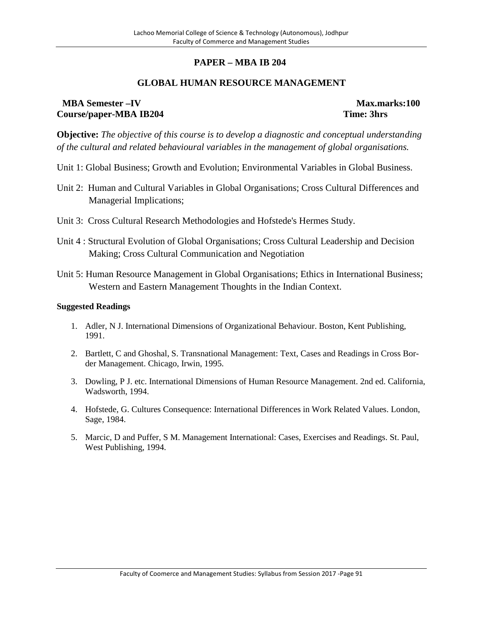## **PAPER – MBA IB 204**

## **GLOBAL HUMAN RESOURCE MANAGEMENT**

## **MBA Semester –IV Max.marks:100 Course/paper-MBA IB204 Time: 3hrs**

**Objective:** *The objective of this course is to develop a diagnostic and conceptual understanding of the cultural and related behavioural variables in the management of global organisations.*

- Unit 1: Global Business; Growth and Evolution; Environmental Variables in Global Business.
- Unit 2: Human and Cultural Variables in Global Organisations; Cross Cultural Differences and Managerial Implications;
- Unit 3: Cross Cultural Research Methodologies and Hofstede's Hermes Study.
- Unit 4 : Structural Evolution of Global Organisations; Cross Cultural Leadership and Decision Making; Cross Cultural Communication and Negotiation
- Unit 5: Human Resource Management in Global Organisations; Ethics in International Business; Western and Eastern Management Thoughts in the Indian Context.

- 1. Adler, N J. International Dimensions of Organizational Behaviour. Boston, Kent Publishing, 1991.
- 2. Bartlett, C and Ghoshal, S. Transnational Management: Text, Cases and Readings in Cross Border Management. Chicago, Irwin, 1995.
- 3. Dowling, P J. etc. International Dimensions of Human Resource Management. 2nd ed. California, Wadsworth, 1994.
- 4. Hofstede, G. Cultures Consequence: International Differences in Work Related Values. London, Sage, 1984.
- 5. Marcic, D and Puffer, S M. Management International: Cases, Exercises and Readings. St. Paul, West Publishing, 1994.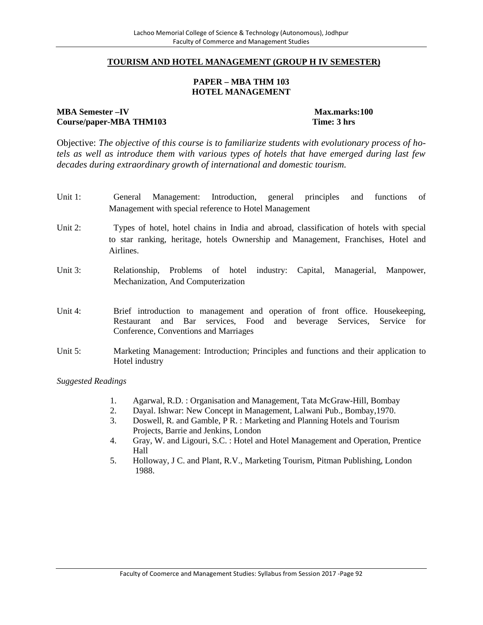#### **TOURISM AND HOTEL MANAGEMENT (GROUP H IV SEMESTER)**

#### **PAPER – MBA THM 103 HOTEL MANAGEMENT**

#### **MBA Semester –IV Max.marks:100 Course/paper-MBA THM103 Time: 3 hrs**

Objective: *The objective of this course is to familiarize students with evolutionary process of hotels as well as introduce them with various types of hotels that have emerged during last few decades during extraordinary growth of international and domestic tourism.*

- Unit 1: General Management: Introduction, general principles and functions of Management with special reference to Hotel Management
- Unit 2: Types of hotel, hotel chains in India and abroad, classification of hotels with special to star ranking, heritage, hotels Ownership and Management, Franchises, Hotel and Airlines.
- Unit 3: Relationship, Problems of hotel industry: Capital, Managerial, Manpower, Mechanization, And Computerization
- Unit 4: Brief introduction to management and operation of front office. Housekeeping, Restaurant and Bar services, Food and beverage Services, Service for Conference, Conventions and Marriages
- Unit 5: Marketing Management: Introduction; Principles and functions and their application to Hotel industry

- 1. Agarwal, R.D. : Organisation and Management, Tata McGraw-Hill, Bombay
- 2. Dayal. Ishwar: New Concept in Management, Lalwani Pub., Bombay,1970.
- 3. Doswell, R. and Gamble, P R. : Marketing and Planning Hotels and Tourism Projects, Barrie and Jenkins, London
- 4. Gray, W. and Ligouri, S.C. : Hotel and Hotel Management and Operation, Prentice Hall
- 5. Holloway, J C. and Plant, R.V., Marketing Tourism, Pitman Publishing, London 1988.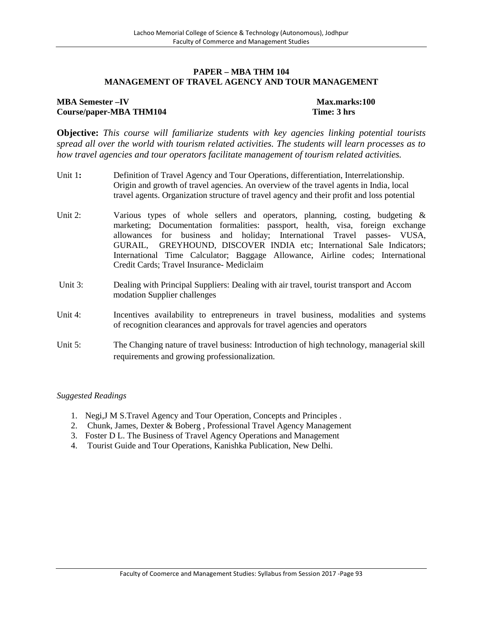#### **PAPER – MBA THM 104 MANAGEMENT OF TRAVEL AGENCY AND TOUR MANAGEMENT**

## **MBA Semester**  $-IV$  **Max.marks:100 Course/paper-MBA THM104 Time: 3 hrs**

**Objective:** *This course will familiarize students with key agencies linking potential tourists spread all over the world with tourism related activities. The students will learn processes as to how travel agencies and tour operators facilitate management of tourism related activities.*

- Unit 1**:** Definition of Travel Agency and Tour Operations, differentiation, Interrelationship. Origin and growth of travel agencies. An overview of the travel agents in India, local travel agents. Organization structure of travel agency and their profit and loss potential
- Unit 2: Various types of whole sellers and operators, planning, costing, budgeting & marketing; Documentation formalities: passport, health, visa, foreign exchange allowances for business and holiday; International Travel passes- VUSA, GURAIL, GREYHOUND, DISCOVER INDIA etc; International Sale Indicators; International Time Calculator; Baggage Allowance, Airline codes; International Credit Cards; Travel Insurance- Mediclaim
- Unit 3: Dealing with Principal Suppliers: Dealing with air travel, tourist transport and Accom modation Supplier challenges
- Unit 4: Incentives availability to entrepreneurs in travel business, modalities and systems of recognition clearances and approvals for travel agencies and operators
- Unit 5: The Changing nature of travel business: Introduction of high technology, managerial skill requirements and growing professionalization.

- 1. Negi,J M S.Travel Agency and Tour Operation, Concepts and Principles .
- 2. Chunk, James, Dexter & Boberg , Professional Travel Agency Management
- 3. Foster D L. The Business of Travel Agency Operations and Management
- 4. Tourist Guide and Tour Operations, Kanishka Publication, New Delhi.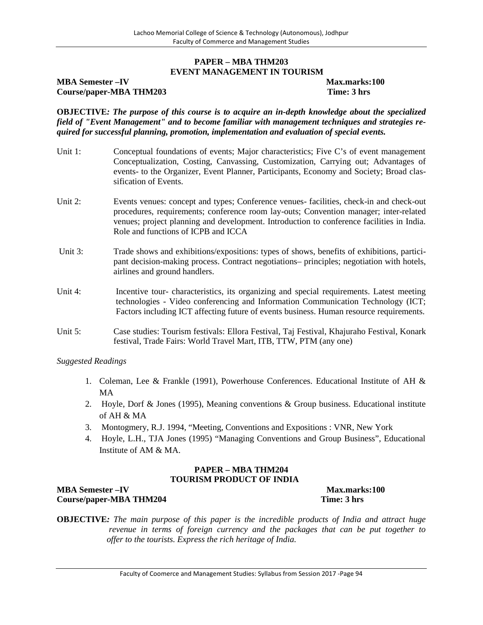#### **PAPER – MBA THM203 EVENT MANAGEMENT IN TOURISM**

## **MBA Semester**  $-\mathbf{IV}$  **Max.marks:100 Course/paper-MBA THM203 Time: 3 hrs**

**OBJECTIVE***: The purpose of this course is to acquire an in-depth knowledge about the specialized field of "Event Management" and to become familiar with management techniques and strategies required for successful planning, promotion, implementation and evaluation of special events.*

- Unit 1: Conceptual foundations of events; Major characteristics; Five C's of event management Conceptualization, Costing, Canvassing, Customization, Carrying out; Advantages of events- to the Organizer, Event Planner, Participants, Economy and Society; Broad classification of Events.
- Unit 2: Events venues: concept and types: Conference venues-facilities, check-in and check-out procedures, requirements; conference room lay-outs; Convention manager; inter-related venues; project planning and development. Introduction to conference facilities in India. Role and functions of ICPB and ICCA
- Unit 3: Trade shows and exhibitions/expositions: types of shows, benefits of exhibitions, participant decision-making process. Contract negotiations– principles; negotiation with hotels, airlines and ground handlers.
- Unit 4: Incentive tour-characteristics, its organizing and special requirements. Latest meeting technologies - Video conferencing and Information Communication Technology (ICT; Factors including ICT affecting future of events business. Human resource requirements.
- Unit 5: Case studies: Tourism festivals: Ellora Festival, Taj Festival, Khajuraho Festival, Konark festival, Trade Fairs: World Travel Mart, ITB, TTW, PTM (any one)

#### *Suggested Readings*

- 1. Coleman, Lee & Frankle (1991), Powerhouse Conferences. Educational Institute of AH & MA
- 2. Hoyle, Dorf & Jones (1995), Meaning conventions & Group business. Educational institute of AH & MA
- 3. Montogmery, R.J. 1994, "Meeting, Conventions and Expositions : VNR, New York
- 4. Hoyle, L.H., TJA Jones (1995) "Managing Conventions and Group Business", Educational Institute of AM & MA.

#### **PAPER – MBA THM204 TOURISM PRODUCT OF INDIA**

## **MBA Semester –IV Max.marks:100 Course/paper-MBA THM204 Time: 3 hrs**

**OBJECTIVE***: The main purpose of this paper is the incredible products of India and attract huge revenue in terms of foreign currency and the packages that can be put together to offer to the tourists. Express the rich heritage of India.*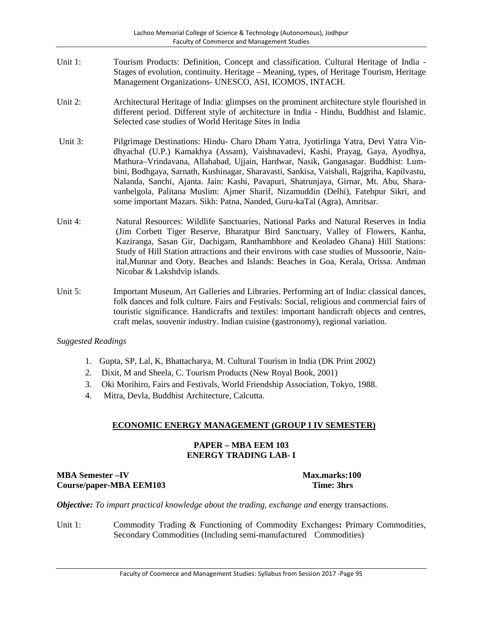- Unit 1: Tourism Products: Definition, Concept and classification. Cultural Heritage of India Stages of evolution, continuity. Heritage – Meaning, types, of Heritage Tourism, Heritage Management Organizations- UNESCO, ASI, ICOMOS, INTACH.
- Unit 2: Architectural Heritage of India: glimpses on the prominent architecture style flourished in different period. Different style of architecture in India - Hindu, Buddhist and Islamic. Selected case studies of World Heritage Sites in India
- Unit 3: Pilgrimage Destinations: Hindu- Charo Dham Yatra, Jyotirlinga Yatra, Devi Yatra Vindhyachal (U.P.) Kamakhya (Assam), Vaishnavadevi, Kashi, Prayag, Gaya, Ayodhya, Mathura–Vrindavana, Allahabad, Ujjain, Hardwar, Nasik, Gangasagar. Buddhist: Lumbini, Bodhgaya, Sarnath, Kushinagar, Sharavasti, Sankisa, Vaishali, Rajgriha, Kapilvastu, Nalanda, Sanchi, Ajanta. Jain: Kashi, Pavapuri, Shatrunjaya, Girnar, Mt. Abu, Sharavanbelgola, Palitana Muslim: Ajmer Sharif, Nizamuddin (Delhi), Fatehpur Sikri, and some important Mazars. Sikh: Patna, Nanded, Guru-kaTal (Agra), Amritsar.
- Unit 4: Natural Resources: Wildlife Sanctuaries, National Parks and Natural Reserves in India (Jim Corbett Tiger Reserve, Bharatpur Bird Sanctuary, Valley of Flowers, Kanha, Kaziranga, Sasan Gir, Dachigam, Ranthambhore and Keoladeo Ghana) Hill Stations: Study of Hill Station attractions and their environs with case studies of Mussoorie, Nainital,Munnar and Ooty. Beaches and Islands: Beaches in Goa, Kerala, Orissa. Andman Nicobar & Lakshdvip islands.
- Unit 5: Important Museum, Art Galleries and Libraries. Performing art of India: classical dances, folk dances and folk culture. Fairs and Festivals: Social, religious and commercial fairs of touristic significance. Handicrafts and textiles: important handicraft objects and centres, craft melas, souvenir industry. Indian cuisine (gastronomy), regional variation.

- 1. Gupta, SP, Lal, K, Bhattacharya, M. Cultural Tourism in India (DK Print 2002)
- 2. Dixit, M and Sheela, C. Tourism Products (New Royal Book, 2001)
- 3. Oki Morihiro, Fairs and Festivals, World Friendship Association, Tokyo, 1988.
- 4. Mitra, Devla, Buddhist Architecture, Calcutta.

## **ECONOMIC ENERGY MANAGEMENT (GROUP I IV SEMESTER)**

## **PAPER – MBA EEM 103 ENERGY TRADING LAB- I**

## **MBA Semester –IV Max.marks:100 Course/paper-MBA EEM103 Time: 3hrs**

*Objective: To impart practical knowledge about the trading, exchange and* energy transactions.

Unit 1: Commodity Trading & Functioning of Commodity Exchanges**:** Primary Commodities, Secondary Commodities (Including semi-manufactured Commodities)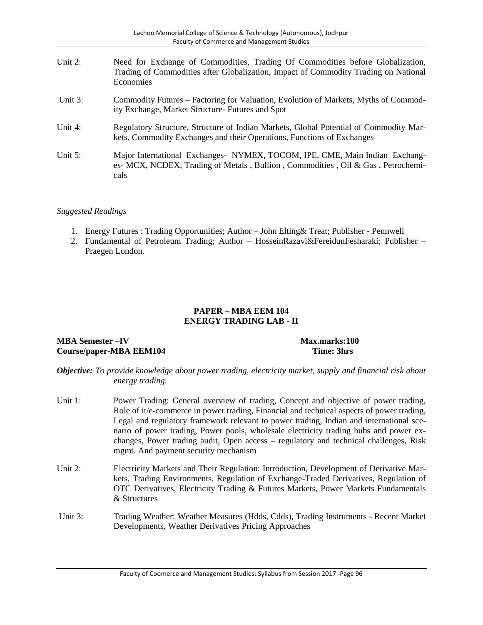| Unit $2$ : | Need for Exchange of Commodities, Trading Of Commodities before Globalization,<br>Trading of Commodities after Globalization, Impact of Commodity Trading on National<br>Economies |
|------------|------------------------------------------------------------------------------------------------------------------------------------------------------------------------------------|
| Unit $3$ : | Commodity Futures – Factoring for Valuation, Evolution of Markets, Myths of Commod-<br>ity Exchange, Market Structure- Futures and Spot                                            |
| Unit $4$ : | Regulatory Structure, Structure of Indian Markets, Global Potential of Commodity Mar-<br>kets, Commodity Exchanges and their Operations, Functions of Exchanges                    |
| Unit $5$ : | Major International Exchanges - NYMEX, TOCOM, IPE, CME, Main Indian Exchang-<br>es- MCX, NCDEX, Trading of Metals, Bullion, Commodities, Oil & Gas, Petrochemi-<br>cals            |

- 1. Energy Futures : Trading Opportunities; Author John Elting& Treat; Publisher Pennwell
- 2. Fundamental of Petroleum Trading; Author HosseinRazavi&FereidunFesharaki; Publisher Praegen London.

## **PAPER – MBA EEM 104 ENERGY TRADING LAB - II**

#### **MBA Semester –IV Max.marks:100 Course/paper-MBA EEM104 Time: 3hrs**

- *Objective: To provide knowledge about power trading, electricity market, supply and financial risk about energy trading.*
- Unit 1: Power Trading: General overview of trading, Concept and objective of power trading, Role of it/e-commerce in power trading, Financial and technical aspects of power trading, Legal and regulatory framework relevant to power trading, Indian and international scenario of power trading, Power pools, wholesale electricity trading hubs and power exchanges, Power trading audit, Open access – regulatory and technical challenges, Risk mgmt. And payment security mechanism
- Unit 2: Electricity Markets and Their Regulation: Introduction, Development of Derivative Markets, Trading Environments, Regulation of Exchange-Traded Derivatives, Regulation of OTC Derivatives, Electricity Trading & Futures Markets, Power Markets Fundamentals & Structures
- Unit 3: Trading Weather: Weather Measures (Hdds, Cdds), Trading Instruments Recent Market Developments, Weather Derivatives Pricing Approaches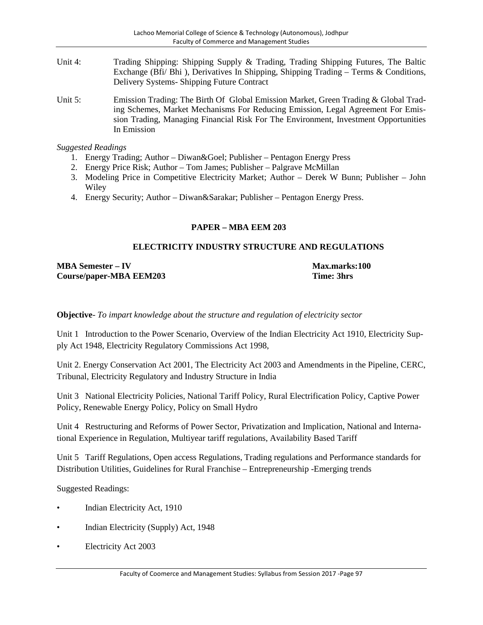- Unit 4: Trading Shipping: Shipping Supply & Trading, Trading Shipping Futures, The Baltic Exchange (Bfi/ Bhi ), Derivatives In Shipping, Shipping Trading – Terms & Conditions, Delivery Systems- Shipping Future Contract
- Unit 5: Emission Trading: The Birth Of Global Emission Market, Green Trading & Global Trading Schemes, Market Mechanisms For Reducing Emission, Legal Agreement For Emission Trading, Managing Financial Risk For The Environment, Investment Opportunities In Emission

- 1. Energy Trading; Author Diwan&Goel; Publisher Pentagon Energy Press
- 2. Energy Price Risk; Author Tom James; Publisher Palgrave McMillan
- 3. Modeling Price in Competitive Electricity Market; Author Derek W Bunn; Publisher John **Wiley**
- 4. Energy Security; Author Diwan&Sarakar; Publisher Pentagon Energy Press.

## **PAPER – MBA EEM 203**

## **ELECTRICITY INDUSTRY STRUCTURE AND REGULATIONS**

**MBA Semester**  $-$  **IV Max.marks:100 Course/paper-MBA EEM203 Time: 3hrs**

**Objective**- *To impart knowledge about the structure and regulation of electricity sector*

Unit 1 Introduction to the Power Scenario, Overview of the Indian Electricity Act 1910, Electricity Supply Act 1948, Electricity Regulatory Commissions Act 1998,

Unit 2. Energy Conservation Act 2001, The Electricity Act 2003 and Amendments in the Pipeline, CERC, Tribunal, Electricity Regulatory and Industry Structure in India

Unit 3 National Electricity Policies, National Tariff Policy, Rural Electrification Policy, Captive Power Policy, Renewable Energy Policy, Policy on Small Hydro

Unit 4 Restructuring and Reforms of Power Sector, Privatization and Implication, National and International Experience in Regulation, Multiyear tariff regulations, Availability Based Tariff

Unit 5 Tariff Regulations, Open access Regulations, Trading regulations and Performance standards for Distribution Utilities, Guidelines for Rural Franchise – Entrepreneurship -Emerging trends

- Indian Electricity Act, 1910
- Indian Electricity (Supply) Act, 1948
- Electricity Act 2003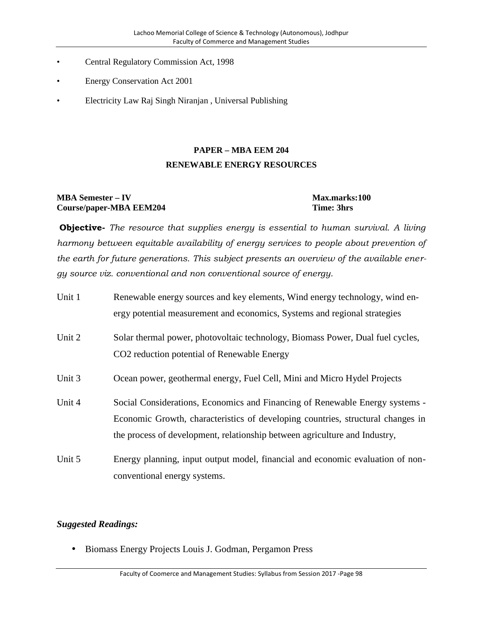- Central Regulatory Commission Act, 1998
- Energy Conservation Act 2001
- Electricity Law Raj Singh Niranjan , Universal Publishing

# **PAPER – MBA EEM 204 RENEWABLE ENERGY RESOURCES**

## **MBA Semester – IV Max.marks:100 Course/paper-MBA EEM204 Time: 3hrs**

**Objective-** *The resource that supplies energy is essential to human survival. A living harmony between equitable availability of energy services to people about prevention of the earth for future generations. This subject presents an overview of the available energy source viz. conventional and non conventional source of energy.*

| Unit 1 | Renewable energy sources and key elements, Wind energy technology, wind en-<br>ergy potential measurement and economics, Systems and regional strategies                                                                                      |
|--------|-----------------------------------------------------------------------------------------------------------------------------------------------------------------------------------------------------------------------------------------------|
| Unit 2 | Solar thermal power, photovoltaic technology, Biomass Power, Dual fuel cycles,<br>CO <sub>2</sub> reduction potential of Renewable Energy                                                                                                     |
| Unit 3 | Ocean power, geothermal energy, Fuel Cell, Mini and Micro Hydel Projects                                                                                                                                                                      |
| Unit 4 | Social Considerations, Economics and Financing of Renewable Energy systems -<br>Economic Growth, characteristics of developing countries, structural changes in<br>the process of development, relationship between agriculture and Industry, |
| Unit 5 | Energy planning, input output model, financial and economic evaluation of non-<br>conventional energy systems.                                                                                                                                |

## *Suggested Readings:*

• Biomass Energy Projects Louis J. Godman, Pergamon Press